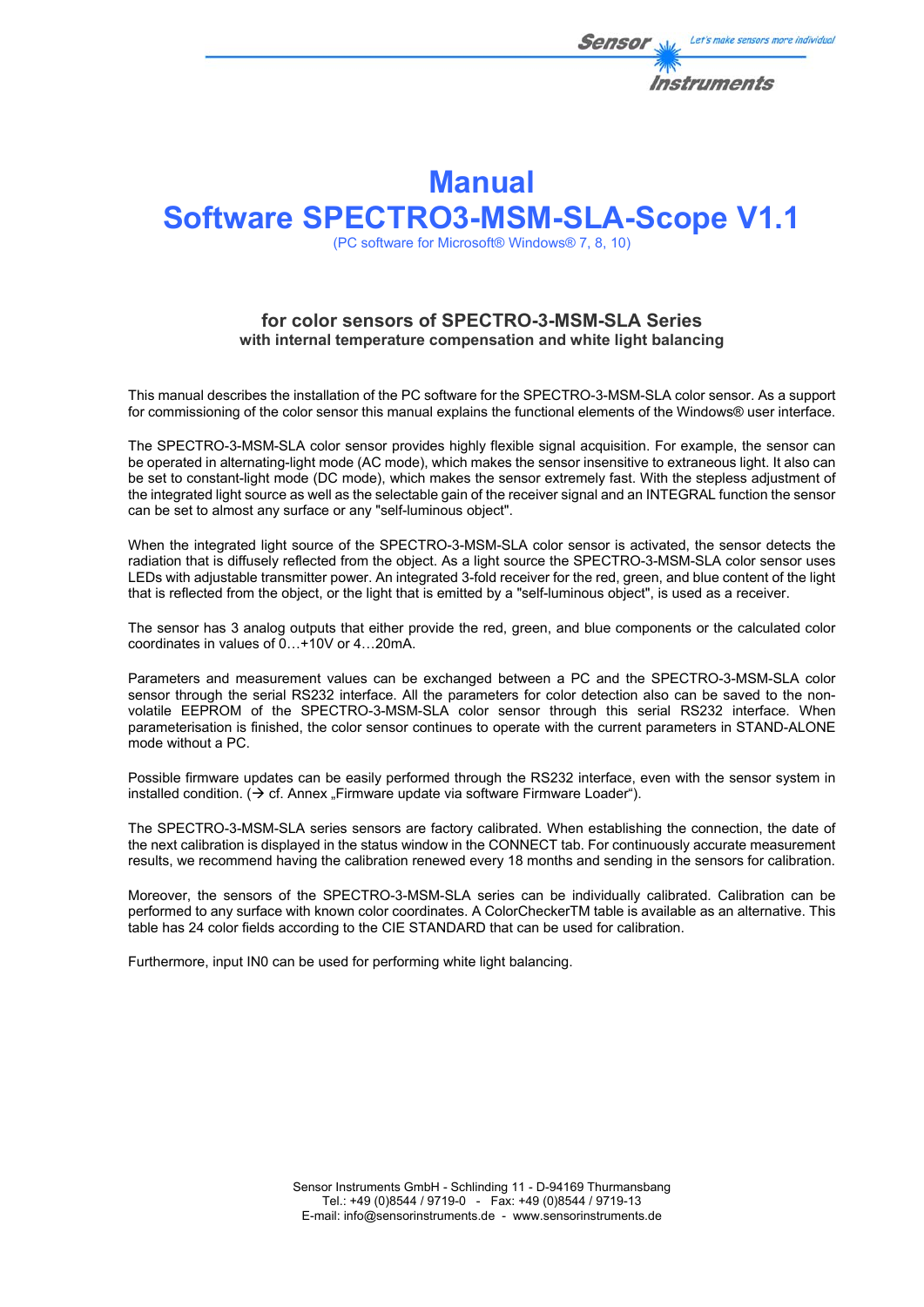

# **Manual Software SPECTRO3-MSM-SLA-Scope V1.1**

(PC software for Microsoft® Windows® 7, 8, 10)

## **for color sensors of SPECTRO-3-MSM-SLA Series with internal temperature compensation and white light balancing**

This manual describes the installation of the PC software for the SPECTRO-3-MSM-SLA color sensor. As a support for commissioning of the color sensor this manual explains the functional elements of the Windows® user interface.

The SPECTRO-3-MSM-SLA color sensor provides highly flexible signal acquisition. For example, the sensor can be operated in alternating-light mode (AC mode), which makes the sensor insensitive to extraneous light. It also can be set to constant-light mode (DC mode), which makes the sensor extremely fast. With the stepless adjustment of the integrated light source as well as the selectable gain of the receiver signal and an INTEGRAL function the sensor can be set to almost any surface or any "self-luminous object".

When the integrated light source of the SPECTRO-3-MSM-SLA color sensor is activated, the sensor detects the radiation that is diffusely reflected from the object. As a light source the SPECTRO-3-MSM-SLA color sensor uses LEDs with adjustable transmitter power. An integrated 3-fold receiver for the red, green, and blue content of the light that is reflected from the object, or the light that is emitted by a "self-luminous object", is used as a receiver.

The sensor has 3 analog outputs that either provide the red, green, and blue components or the calculated color coordinates in values of 0…+10V or 4…20mA.

Parameters and measurement values can be exchanged between a PC and the SPECTRO-3-MSM-SLA color sensor through the serial RS232 interface. All the parameters for color detection also can be saved to the nonvolatile EEPROM of the SPECTRO-3-MSM-SLA color sensor through this serial RS232 interface. When parameterisation is finished, the color sensor continues to operate with the current parameters in STAND-ALONE mode without a PC.

Possible firmware updates can be easily performed through the RS232 interface, even with the sensor system in installed condition.  $\Theta$  cf. Annex . Firmware update via software Firmware Loader").

The SPECTRO-3-MSM-SLA series sensors are factory calibrated. When establishing the connection, the date of the next calibration is displayed in the status window in the CONNECT tab. For continuously accurate measurement results, we recommend having the calibration renewed every 18 months and sending in the sensors for calibration.

Moreover, the sensors of the SPECTRO-3-MSM-SLA series can be individually calibrated. Calibration can be performed to any surface with known color coordinates. A ColorCheckerTM table is available as an alternative. This table has 24 color fields according to the CIE STANDARD that can be used for calibration.

Furthermore, input IN0 can be used for performing white light balancing.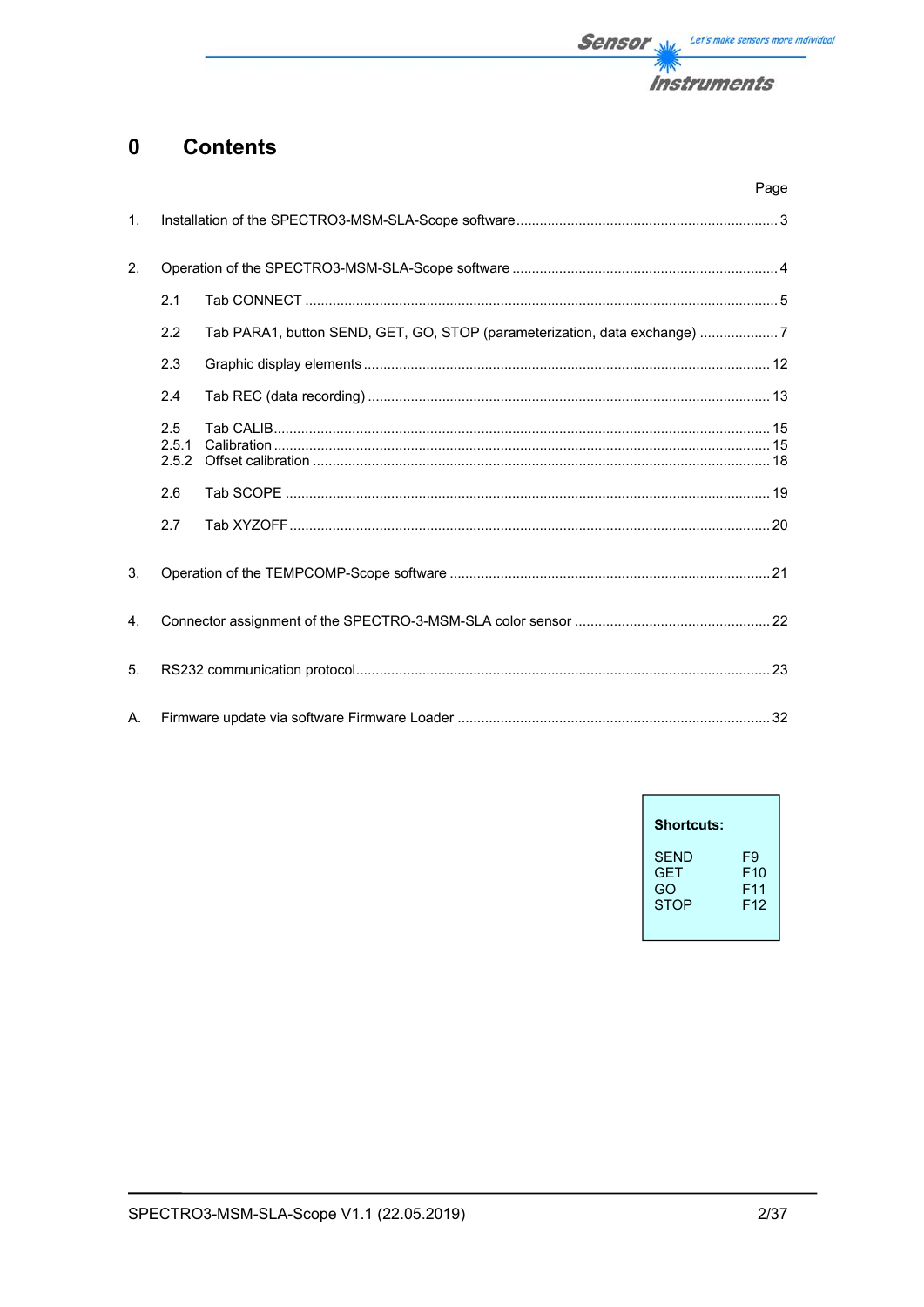

#### **Contents**  $\mathbf 0$

|                |                       |                                                                           | Page |
|----------------|-----------------------|---------------------------------------------------------------------------|------|
| 1.             |                       |                                                                           |      |
| 2.             |                       |                                                                           |      |
|                | 2.1                   |                                                                           |      |
|                | 2.2                   | Tab PARA1, button SEND, GET, GO, STOP (parameterization, data exchange) 7 |      |
|                | 2.3                   |                                                                           |      |
|                | 2.4                   |                                                                           |      |
|                | 2.5<br>2.5.1<br>2.5.2 |                                                                           |      |
|                | 2.6                   |                                                                           |      |
|                | 2.7                   |                                                                           |      |
| 3.             |                       |                                                                           |      |
| $\mathbf{4}$ . |                       |                                                                           |      |
| 5.             |                       |                                                                           |      |
| А.             |                       |                                                                           |      |

| <b>Shortcuts:</b> |                 |
|-------------------|-----------------|
| <b>SEND</b>       | F9              |
| GFT               | F10             |
| GO                | F11             |
| <b>STOP</b>       | F <sub>12</sub> |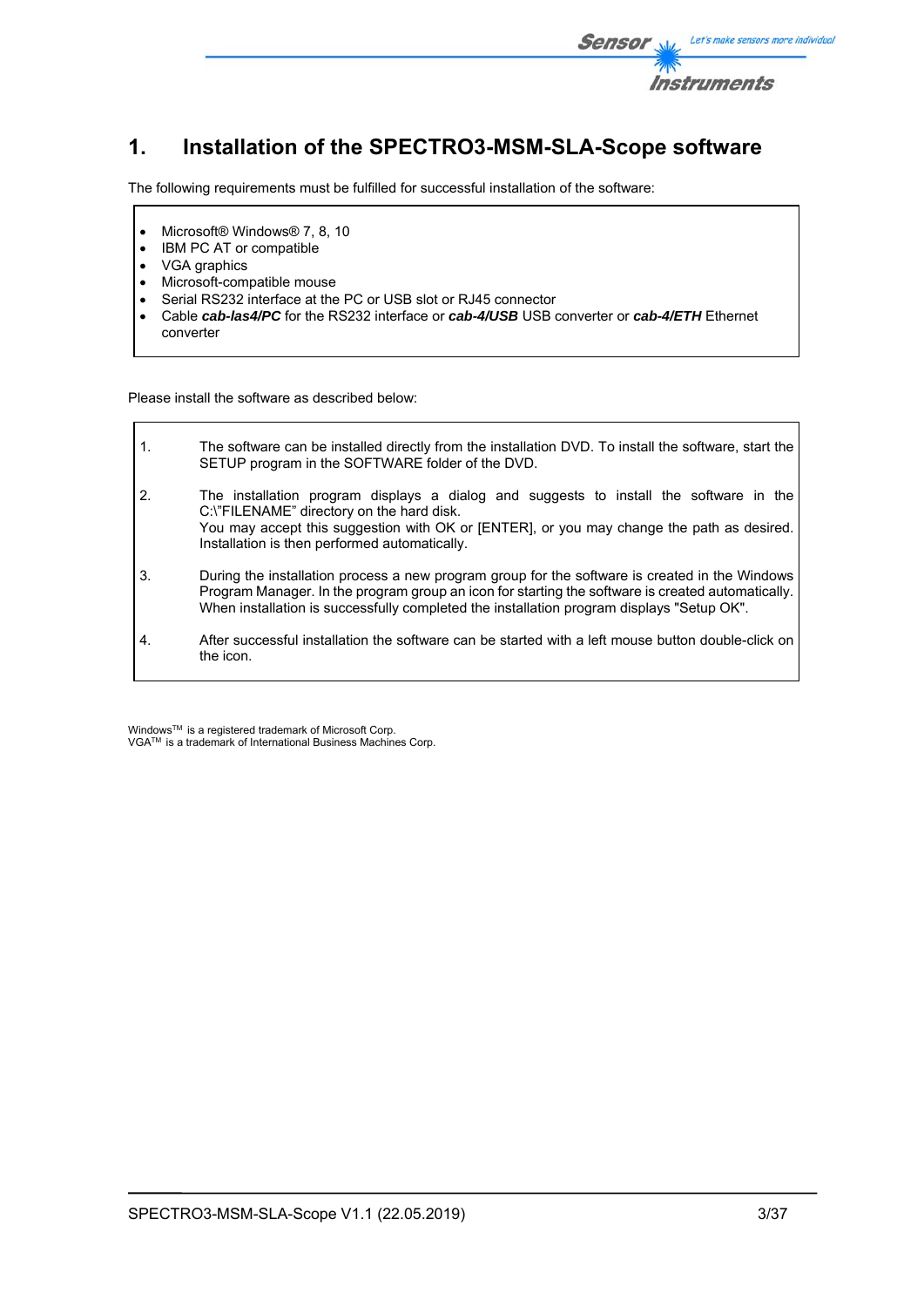

# **1. Installation of the SPECTRO3-MSM-SLA-Scope software**

The following requirements must be fulfilled for successful installation of the software:

- Microsoft® Windows® 7, 8, 10
- IBM PC AT or compatible
- VGA graphics

 $\mathsf{r}$ 

- Microsoft-compatible mouse
- Serial RS232 interface at the PC or USB slot or RJ45 connector
- Cable *cab-las4/PC* for the RS232 interface or *cab-4/USB* USB converter or *cab-4/ETH* Ethernet converter

Please install the software as described below:

| $\mathbf{1}$ . | The software can be installed directly from the installation DVD. To install the software, start the<br>SETUP program in the SOFTWARE folder of the DVD.                                                                                                                                         |
|----------------|--------------------------------------------------------------------------------------------------------------------------------------------------------------------------------------------------------------------------------------------------------------------------------------------------|
| 2.             | The installation program displays a dialog and suggests to install the software in the<br>C:\"FILENAME" directory on the hard disk.<br>You may accept this suggestion with OK or [ENTER], or you may change the path as desired.<br>Installation is then performed automatically.                |
| 3.             | During the installation process a new program group for the software is created in the Windows<br>Program Manager. In the program group an icon for starting the software is created automatically.<br>When installation is successfully completed the installation program displays "Setup OK". |
| 4.             | After successful installation the software can be started with a left mouse button double-click on<br>the icon.                                                                                                                                                                                  |

Windows™ is a registered trademark of Microsoft Corp. VGA<sup>™</sup> is a trademark of International Business Machines Corp.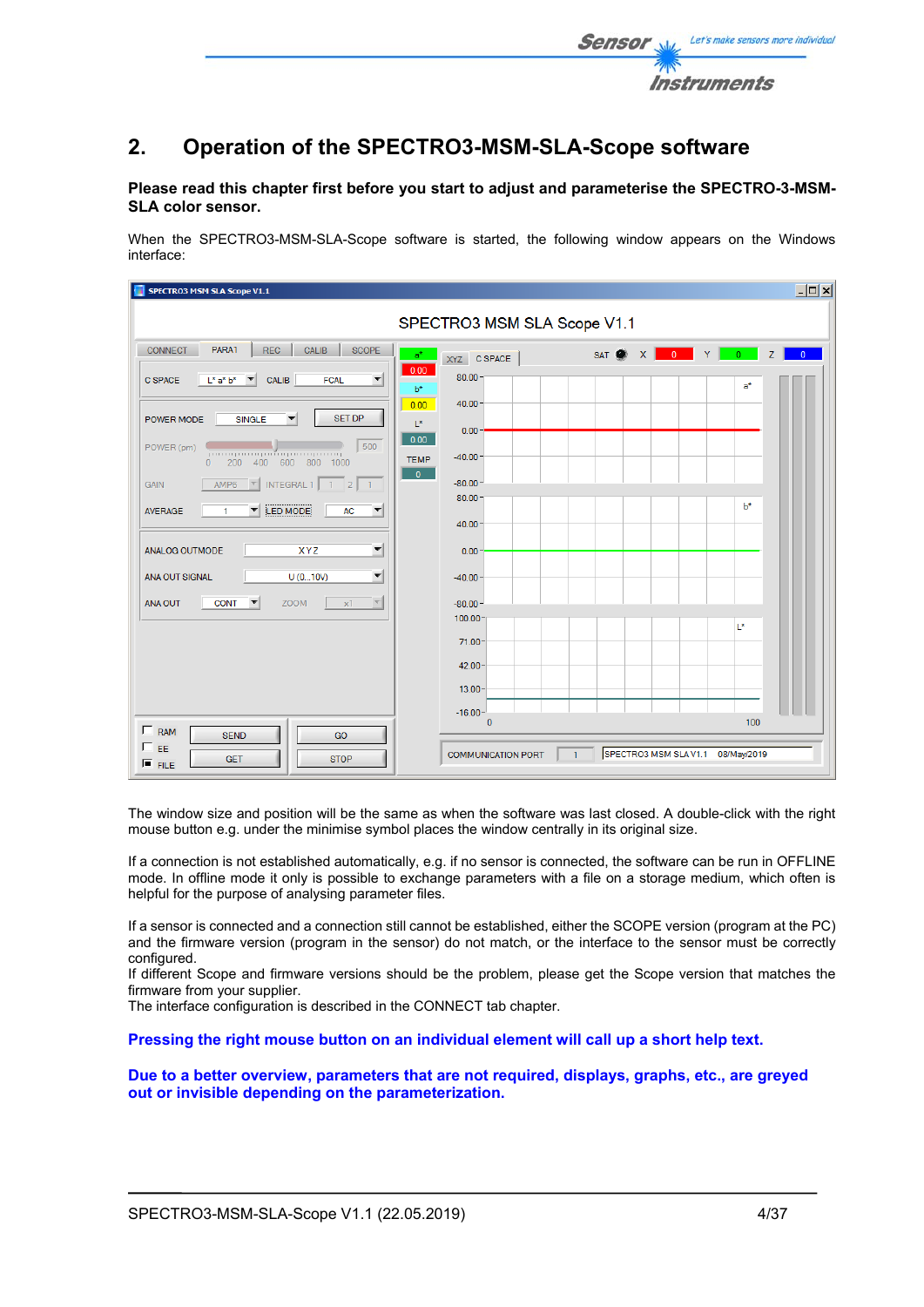

## **2. Operation of the SPECTRO3-MSM-SLA-Scope software**

## **Please read this chapter first before you start to adjust and parameterise the SPECTRO-3-MSM-SLA color sensor.**

When the SPECTRO3-MSM-SLA-Scope software is started, the following window appears on the Windows interface:

| <b>SPECTRO3 MSM SLA Scope V1.1</b>                                                                                                   |                                           |                                  | I                   |
|--------------------------------------------------------------------------------------------------------------------------------------|-------------------------------------------|----------------------------------|---------------------|
|                                                                                                                                      | SPECTRO3 MSM SLA Scope V1.1               |                                  |                     |
| PARA1<br>CALIB<br>SCOPE<br><b>REC</b><br><b>CONNECT</b><br>$a^*$                                                                     | XYZ C SPACE                               | SAT X 0 Y<br>0<1                 | Z<br>$\overline{0}$ |
| 0.00<br>$\blacktriangledown$<br><b>C SPACE</b><br>$L^*$ a* $b^*$<br><b>CALIB</b><br><b>FCAL</b><br>$\overline{\phantom{a}}$<br>$b^*$ | 80.00                                     | $a^*$                            |                     |
| 0.00<br><b>SET DP</b><br>POWER MODE<br>▼                                                                                             | 40.00                                     |                                  |                     |
| <b>SINGLE</b><br>$\mathsf{L}^\star$<br>0.00                                                                                          | $0.00 -$                                  |                                  |                     |
| 500<br>POWER (pm)<br>րուսզառողանորուսզուող<br><b>TEMP</b><br>600 800 1000<br>200<br>400<br>$\Omega$                                  | $-40.00$                                  |                                  |                     |
| $\overline{0}$<br>AMP6<br>INTEGRAL 1<br><b>GAIN</b><br>$1 \quad 2$<br>$-1$<br>$\overline{\mathbf{v}}$                                | $-80.00 -$<br>80.00                       |                                  |                     |
| <b>LED MODE</b><br>AC<br>$\blacktriangledown$<br><b>AVERAGE</b><br>$\blacktriangledown$<br>1                                         | $40.00 \cdot$                             | $b*$                             |                     |
| $\vert \mathbf{v} \vert$<br>ANALOG OUTMODE<br>XYZ                                                                                    | $0.00 -$                                  |                                  |                     |
| $\blacktriangledown$<br>U(010V)<br>ANA OUT SIGNAL                                                                                    | $-40.00$                                  |                                  |                     |
| $\overline{\nabla}$<br><b>ANA OUT</b><br><b>CONT</b><br>$\blacktriangledown$<br><b>ZOOM</b><br>x1                                    | $-80.00-$                                 |                                  |                     |
|                                                                                                                                      | 100.00                                    | L*                               |                     |
|                                                                                                                                      | $71.00 -$                                 |                                  |                     |
|                                                                                                                                      | $42.00 -$<br>$13.00 -$                    |                                  |                     |
|                                                                                                                                      | $-16.00-$                                 |                                  |                     |
| $\Gamma$ RAM<br><b>SEND</b><br>GO                                                                                                    | $\mathbf{0}$                              |                                  | 100                 |
| EE<br><b>STOP</b><br><b>GET</b><br>$F$ FILE                                                                                          | <b>COMMUNICATION PORT</b><br>$\mathbf{1}$ | SPECTRO3 MSM SLAV1.1 08/May/2019 |                     |

The window size and position will be the same as when the software was last closed. A double-click with the right mouse button e.g. under the minimise symbol places the window centrally in its original size.

If a connection is not established automatically, e.g. if no sensor is connected, the software can be run in OFFLINE mode. In offline mode it only is possible to exchange parameters with a file on a storage medium, which often is helpful for the purpose of analysing parameter files.

If a sensor is connected and a connection still cannot be established, either the SCOPE version (program at the PC) and the firmware version (program in the sensor) do not match, or the interface to the sensor must be correctly configured.

If different Scope and firmware versions should be the problem, please get the Scope version that matches the firmware from your supplier.

The interface configuration is described in the CONNECT tab chapter.

**Pressing the right mouse button on an individual element will call up a short help text.** 

**Due to a better overview, parameters that are not required, displays, graphs, etc., are greyed out or invisible depending on the parameterization.**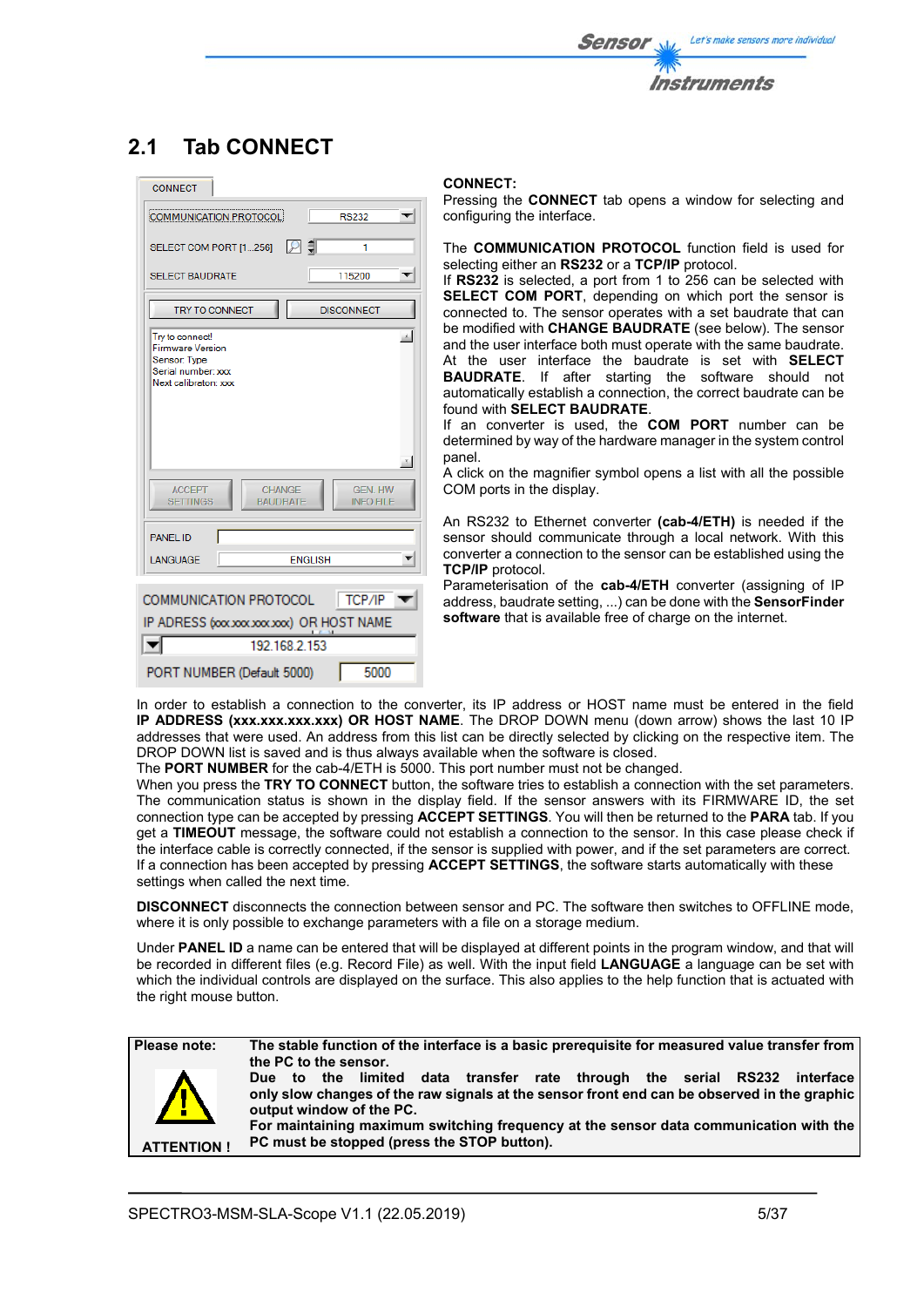

# **2.1 Tab CONNECT**

| <b>CONNECT</b>                                                                                                                                                            |                                                              |
|---------------------------------------------------------------------------------------------------------------------------------------------------------------------------|--------------------------------------------------------------|
| COMMUNICATION PROTOCOL                                                                                                                                                    | <b>RS232</b>                                                 |
| SELECT COM PORT [1256]                                                                                                                                                    | I ₽ ‡I<br>1                                                  |
| <b>SELECT BAUDRATE</b>                                                                                                                                                    | 115200                                                       |
| <b>TRY TO CONNECT</b>                                                                                                                                                     | <b>DISCONNECT</b>                                            |
| Try to connect!<br><b>Firmware Version</b><br>Sensor: Type<br>Serial number: xxx<br>Next calibraton: xxx<br><b>ACCEPT</b><br>CHANGE<br><b>SETTINGS</b><br><b>BAUDRATE</b> | ph.<br>$\mathcal{R}_-$<br><b>GEN. HW</b><br><b>INFO FILE</b> |
| <b>PANEL ID</b>                                                                                                                                                           |                                                              |
| LANGUAGE                                                                                                                                                                  | <b>FNGLISH</b>                                               |
| COMMUNICATION PROTOCOL<br>IP ADRESS (xxxxxxxxxxxxx) OR HOST NAME<br>192 168 2 153                                                                                         | $  $ TCP/IP                                                  |
|                                                                                                                                                                           |                                                              |
| PORT NUMBER (Default 5000)                                                                                                                                                | 5000                                                         |

## **CONNECT:**

Pressing the **CONNECT** tab opens a window for selecting and configuring the interface.

The **COMMUNICATION PROTOCOL** function field is used for selecting either an **RS232** or a **TCP/IP** protocol.

If **RS232** is selected, a port from 1 to 256 can be selected with **SELECT COM PORT**, depending on which port the sensor is connected to. The sensor operates with a set baudrate that can be modified with **CHANGE BAUDRATE** (see below). The sensor and the user interface both must operate with the same baudrate. At the user interface the baudrate is set with **SELECT BAUDRATE**. If after starting the software should not automatically establish a connection, the correct baudrate can be found with **SELECT BAUDRATE**.

If an converter is used, the **COM PORT** number can be determined by way of the hardware manager in the system control panel.

A click on the magnifier symbol opens a list with all the possible COM ports in the display.

An RS232 to Ethernet converter **(cab-4/ETH)** is needed if the sensor should communicate through a local network. With this converter a connection to the sensor can be established using the **TCP/IP** protocol.

Parameterisation of the **cab-4/ETH** converter (assigning of IP address, baudrate setting, ...) can be done with the **SensorFinder software** that is available free of charge on the internet.

In order to establish a connection to the converter, its IP address or HOST name must be entered in the field **IP ADDRESS (xxx.xxx.xxx.xxx) OR HOST NAME**. The DROP DOWN menu (down arrow) shows the last 10 IP addresses that were used. An address from this list can be directly selected by clicking on the respective item. The DROP DOWN list is saved and is thus always available when the software is closed.

The **PORT NUMBER** for the cab-4/ETH is 5000. This port number must not be changed.

When you press the **TRY TO CONNECT** button, the software tries to establish a connection with the set parameters. The communication status is shown in the display field. If the sensor answers with its FIRMWARE ID, the set connection type can be accepted by pressing **ACCEPT SETTINGS**. You will then be returned to the **PARA** tab. If you get a **TIMEOUT** message, the software could not establish a connection to the sensor. In this case please check if the interface cable is correctly connected, if the sensor is supplied with power, and if the set parameters are correct. If a connection has been accepted by pressing **ACCEPT SETTINGS**, the software starts automatically with these settings when called the next time.

**DISCONNECT** disconnects the connection between sensor and PC. The software then switches to OFFLINE mode, where it is only possible to exchange parameters with a file on a storage medium.

Under **PANEL ID** a name can be entered that will be displayed at different points in the program window, and that will be recorded in different files (e.g. Record File) as well. With the input field **LANGUAGE** a language can be set with which the individual controls are displayed on the surface. This also applies to the help function that is actuated with the right mouse button.

**ATTENTION !** 

**Please note: The stable function of the interface is a basic prerequisite for measured value transfer from the PC to the sensor.** 

**Due to the limited data transfer rate through the serial RS232 interface only slow changes of the raw signals at the sensor front end can be observed in the graphic output window of the PC.** 

**For maintaining maximum switching frequency at the sensor data communication with the PC must be stopped (press the STOP button).**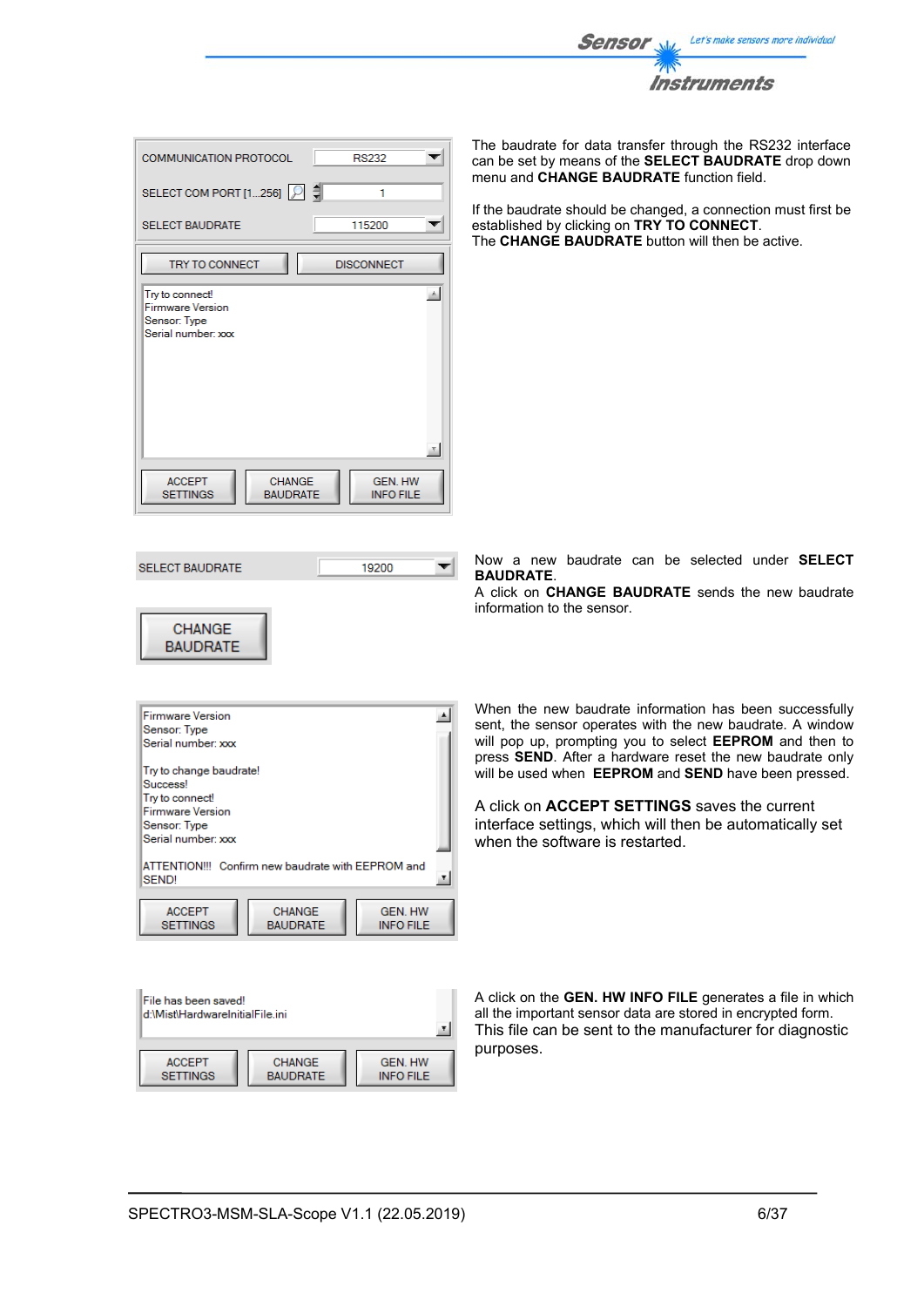

| <b>COMMUNICATION PROTOCOL</b>                                                    | <b>RS232</b>                       |
|----------------------------------------------------------------------------------|------------------------------------|
| SELECT COM PORT [1256]                                                           | 1                                  |
| <b>SELECT BAUDRATE</b>                                                           | 115200                             |
| <b>TRY TO CONNECT</b>                                                            | <b>DISCONNECT</b>                  |
| Try to connect!<br><b>Firmware Version</b><br>Sensor: Type<br>Serial number: xxx | $\pm$                              |
| <b>ACCEPT</b><br><b>CHANGE</b><br><b>SETTINGS</b><br><b>BAUDRATE</b>             | <b>GEN. HW</b><br><b>INFO FILE</b> |

**SELECT BAUDRATE** 

**CHANGE BAUDRATE**  The baudrate for data transfer through the RS232 interface can be set by means of the **SELECT BAUDRATE** drop down menu and **CHANGE BAUDRATE** function field.

If the baudrate should be changed, a connection must first be established by clicking on **TRY TO CONNECT**. The **CHANGE BAUDRATE** button will then be active.

Now a new baudrate can be selected under **SELECT BAUDRATE**.

A click on **CHANGE BAUDRATE** sends the new baudrate information to the sensor.

| <b>Firmware Version</b>                                |  |
|--------------------------------------------------------|--|
| Sensor: Type                                           |  |
| Serial number: xxx                                     |  |
| Try to change baudrate!                                |  |
| Success!                                               |  |
| Try to connect!                                        |  |
| <b>Firmware Version</b>                                |  |
| Sensor: Type                                           |  |
| Serial number: xxx                                     |  |
|                                                        |  |
| ATTENTION!!! Confirm new baudrate with EEPROM and      |  |
| SEND!                                                  |  |
|                                                        |  |
| <b>GEN. HW</b><br><b>ACCEPT</b><br><b>CHANGE</b>       |  |
| <b>SETTINGS</b><br><b>BAUDRATE</b><br><b>INFO FILE</b> |  |
|                                                        |  |

19200

 $\overline{\mathbf{v}}$ 

File has been saved! d:\Mist\HardwareInitialFile.ini 国 **ACCEPT** CHANGE **GEN. HW SETTINGS BAUDRATE INFO FILE** 

When the new baudrate information has been successfully sent, the sensor operates with the new baudrate. A window will pop up, prompting you to select **EEPROM** and then to press **SEND**. After a hardware reset the new baudrate only will be used when **EEPROM** and **SEND** have been pressed.

A click on **ACCEPT SETTINGS** saves the current interface settings, which will then be automatically set when the software is restarted.

A click on the **GEN. HW INFO FILE** generates a file in which all the important sensor data are stored in encrypted form. This file can be sent to the manufacturer for diagnostic purposes.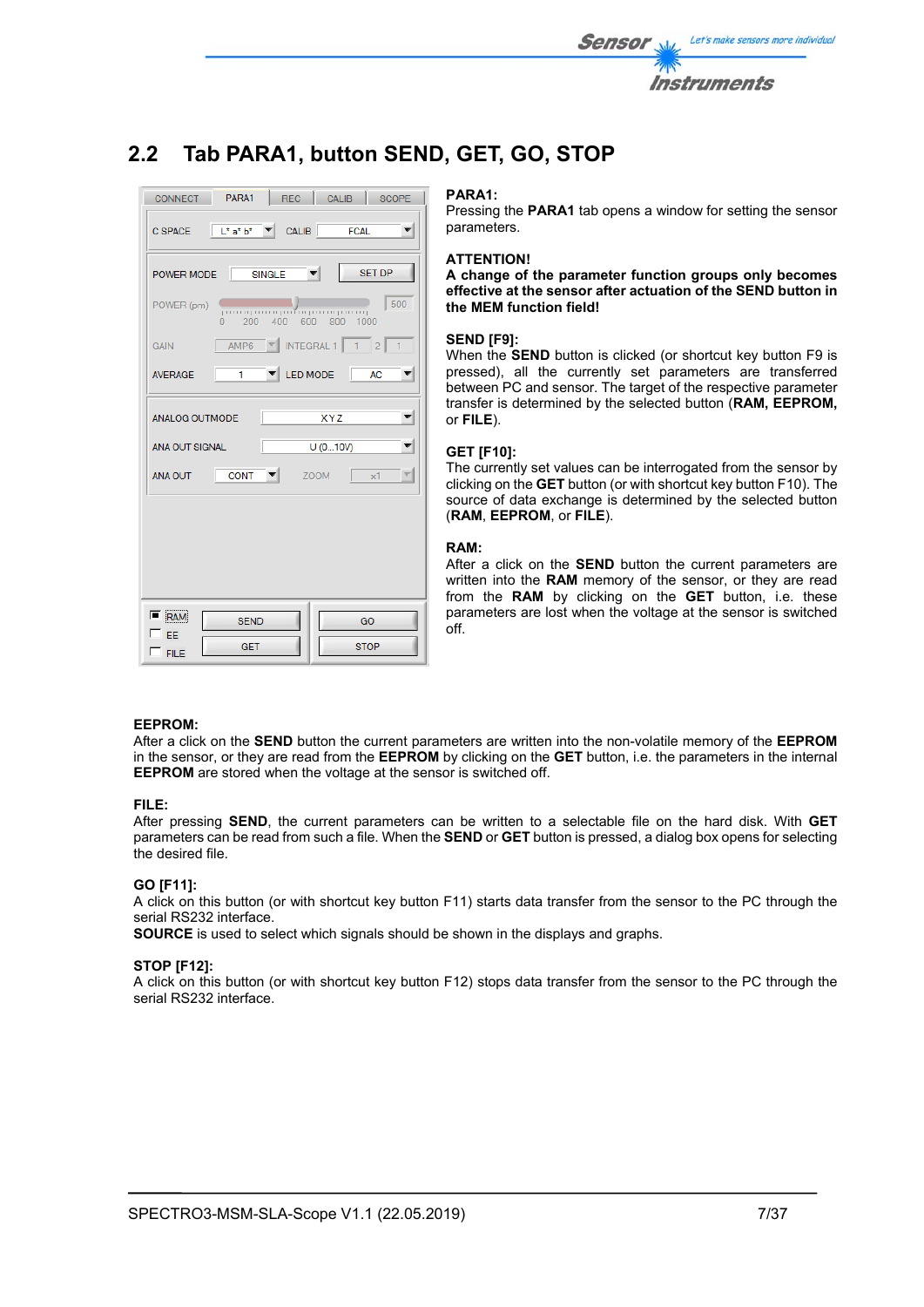

# **2.2 Tab PARA1, button SEND, GET, GO, STOP**

| PARA1<br><b>CALIB</b><br><b>CONNECT</b><br>REC                                                                          | SCOPE          |  |
|-------------------------------------------------------------------------------------------------------------------------|----------------|--|
| $C$ SPACE $\left  \begin{array}{cc} \mathsf{L}^* \mathsf{a}^* \mathsf{b}^* & \mathsf{T} \end{array} \right $ CALIB FCAL |                |  |
| <b>SET DP</b><br>POWER MODE SINGLE                                                                                      |                |  |
| POWER (pm)<br>400 600 800<br>200<br>1000<br>n                                                                           | 500            |  |
| $\mathbb{Z}$ INTEGRAL 1 1 2<br>AMP6<br><b>GAIN</b>                                                                      | $\blacksquare$ |  |
| LED MODE AC<br><b>AVERAGE</b><br>-1                                                                                     |                |  |
| <b>XYZ</b><br><b>ANALOG OUTMODE</b>                                                                                     |                |  |
| U(010V)<br>ANA OUT SIGNAL                                                                                               |                |  |
| <b>CONT</b><br>ANA OUT<br><b>ZOOM</b><br>x1                                                                             |                |  |
|                                                                                                                         |                |  |
|                                                                                                                         |                |  |
|                                                                                                                         |                |  |
| <b>RAM</b><br><b>SEND</b><br>GO                                                                                         |                |  |
| FF                                                                                                                      |                |  |

## **PARA1:**

Pressing the **PARA1** tab opens a window for setting the sensor parameters.

## **ATTENTION!**

**A change of the parameter function groups only becomes effective at the sensor after actuation of the SEND button in the MEM function field!** 

## **SEND [F9]:**

When the **SEND** button is clicked (or shortcut key button F9 is pressed), all the currently set parameters are transferred between PC and sensor. The target of the respective parameter transfer is determined by the selected button (**RAM, EEPROM,**  or **FILE**).

## **GET [F10]:**

The currently set values can be interrogated from the sensor by clicking on the **GET** button (or with shortcut key button F10). The source of data exchange is determined by the selected button (**RAM**, **EEPROM**, or **FILE**).

## **RAM:**

After a click on the **SEND** button the current parameters are written into the **RAM** memory of the sensor, or they are read from the **RAM** by clicking on the **GET** button, i.e. these parameters are lost when the voltage at the sensor is switched off.

## **EEPROM:**

After a click on the **SEND** button the current parameters are written into the non-volatile memory of the **EEPROM** in the sensor, or they are read from the **EEPROM** by clicking on the **GET** button, i.e. the parameters in the internal **EEPROM** are stored when the voltage at the sensor is switched off.

## **FILE:**

After pressing **SEND**, the current parameters can be written to a selectable file on the hard disk. With **GET** parameters can be read from such a file. When the **SEND** or **GET** button is pressed, a dialog box opens for selecting the desired file.

## **GO [F11]:**

A click on this button (or with shortcut key button F11) starts data transfer from the sensor to the PC through the serial RS232 interface.

**SOURCE** is used to select which signals should be shown in the displays and graphs.

## **STOP [F12]:**

A click on this button (or with shortcut key button F12) stops data transfer from the sensor to the PC through the serial RS232 interface.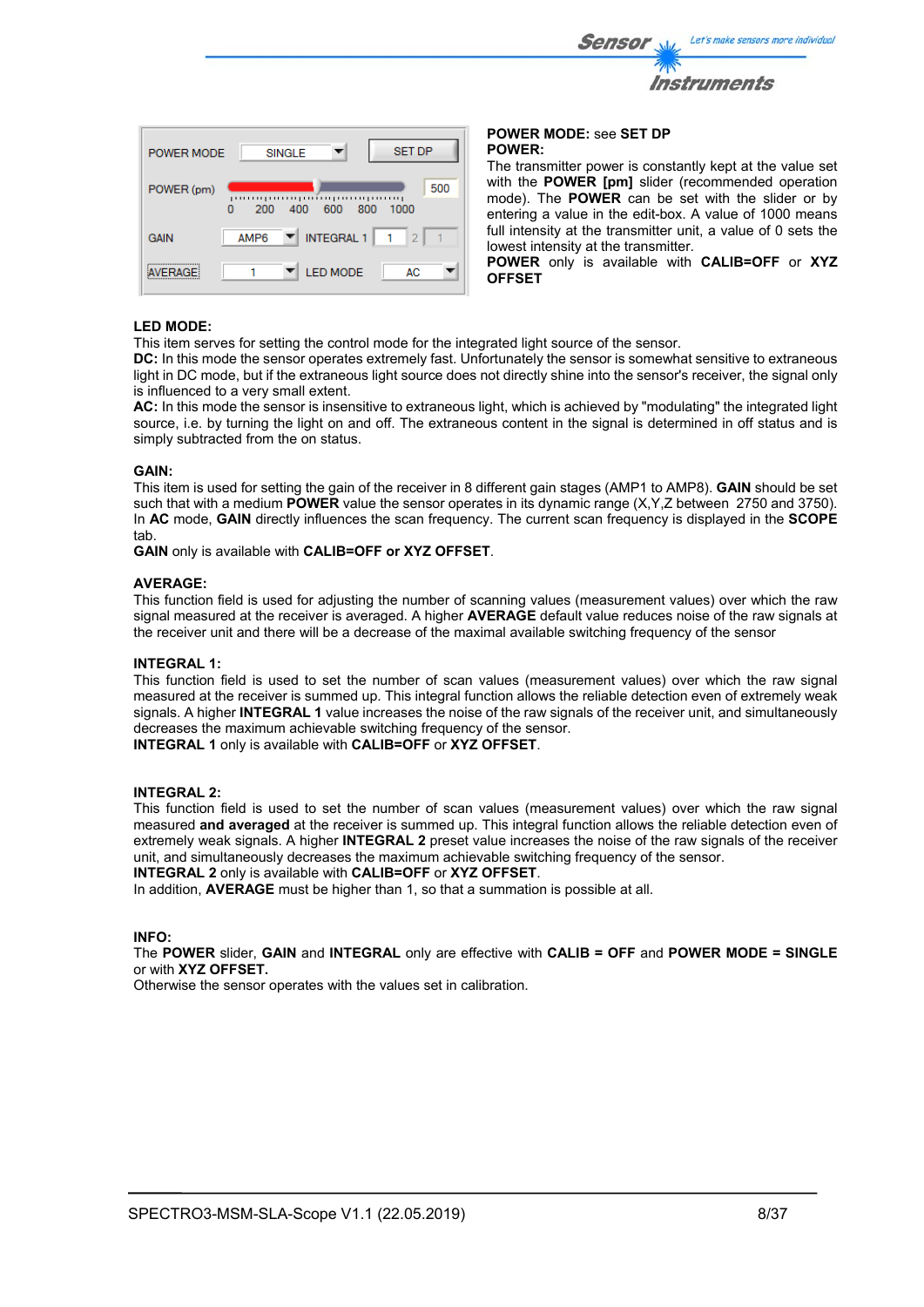|                                          | Let's make sensors more individual<br><b>Sensor</b>       |
|------------------------------------------|-----------------------------------------------------------|
|                                          | <i><b>Instruments</b></i>                                 |
| <b>SET DP</b><br><b>SINGLE</b><br>R MODE | <b>POWER MODE: see SET DP</b><br><b>POWER:</b>            |
|                                          | The transmitter power is constantly kept at the value set |

The transmitter power is constantly kept at the value set with the **POWER [pm]** slider (recommended operation mode). The **POWER** can be set with the slider or by entering a value in the edit-box. A value of 1000 means full intensity at the transmitter unit, a value of 0 sets the lowest intensity at the transmitter.

**POWER** only is available with **CALIB=OFF** or **XYZ OFFSET**

## **LED MODE:**

AVERAGE

**POWER** 

**GAIN** 

POWER (pm)

 $\overline{0}$ 

200

**AMPR** 

f,

400

600 800

 $\blacktriangledown$  INTEGRAL 1

**LED MODE** 

This item serves for setting the control mode for the integrated light source of the sensor.

AC.

1000

 $\mathbf{I}$  $\overline{2}$  500

**DC:** In this mode the sensor operates extremely fast. Unfortunately the sensor is somewhat sensitive to extraneous light in DC mode, but if the extraneous light source does not directly shine into the sensor's receiver, the signal only is influenced to a very small extent.

**AC:** In this mode the sensor is insensitive to extraneous light, which is achieved by "modulating" the integrated light source, i.e. by turning the light on and off. The extraneous content in the signal is determined in off status and is simply subtracted from the on status.

## **GAIN:**

This item is used for setting the gain of the receiver in 8 different gain stages (AMP1 to AMP8). **GAIN** should be set such that with a medium **POWER** value the sensor operates in its dynamic range (X,Y,Z between 2750 and 3750). In **AC** mode, **GAIN** directly influences the scan frequency. The current scan frequency is displayed in the **SCOPE** tab.

**GAIN** only is available with **CALIB=OFF or XYZ OFFSET**.

## **AVERAGE:**

This function field is used for adjusting the number of scanning values (measurement values) over which the raw signal measured at the receiver is averaged. A higher **AVERAGE** default value reduces noise of the raw signals at the receiver unit and there will be a decrease of the maximal available switching frequency of the sensor

## **INTEGRAL 1:**

This function field is used to set the number of scan values (measurement values) over which the raw signal measured at the receiver is summed up. This integral function allows the reliable detection even of extremely weak signals. A higher **INTEGRAL 1** value increases the noise of the raw signals of the receiver unit, and simultaneously decreases the maximum achievable switching frequency of the sensor. **INTEGRAL 1** only is available with **CALIB=OFF** or **XYZ OFFSET**.

## **INTEGRAL 2:**

This function field is used to set the number of scan values (measurement values) over which the raw signal measured **and averaged** at the receiver is summed up. This integral function allows the reliable detection even of extremely weak signals. A higher **INTEGRAL 2** preset value increases the noise of the raw signals of the receiver unit, and simultaneously decreases the maximum achievable switching frequency of the sensor.

**INTEGRAL 2** only is available with **CALIB=OFF** or **XYZ OFFSET**.

In addition, **AVERAGE** must be higher than 1, so that a summation is possible at all.

## **INFO:**

The **POWER** slider, **GAIN** and **INTEGRAL** only are effective with **CALIB = OFF** and **POWER MODE = SINGLE** or with **XYZ OFFSET.** 

Otherwise the sensor operates with the values set in calibration.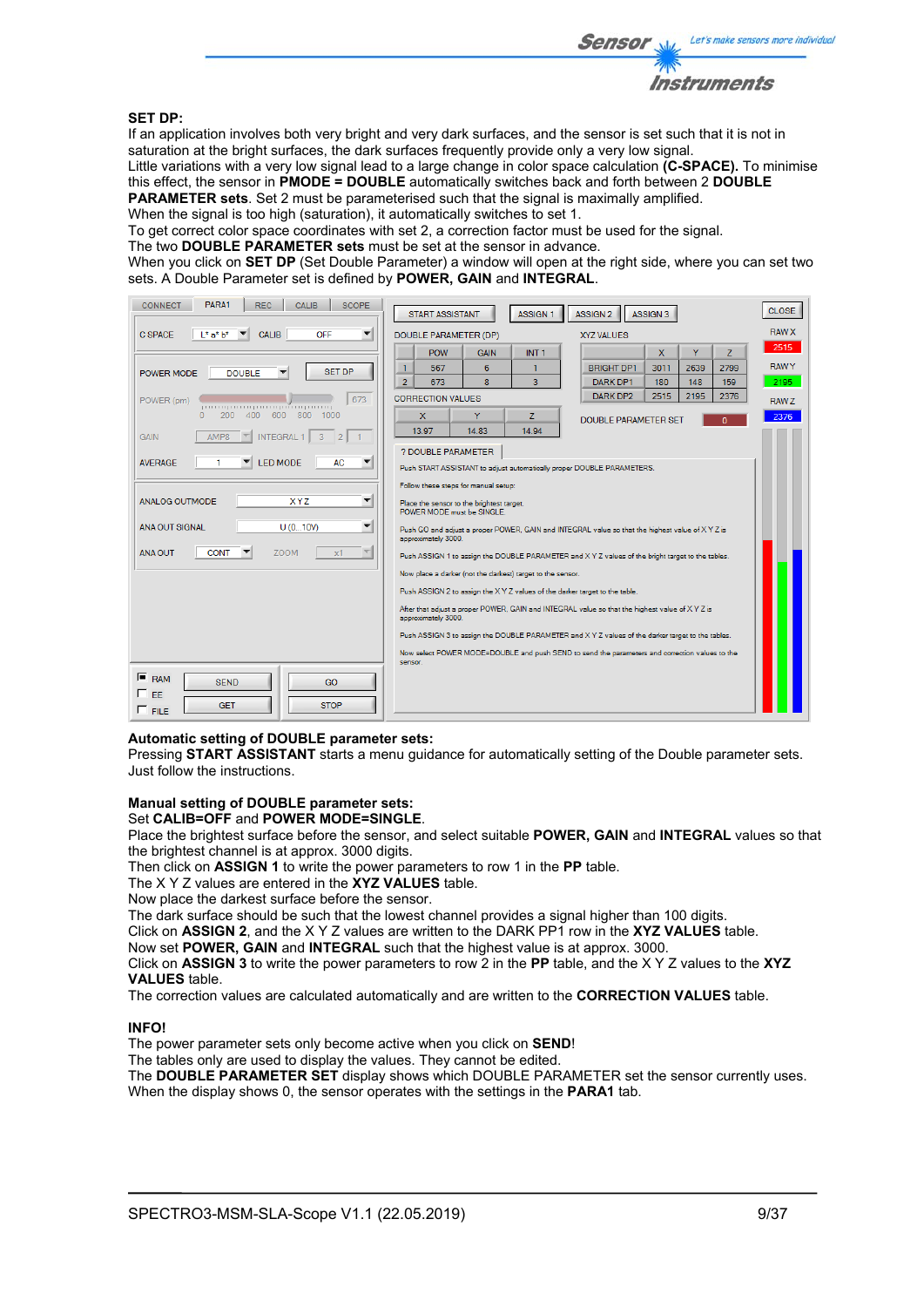

## **SET DP:**

If an application involves both very bright and very dark surfaces, and the sensor is set such that it is not in saturation at the bright surfaces, the dark surfaces frequently provide only a very low signal.

Little variations with a very low signal lead to a large change in color space calculation **(C-SPACE).** To minimise this effect, the sensor in **PMODE = DOUBLE** automatically switches back and forth between 2 **DOUBLE PARAMETER sets**. Set 2 must be parameterised such that the signal is maximally amplified.

When the signal is too high (saturation), it automatically switches to set 1.

To get correct color space coordinates with set 2, a correction factor must be used for the signal.

The two **DOUBLE PARAMETER sets** must be set at the sensor in advance.

When you click on **SET DP** (Set Double Parameter) a window will open at the right side, where you can set two sets. A Double Parameter set is defined by **POWER, GAIN** and **INTEGRAL**.

| PARA1<br><b>SCOPE</b><br><b>CONNECT</b><br><b>REC</b><br><b>CALIB</b> | <b>START ASSISTANT</b><br><b>ASSIGN 1</b><br>ASSIGN <sub>2</sub><br>ASSIGN 3                                          | <b>CLOSE</b> |
|-----------------------------------------------------------------------|-----------------------------------------------------------------------------------------------------------------------|--------------|
| C SPACE<br>$L^*$ a* $h^*$<br>OFF<br><b>CALIB</b>                      | DOUBLE PARAMETER (DP)<br><b>XYZ VALUES</b>                                                                            | <b>RAW X</b> |
|                                                                       | Ÿ<br>x<br>$\overline{z}$<br><b>POW</b><br>INT <sub>1</sub><br><b>GAIN</b>                                             | 2515         |
| <b>SET DP</b><br><b>DOUBLE</b><br>POWER MODE                          | 1<br>567<br>6<br><b>BRIGHT DP1</b><br>3011<br>2639<br>2799<br>1                                                       | <b>RAWY</b>  |
|                                                                       | $\overline{2}$<br>8<br>3<br>159<br>673<br><b>DARK DP1</b><br>180<br>148                                               | 2195         |
| 673<br>POWER (pm)                                                     | DARK DP2<br>2515<br>2195<br>2376<br><b>CORRECTION VALUES</b>                                                          | RAW Z        |
| 400<br>800<br>$\theta$<br>200<br>600<br>1000                          | Ÿ<br>x<br>Z.<br><b>DOUBLE PARAMETER SET</b><br>n                                                                      | 2376         |
| AMP8<br><b>GAIN</b><br><b>INTEGRAL 1</b><br>3<br>2 <sup>1</sup>       | 14.83<br>13.97<br>14.94                                                                                               |              |
|                                                                       | ? DOUBLE PARAMETER                                                                                                    |              |
| LED MODE<br><b>AC</b><br><b>AVERAGE</b>                               | Push START ASSISTANT to adjust automatically proper DOUBLE PARAMETERS.                                                |              |
|                                                                       | Follow these steps for manual setup:                                                                                  |              |
| ▼<br><b>ANALOG OUTMODE</b><br><b>XYZ</b>                              | Place the sensor to the brightest target.<br>POWER MODE must be SINGLE.                                               |              |
| $\overline{\mathbf{v}}$<br><b>ANA OUT SIGNAL</b><br>U(010V)           | Push GO and adjust a proper POWER, GAIN and INTEGRAL value so that the highest value of XYZ is<br>approximately 3000. |              |
| <b>CONT</b><br><b>ZOOM</b><br><b>ANA OUT</b><br>x1                    | Push ASSIGN 1 to assign the DOUBLE PARAMETER and XYZ values of the bright target to the tables.                       |              |
|                                                                       | Now place a darker (not the darkest) target to the sensor.                                                            |              |
|                                                                       | Push ASSIGN 2 to assign the X Y Z values of the darker target to the table.                                           |              |
|                                                                       | After that adjust a proper POWER, GAIN and INTEGRAL value so that the highest value of XYZ is<br>approximately 3000.  |              |
|                                                                       | Push ASSIGN 3 to assign the DOUBLE PARAMETER and X Y Z values of the darker target to the tables.                     |              |
|                                                                       | Now select POWER MODE=DOUBLE and push SEND to send the parameters and correction values to the<br>sensor.             |              |
| $F$ <sub>RAM</sub><br><b>SEND</b><br>GO                               |                                                                                                                       |              |
| $\sqcap$ FF.<br><b>STOP</b><br><b>GET</b>                             |                                                                                                                       |              |
| $\Gamma$ FILE                                                         |                                                                                                                       |              |

## **Automatic setting of DOUBLE parameter sets:**

Pressing **START ASSISTANT** starts a menu guidance for automatically setting of the Double parameter sets. Just follow the instructions.

#### **Manual setting of DOUBLE parameter sets:**  Set **CALIB=OFF** and **POWER MODE=SINGLE**.

Place the brightest surface before the sensor, and select suitable **POWER, GAIN** and **INTEGRAL** values so that the brightest channel is at approx. 3000 digits.

Then click on **ASSIGN 1** to write the power parameters to row 1 in the **PP** table.

The X Y Z values are entered in the **XYZ VALUES** table.

Now place the darkest surface before the sensor.

The dark surface should be such that the lowest channel provides a signal higher than 100 digits.

Click on **ASSIGN 2**, and the X Y Z values are written to the DARK PP1 row in the **XYZ VALUES** table.

Now set **POWER, GAIN** and **INTEGRAL** such that the highest value is at approx. 3000.

Click on **ASSIGN 3** to write the power parameters to row 2 in the **PP** table, and the X Y Z values to the **XYZ VALUES** table.

The correction values are calculated automatically and are written to the **CORRECTION VALUES** table.

## **INFO!**

The power parameter sets only become active when you click on **SEND**!

The tables only are used to display the values. They cannot be edited.

The **DOUBLE PARAMETER SET** display shows which DOUBLE PARAMETER set the sensor currently uses. When the display shows 0, the sensor operates with the settings in the **PARA1** tab.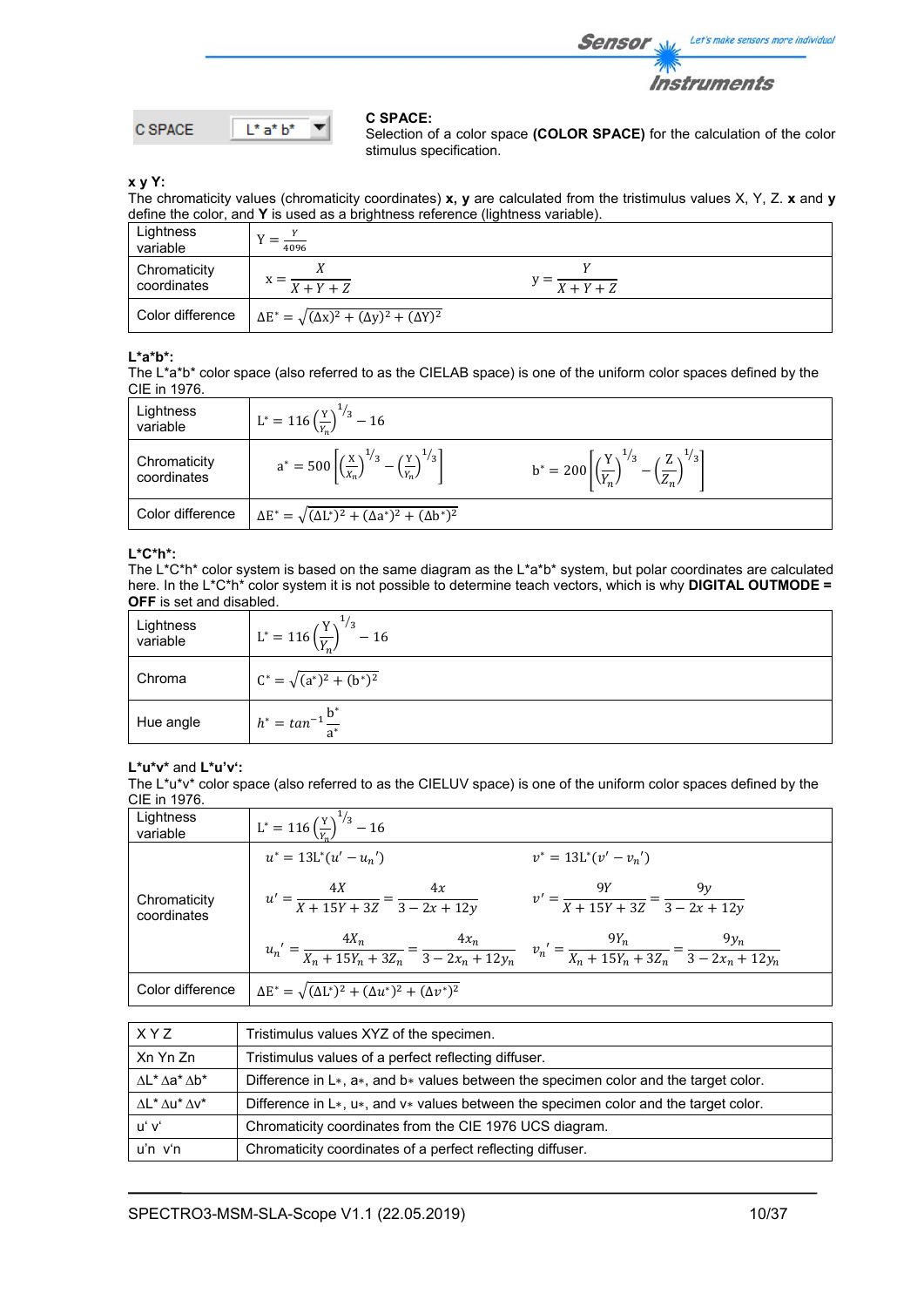

$$
C \text{SPACE} \qquad \boxed{\mathsf{L}^* \mathsf{a}^* \mathsf{b}^*}
$$

## **C SPACE:**

Selection of a color space **(COLOR SPACE)** for the calculation of the color stimulus specification.

**x y Y:** 

The chromaticity values (chromaticity coordinates) **x, y** are calculated from the tristimulus values X, Y, Z. **x** and **y** define the color, and **Y** is used as a brightness reference (lightness variable).

| Lightness<br>variable       | 4096                                                             |                                   |  |
|-----------------------------|------------------------------------------------------------------|-----------------------------------|--|
| Chromaticity<br>coordinates | $x = \frac{1}{X+Y+Z}$                                            | $y = \frac{X + Y + Z}{X + Y + Z}$ |  |
| Color difference            | $\Delta E^* = \sqrt{(\Delta x)^2 + (\Delta y)^2 + (\Delta Y)^2}$ |                                   |  |

## **L\*a\*b\*:**

The L\*a\*b\* color space (also referred to as the CIELAB space) is one of the uniform color spaces defined by the CIE in 1976.

| Lightness<br>variable       | $L^* = 116 \left(\frac{Y}{Y_R}\right)^{1/3} - 16$                                                  |                                                                                                    |
|-----------------------------|----------------------------------------------------------------------------------------------------|----------------------------------------------------------------------------------------------------|
| Chromaticity<br>coordinates | $a^* = 500 \left[ \left( \frac{x}{x_n} \right)^{1/3} - \left( \frac{y}{x_n} \right)^{1/3} \right]$ | $b^* = 200 \left[ \left( \frac{Y}{Y_n} \right)^{1/3} - \left( \frac{Z}{Z_n} \right)^{1/3} \right]$ |
| Color difference            | $\Delta E^* = \sqrt{(\Delta L^*)^2 + (\Delta a^*)^2 + (\Delta b^*)^2}$                             |                                                                                                    |

## **L\*C\*h\*:**

The L\*C\*h\* color system is based on the same diagram as the L\*a\*b\* system, but polar coordinates are calculated here. In the L\*C\*h\* color system it is not possible to determine teach vectors, which is why **DIGITAL OUTMODE = OFF** is set and disabled.

| Lightness<br>variable | $L^* = 116 \left(\frac{Y}{Y}\right)^{1/3} - 16$ |
|-----------------------|-------------------------------------------------|
| Chroma                | $C^* = \sqrt{(a^*)^2 + (b^*)^2}$                |
| Hue angle             | $h^* = \tan^{-1} \frac{b^*}{a^*}$               |

## **L\*u\*v\*** and **L\*u'v':**

The L\*u\*v\* color space (also referred to as the CIELUV space) is one of the uniform color spaces defined by the CIE in 1976.

| Lightness<br>variable       | $L^* = 116 \left(\frac{Y}{V}\right)^{1/3} - 16$                                                                                                   |
|-----------------------------|---------------------------------------------------------------------------------------------------------------------------------------------------|
|                             | $u^* = 13L^*(u' - u_n')$<br>$v^* = 13L^*(v'-v_n')$                                                                                                |
| Chromaticity<br>coordinates | $u' = \frac{4X}{X + 15Y + 3Z} = \frac{4x}{3 - 2x + 12y}$<br>$v' = \frac{9Y}{X + 15Y + 3Z} = \frac{9y}{3 - 2x + 12y}$                              |
|                             | $u_n' = \frac{4X_n}{X_n + 15Y_n + 3Z_n} = \frac{4x_n}{3 - 2x_n + 12y_n}$ $v_n' = \frac{9Y_n}{X_n + 15Y_n + 3Z_n} = \frac{9y_n}{3 - 2x_n + 12y_n}$ |
| Color difference            | $\Delta E^* = \sqrt{(\Delta L^*)^2 + (\Delta u^*)^2 + (\Delta v^*)^2}$                                                                            |

| X Y Z                                                                      | Tristimulus values XYZ of the specimen.                                                  |
|----------------------------------------------------------------------------|------------------------------------------------------------------------------------------|
| Xn Yn Zn                                                                   | Tristimulus values of a perfect reflecting diffuser.                                     |
| $\Lambda L^* \Lambda a^* \Lambda b^*$                                      | Difference in $L*, a*,$ and $b*$ values between the specimen color and the target color. |
| $\Lambda$ L <sup>*</sup> $\Lambda$ u <sup>*</sup> $\Lambda$ v <sup>*</sup> | Difference in $L*, u*,$ and $v*$ values between the specimen color and the target color. |
| uʻ vʻ                                                                      | Chromaticity coordinates from the CIE 1976 UCS diagram.                                  |
| $u'n$ $v'n$                                                                | Chromaticity coordinates of a perfect reflecting diffuser.                               |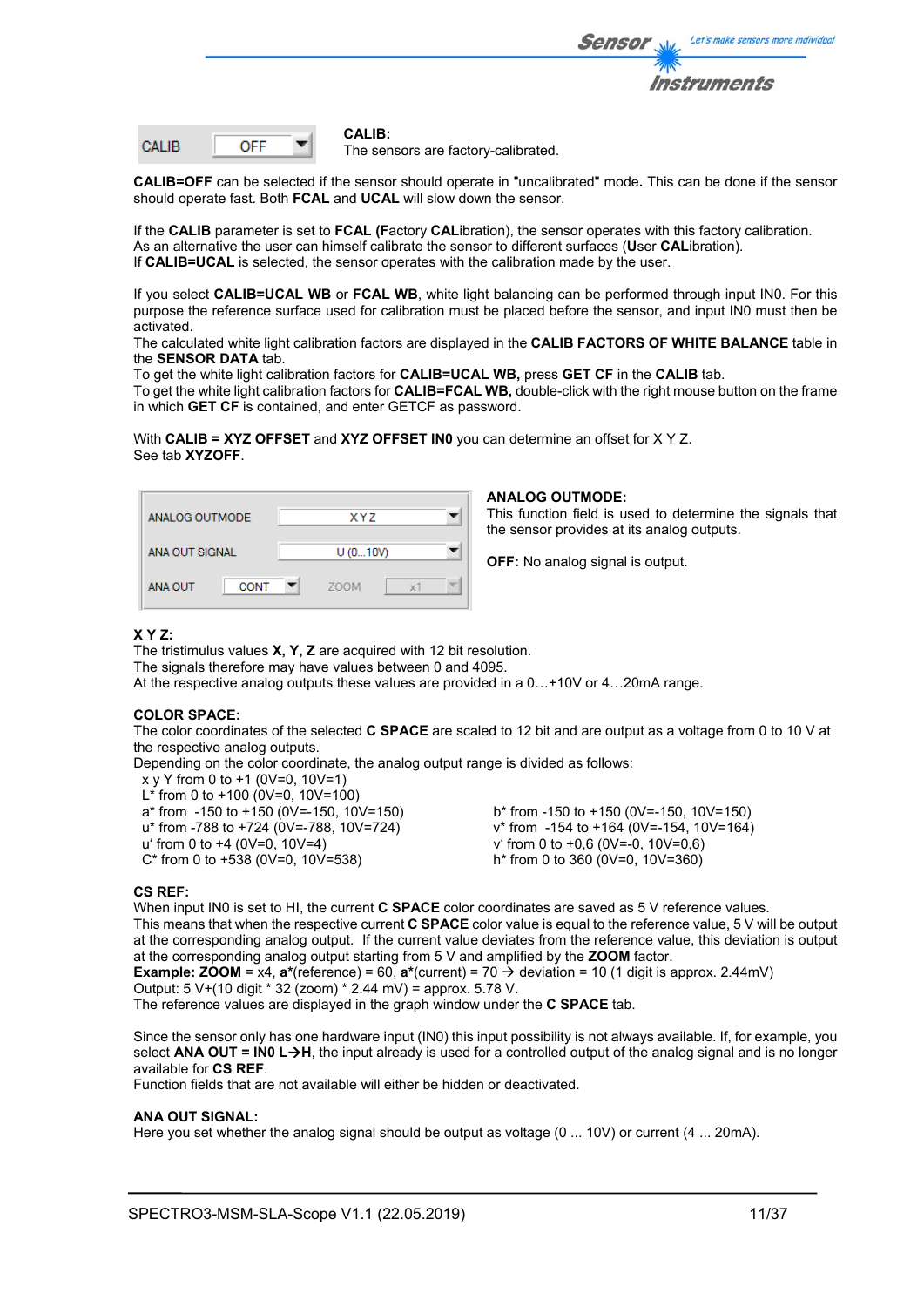

| CALIB. |  |
|--------|--|
|        |  |

#### **CALIB:**

The sensors are factory-calibrated.

**CALIB=OFF** can be selected if the sensor should operate in "uncalibrated" mode**.** This can be done if the sensor should operate fast. Both **FCAL** and **UCAL** will slow down the sensor.

If the **CALIB** parameter is set to **FCAL (F**actory **CAL**ibration), the sensor operates with this factory calibration. As an alternative the user can himself calibrate the sensor to different surfaces (**U**ser **CAL**ibration). If **CALIB=UCAL** is selected, the sensor operates with the calibration made by the user.

If you select **CALIB=UCAL WB** or **FCAL WB**, white light balancing can be performed through input IN0. For this purpose the reference surface used for calibration must be placed before the sensor, and input IN0 must then be activated.

The calculated white light calibration factors are displayed in the **CALIB FACTORS OF WHITE BALANCE** table in the **SENSOR DATA** tab.

To get the white light calibration factors for **CALIB=UCAL WB,** press **GET CF** in the **CALIB** tab.

To get the white light calibration factors for **CALIB=FCAL WB,** double-click with the right mouse button on the frame in which **GET CF** is contained, and enter GETCF as password.

With **CALIB = XYZ OFFSET** and **XYZ OFFSET IN0** you can determine an offset for X Y Z. See tab **XYZOFF**.

| ANALOG OUTMODE                | XYZ               |
|-------------------------------|-------------------|
| ANA OUT SIGNAL                | U(010V)           |
| <b>CONT</b><br><b>ANA OUT</b> | <b>ZOOM</b><br>x1 |

## **ANALOG OUTMODE:**

This function field is used to determine the signals that the sensor provides at its analog outputs.

**OFF:** No analog signal is output.

## **X Y Z:**

The tristimulus values **X, Y, Z** are acquired with 12 bit resolution. The signals therefore may have values between 0 and 4095. At the respective analog outputs these values are provided in a 0…+10V or 4…20mA range.

## **COLOR SPACE:**

The color coordinates of the selected **C SPACE** are scaled to 12 bit and are output as a voltage from 0 to 10 V at the respective analog outputs.

Depending on the color coordinate, the analog output range is divided as follows:

- x y Y from 0 to +1 (0V=0, 10V=1)
- L\* from 0 to +100 (0V=0, 10V=100)
- 
- 
- 
- $C^*$  from 0 to +538 (0V=0, 10V=538)

 $a^*$  from  $-150$  to  $+150$  (0V=-150, 10V=150) b\* from  $-150$  to  $+150$  (0V=-150, 10V=150)<br>
u\* from  $-788$  to  $+724$  (0V=-788, 10V=724) v\* from  $-154$  to  $+164$  (0V=-154, 10V=164) u\* from -788 to +724 (0V=-788, 10V=724) v\* from -154 to +164 (0V=-154, 10V=164)<br>u' from 0 to +4 (0V=0, 10V=4) v from 0 to +0,6 (0V=-0, 10V=0,6) v' from 0 to +0,6 (0V=-0, 10V=0,6)<br>h<sup>\*</sup> from 0 to 360 (0V=0, 10V=360)

## **CS REF:**

When input IN0 is set to HI, the current **C SPACE** color coordinates are saved as 5 V reference values. This means that when the respective current **C SPACE** color value is equal to the reference value, 5 V will be output at the corresponding analog output. If the current value deviates from the reference value, this deviation is output at the corresponding analog output starting from 5 V and amplified by the **ZOOM** factor.

**Example: <b>ZOOM** =  $x4$ ,  $a^*(reference) = 60$ ,  $a^*(current) = 70 \rightarrow deviation = 10 (1$  digit is approx. 2.44mV)

Output: 5 V+(10 digit \* 32 (zoom) \* 2.44 mV) = approx. 5.78 V.

The reference values are displayed in the graph window under the **C SPACE** tab.

Since the sensor only has one hardware input (IN0) this input possibility is not always available. If, for example, you select **ANA OUT = IN0 L→H**, the input already is used for a controlled output of the analog signal and is no longer available for **CS REF**.

Function fields that are not available will either be hidden or deactivated.

## **ANA OUT SIGNAL:**

Here you set whether the analog signal should be output as voltage (0 ... 10V) or current (4 ... 20mA).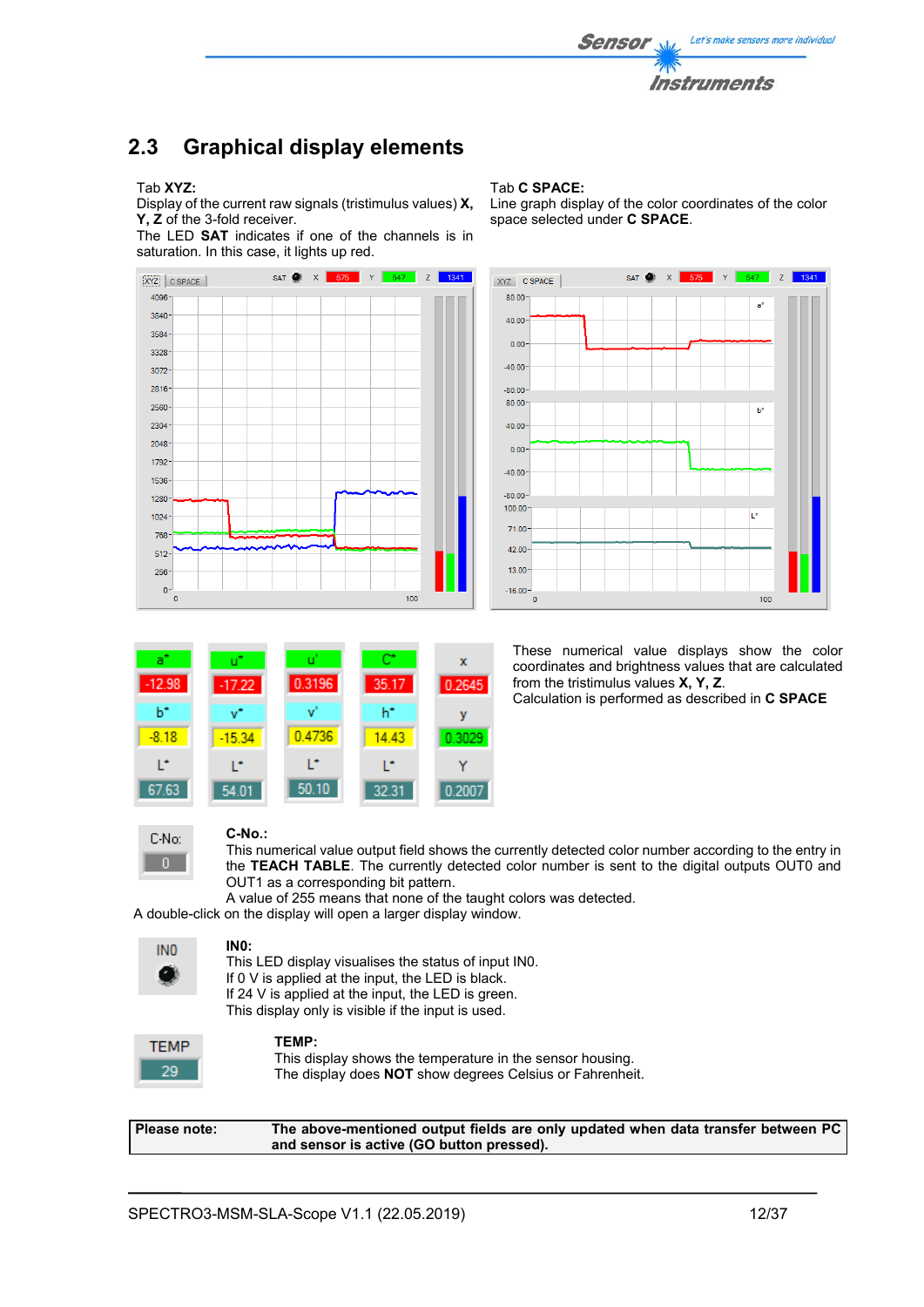

## **2.3 Graphical display elements**

#### Tab **XYZ:**

Display of the current raw signals (tristimulus values) **X, Y, Z** of the 3-fold receiver.

The LED **SAT** indicates if one of the channels is in saturation. In this case, it lights up red.



#### Tab **C SPACE:**

Line graph display of the color coordinates of the color space selected under **C SPACE**.



a  $\bar{x}$  $-12.98$  $-1722$ 0.3196 35.17 0.2645  $h^*$  $b^*$ ٧Ť ŵ y  $-8.18$ 0.4736  $-15.34$ 14.43 0.3029 b, L\* L\* L\* Ÿ 67.63  $54.01$  $50.10$ 32.31 0.2007

These numerical value displays show the color coordinates and brightness values that are calculated from the tristimulus values **X, Y, Z**. Calculation is performed as described in **C SPACE**



#### **C-No.:**

This numerical value output field shows the currently detected color number according to the entry in the **TEACH TABLE**. The currently detected color number is sent to the digital outputs OUT0 and OUT1 as a corresponding bit pattern.

A value of 255 means that none of the taught colors was detected.

A double-click on the display will open a larger display window.



## **IN0:**

This LED display visualises the status of input IN0. If 0 V is applied at the input, the LED is black. If 24 V is applied at the input, the LED is green. This display only is visible if the input is used.



#### **TEMP:**

This display shows the temperature in the sensor housing. The display does **NOT** show degrees Celsius or Fahrenheit.

**Please note: The above-mentioned output fields are only updated when data transfer between PC and sensor is active (GO button pressed).**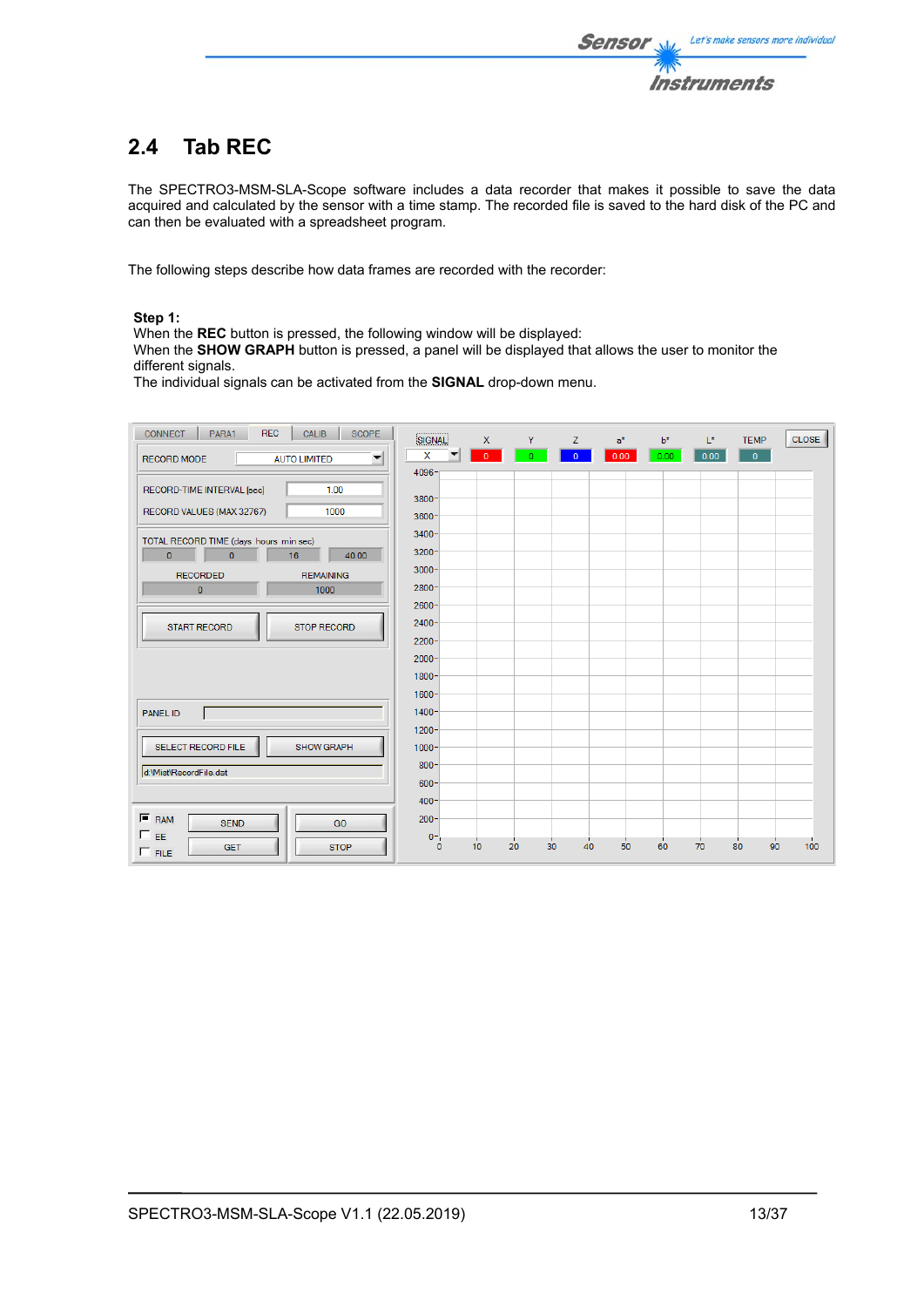

# **2.4 Tab REC**

The SPECTRO3-MSM-SLA-Scope software includes a data recorder that makes it possible to save the data acquired and calculated by the sensor with a time stamp. The recorded file is saved to the hard disk of the PC and can then be evaluated with a spreadsheet program.

The following steps describe how data frames are recorded with the recorder:

## **Step 1:**

When the **REC** button is pressed, the following window will be displayed:

When the **SHOW GRAPH** button is pressed, a panel will be displayed that allows the user to monitor the different signals.

The individual signals can be activated from the **SIGNAL** drop-down menu.

| <b>REC</b><br><b>CONNECT</b><br>PARA1<br>CALIB<br><b>SCOPE</b>       | SIGNAL               | $\mathsf{x}$ | Y.       | Z.             | $a^*$ | $b^*$ | $L^*$ | <b>TEMP</b>    | <b>CLOSE</b> |
|----------------------------------------------------------------------|----------------------|--------------|----------|----------------|-------|-------|-------|----------------|--------------|
| $\overline{\mathbf{v}}$<br><b>RECORD MODE</b><br><b>AUTO LIMITED</b> | x                    | $\mathbf{0}$ | O.       | $\overline{0}$ | 0.00  | 0.00  | 0.00  | $\overline{0}$ |              |
|                                                                      | $4096 -$             |              |          |                |       |       |       |                |              |
| RECORD-TIME INTERVAL [sec]<br>1.00                                   | $3800 -$             |              |          |                |       |       |       |                |              |
| RECORD VALUES (MAX 32767)<br>1000                                    | $3600 -$             |              |          |                |       |       |       |                |              |
| TOTAL RECORD TIME (days hours min sec)                               | $3400 -$             |              |          |                |       |       |       |                |              |
| $\overline{0}$<br>$\mathbf{0}$<br>16<br>40.00                        | $3200 -$             |              |          |                |       |       |       |                |              |
| <b>REMAINING</b><br><b>RECORDED</b>                                  | $3000 -$             |              |          |                |       |       |       |                |              |
| $\pmb{0}$<br>1000                                                    | $2800 -$             |              |          |                |       |       |       |                |              |
|                                                                      | $2600 -$<br>$2400 -$ |              |          |                |       |       |       |                |              |
| <b>START RECORD</b><br><b>STOP RECORD</b>                            | $2200 -$             |              |          |                |       |       |       |                |              |
|                                                                      | $2000 -$             |              |          |                |       |       |       |                |              |
|                                                                      | $1800 -$             |              |          |                |       |       |       |                |              |
|                                                                      | $1600 -$             |              |          |                |       |       |       |                |              |
| <b>PANEL ID</b>                                                      | $1400 -$             |              |          |                |       |       |       |                |              |
|                                                                      | $1200 -$             |              |          |                |       |       |       |                |              |
| SELECT RECORD FILE<br><b>SHOW GRAPH</b>                              | $1000 -$             |              |          |                |       |       |       |                |              |
| d:\Mist\RecordFile.dat                                               | $800 -$              |              |          |                |       |       |       |                |              |
|                                                                      | 600<br>$400 -$       |              |          |                |       |       |       |                |              |
| $F$ RAM                                                              | $200 -$              |              |          |                |       |       |       |                |              |
| <b>SEND</b><br>GO<br>$\Box$ EE                                       | $0 -$                |              |          |                |       |       |       |                |              |
| <b>STOP</b><br><b>GET</b><br>$\Box$ FILE                             | $\mathbf{0}$         | 10           | 20<br>30 | 40             | 50    | 60    | 70    | 80<br>90       | 100          |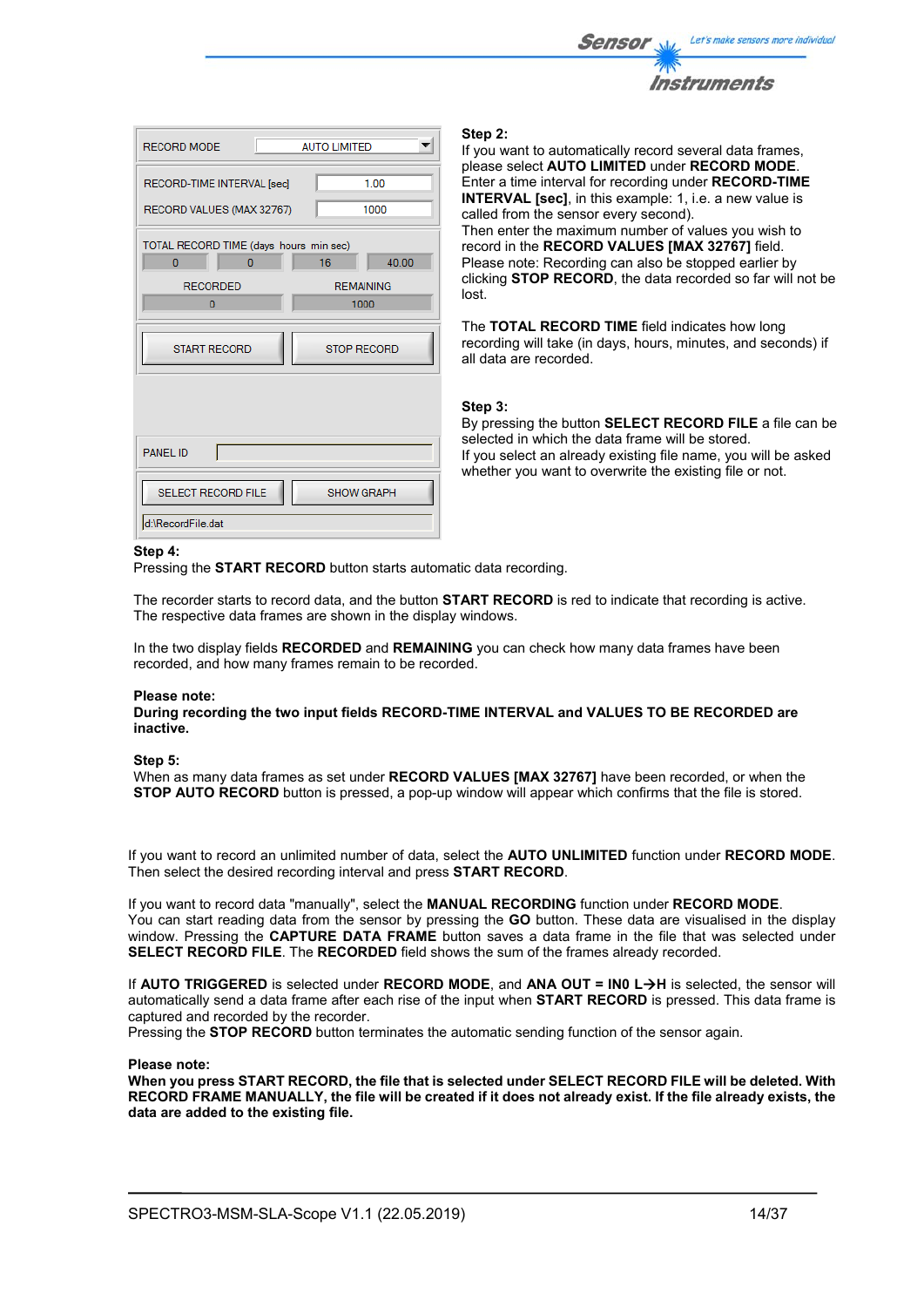

| <b>RECORD MODE</b>                                                                    | <b>AUTO LIMITED</b>                     |
|---------------------------------------------------------------------------------------|-----------------------------------------|
| RECORD-TIME INTERVAL [sec]<br>RECORD VALUES (MAX 32767)                               | 1.00<br>1000                            |
| TOTAL RECORD TIME (days hours min sec)<br>$\overline{0}$<br>0<br><b>RECORDED</b><br>0 | 16<br>40.00<br><b>REMAINING</b><br>1000 |
| <b>START RECORD</b>                                                                   | <b>STOP RECORD</b>                      |
| <b>PANEL ID</b>                                                                       |                                         |
| <b>SELECT RECORD FILE</b><br>d:\RecordFile.dat                                        | <b>SHOW GRAPH</b>                       |

#### **Step 2:**

If you want to automatically record several data frames, please select **AUTO LIMITED** under **RECORD MODE**. Enter a time interval for recording under **RECORD-TIME INTERVAL [sec]**, in this example: 1, i.e. a new value is called from the sensor every second). Then enter the maximum number of values you wish to record in the **RECORD VALUES [MAX 32767]** field. Please note: Recording can also be stopped earlier by clicking **STOP RECORD**, the data recorded so far will not be lost.

The **TOTAL RECORD TIME** field indicates how long recording will take (in days, hours, minutes, and seconds) if all data are recorded.

#### **Step 3:**

By pressing the button **SELECT RECORD FILE** a file can be selected in which the data frame will be stored. If you select an already existing file name, you will be asked whether you want to overwrite the existing file or not.

#### **Step 4:**

Pressing the **START RECORD** button starts automatic data recording.

The recorder starts to record data, and the button **START RECORD** is red to indicate that recording is active. The respective data frames are shown in the display windows.

In the two display fields **RECORDED** and **REMAINING** you can check how many data frames have been recorded, and how many frames remain to be recorded.

#### **Please note:**

**During recording the two input fields RECORD-TIME INTERVAL and VALUES TO BE RECORDED are inactive.**

#### **Step 5:**

When as many data frames as set under **RECORD VALUES [MAX 32767]** have been recorded, or when the **STOP AUTO RECORD** button is pressed, a pop-up window will appear which confirms that the file is stored.

If you want to record an unlimited number of data, select the **AUTO UNLIMITED** function under **RECORD MODE**. Then select the desired recording interval and press **START RECORD**.

If you want to record data "manually", select the **MANUAL RECORDING** function under **RECORD MODE**. You can start reading data from the sensor by pressing the **GO** button. These data are visualised in the display window. Pressing the **CAPTURE DATA FRAME** button saves a data frame in the file that was selected under **SELECT RECORD FILE**. The **RECORDED** field shows the sum of the frames already recorded.

If **AUTO TRIGGERED** is selected under **RECORD MODE**, and **ANA OUT = IN0 LH** is selected, the sensor will automatically send a data frame after each rise of the input when **START RECORD** is pressed. This data frame is captured and recorded by the recorder.

Pressing the **STOP RECORD** button terminates the automatic sending function of the sensor again.

#### **Please note:**

**When you press START RECORD, the file that is selected under SELECT RECORD FILE will be deleted. With RECORD FRAME MANUALLY, the file will be created if it does not already exist. If the file already exists, the data are added to the existing file.**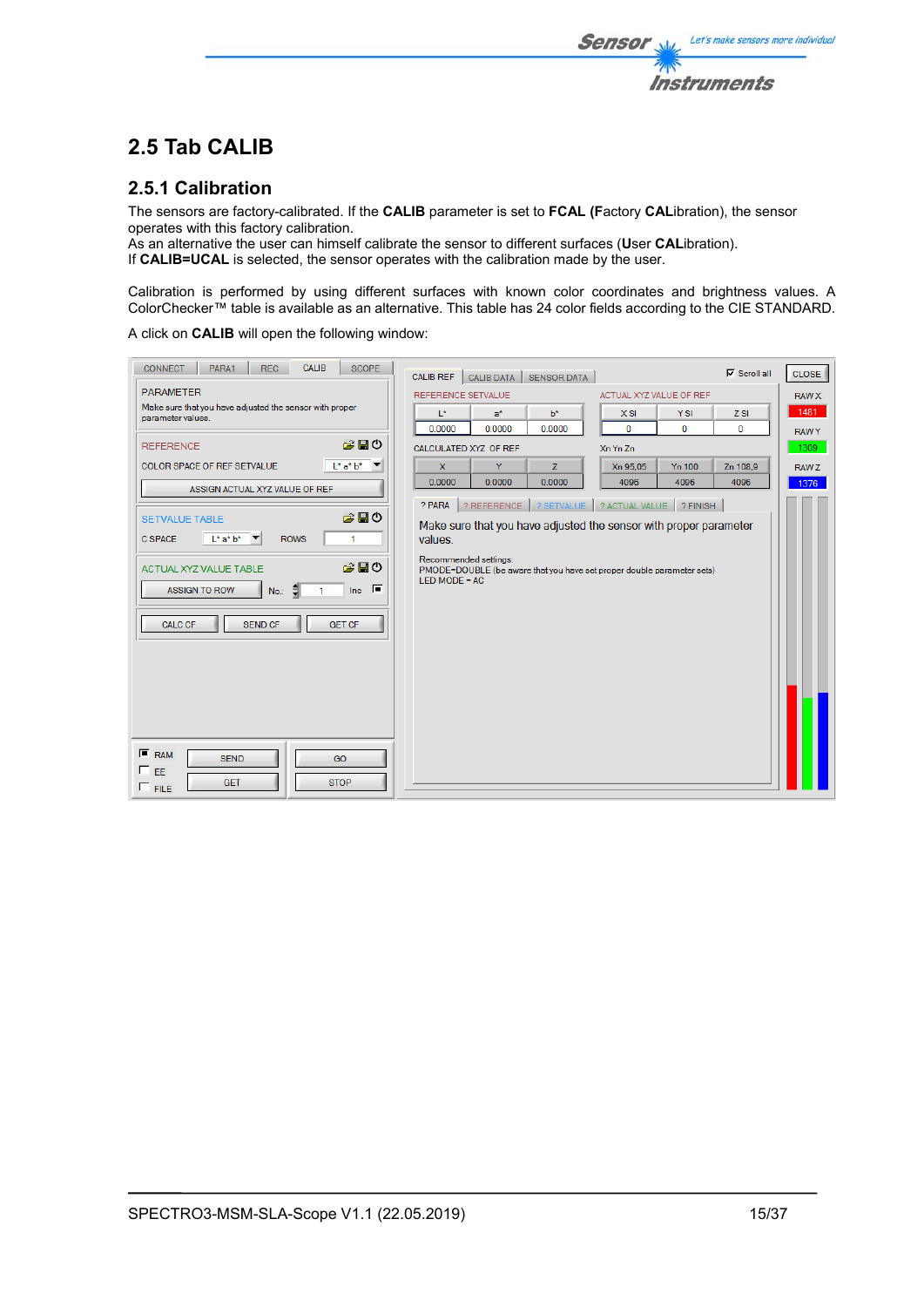## **2.5 Tab CALIB**

## **2.5.1 Calibration**

The sensors are factory-calibrated. If the **CALIB** parameter is set to **FCAL (F**actory **CAL**ibration), the sensor operates with this factory calibration.

As an alternative the user can himself calibrate the sensor to different surfaces (**U**ser **CAL**ibration). If **CALIB=UCAL** is selected, the sensor operates with the calibration made by the user.

Calibration is performed by using different surfaces with known color coordinates and brightness values. A ColorChecker™ table is available as an alternative. This table has 24 color fields according to the CIE STANDARD.

**Sensor** 

Let's make sensors more individual

**Instruments** 

A click on **CALIB** will open the following window:

| <b>CALIB</b><br>PARA1<br><b>SCOPE</b><br><b>CONNECT</b><br><b>REC</b>                           | <b>CALIB REF</b><br><b>CALIB DATA</b><br><b>SENSOR DATA</b>                               | $\nabla$ Scroll all<br><b>CLOSE</b> |
|-------------------------------------------------------------------------------------------------|-------------------------------------------------------------------------------------------|-------------------------------------|
| <b>PARAMETER</b>                                                                                | <b>REFERENCE SETVALUE</b><br>ACTUAL XYZ VALUE OF REF                                      | <b>RAW X</b>                        |
| Make sure that you have adjusted the sensor with proper<br>parameter values.                    | $L^*$<br>$b^*$<br><b>YSI</b><br>$a^*$<br>X SI                                             | 1481<br>$Z$ SI                      |
|                                                                                                 | $\mathbf 0$<br>0<br>0.0000<br>0.0000<br>0.0000                                            | 0<br><b>RAWY</b>                    |
| お目の<br><b>REFERENCE</b>                                                                         | CALCULATED XYZ OF REF<br>Xn Yn Zn                                                         | 1309                                |
| $L^*a^*b^*$<br>COLOR SPACE OF REF SETVALUE                                                      | $\mathbf{x}$<br>Y<br>Z<br>Xn 95.05<br><b>Yn 100</b>                                       | Zn 108.9<br>RAW Z                   |
| ASSIGN ACTUAL XYZ VALUE OF REF                                                                  | 0.0000<br>0.0000<br>0.0000<br>4096<br>4096                                                | 4096<br>1376                        |
|                                                                                                 | ? SETVALUE<br>? ACTUAL VALUE ? FINISH<br>? PARA<br>? REFERENCE                            |                                     |
| 房間の<br><b>SETVALUE TABLE</b>                                                                    | Make sure that you have adjusted the sensor with proper parameter                         |                                     |
| <b>ROWS</b><br>C SPACE<br>$L^*$ a* $b^*$<br>$\overline{\phantom{a}}$<br>1                       | values.                                                                                   |                                     |
|                                                                                                 | Recommended settings:                                                                     |                                     |
| お目の<br>ACTUAL XYZ VALUE TABLE                                                                   | PMODE=DOUBLE (be aware that you have set proper double parameter sets)<br>LED MODE = $AC$ |                                     |
| $\overline{\mathsf{Inc}}$ $\overline{\mathsf{I}}$<br>No.: $\frac{2}{3}$<br><b>ASSIGN TO ROW</b> |                                                                                           |                                     |
|                                                                                                 |                                                                                           |                                     |
| <b>CALC CF</b><br><b>SEND CF</b><br><b>GET CF</b>                                               |                                                                                           |                                     |
|                                                                                                 |                                                                                           |                                     |
|                                                                                                 |                                                                                           |                                     |
|                                                                                                 |                                                                                           |                                     |
|                                                                                                 |                                                                                           |                                     |
|                                                                                                 |                                                                                           |                                     |
|                                                                                                 |                                                                                           |                                     |
| $F$ RAM<br><b>SEND</b><br>GO                                                                    |                                                                                           |                                     |
| $\Gamma$ <sub>EE</sub>                                                                          |                                                                                           |                                     |
| <b>GET</b><br><b>STOP</b><br>$\Gamma$ FILE                                                      |                                                                                           |                                     |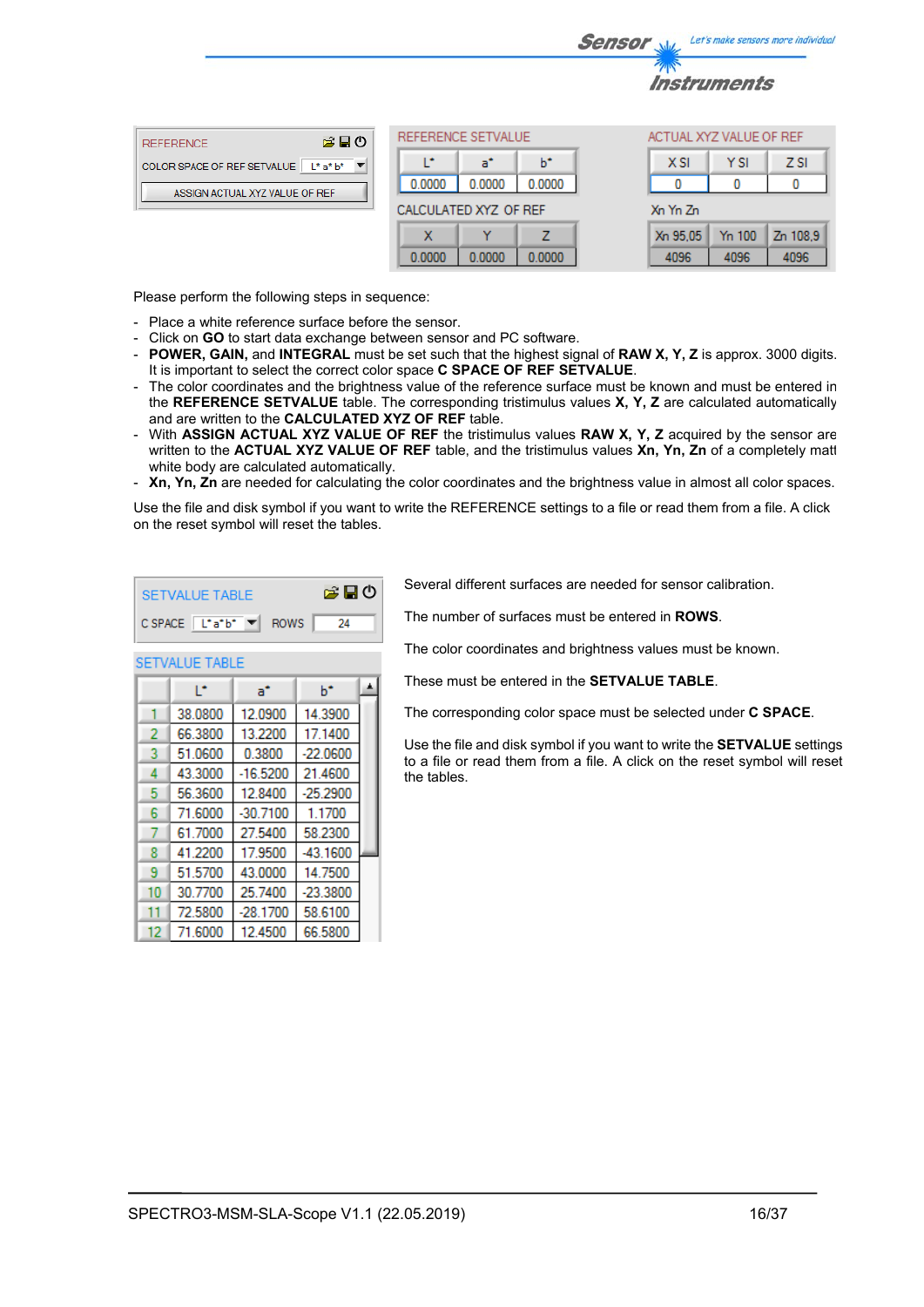|                                        |     |                       |        |        | <b>Sensor</b> | <b>Salaz</b>              |      | Let's make sensors more individua |
|----------------------------------------|-----|-----------------------|--------|--------|---------------|---------------------------|------|-----------------------------------|
|                                        |     |                       |        |        |               | <i><b>Instruments</b></i> |      |                                   |
| <b>REFERENCE</b>                       | 第日の | REFERENCE SETVALUE    |        |        |               | ACTUAL XYZ VALUE OF REF   |      |                                   |
| COLOR SPACE OF REF SETVALUE   L* a* b* |     |                       | a"     | b*     |               | <b>XSI</b>                | Y SI | <b>ZSI</b>                        |
| ASSIGN ACTUAL XYZ VALUE OF REF         |     | 0.0000                | 0.0000 | 0.0000 |               |                           |      |                                   |
|                                        |     | CALCULATED XYZ OF REF |        |        |               | Xn Yn Zn                  |      |                                   |

7

0.0000

 $\mathbf x$ 

0.0000

Please perform the following steps in sequence:

- Place a white reference surface before the sensor.
- Click on **GO** to start data exchange between sensor and PC software.
- **POWER, GAIN,** and **INTEGRAL** must be set such that the highest signal of **RAW X, Y, Z** is approx. 3000 digits. It is important to select the correct color space **C SPACE OF REF SETVALUE**.

0.0000

- The color coordinates and the brightness value of the reference surface must be known and must be entered in the **REFERENCE SETVALUE** table. The corresponding tristimulus values **X, Y, Z** are calculated automatically and are written to the **CALCULATED XYZ OF REF** table.
- With **ASSIGN ACTUAL XYZ VALUE OF REF** the tristimulus values **RAW X, Y, Z** acquired by the sensor are written to the **ACTUAL XYZ VALUE OF REF** table, and the tristimulus values **Xn, Yn, Zn** of a completely matt white body are calculated automatically.
- **Xn, Yn, Zn** are needed for calculating the color coordinates and the brightness value in almost all color spaces.

Use the file and disk symbol if you want to write the REFERENCE settings to a file or read them from a file. A click on the reset symbol will reset the tables.

| ఆ⊟ం<br><b>SETVALUE TABLE</b> |                            |            |            |  |  |  |  |
|------------------------------|----------------------------|------------|------------|--|--|--|--|
|                              | CSPACE L*a*b* ▼ ROWS<br>24 |            |            |  |  |  |  |
|                              | <b>SETVALUE TABLE</b>      |            |            |  |  |  |  |
|                              | Ľ                          | a*         | ь          |  |  |  |  |
| 1                            | 38.0800                    | 12.0900    | 14.3900    |  |  |  |  |
| 2                            | 66.3800                    | 13.2200    | 17.1400    |  |  |  |  |
| 3                            | 51.0600                    | 0.3800     | $-22.0600$ |  |  |  |  |
| 4                            | 43.3000                    | $-16.5200$ | 21.4600    |  |  |  |  |
| 5                            | 56.3600                    | 12.8400    | $-25.2900$ |  |  |  |  |
| 6                            | 71.6000                    | $-30.7100$ | 1.1700     |  |  |  |  |
| 7                            | 61.7000                    | 27.5400    | 58.2300    |  |  |  |  |
| 8                            | 41.2200                    | 17.9500    | -43.1600   |  |  |  |  |
| 9                            | 51.5700                    | 43.0000    | 14.7500    |  |  |  |  |
| 10                           | 30.7700                    | 25.7400    | $-23.3800$ |  |  |  |  |
| 11                           | 72.5800                    | $-28.1700$ | 58.6100    |  |  |  |  |
| 12                           | 71.6000                    | 12.4500    | 66.5800    |  |  |  |  |

Several different surfaces are needed for sensor calibration.

Xn 95.05

4096

Yn 100

4096

Zn 108.9

4096

The number of surfaces must be entered in **ROWS**.

The color coordinates and brightness values must be known.

These must be entered in the **SETVALUE TABLE**.

The corresponding color space must be selected under **C SPACE**.

Use the file and disk symbol if you want to write the **SETVALUE** settings to a file or read them from a file. A click on the reset symbol will reset the tables.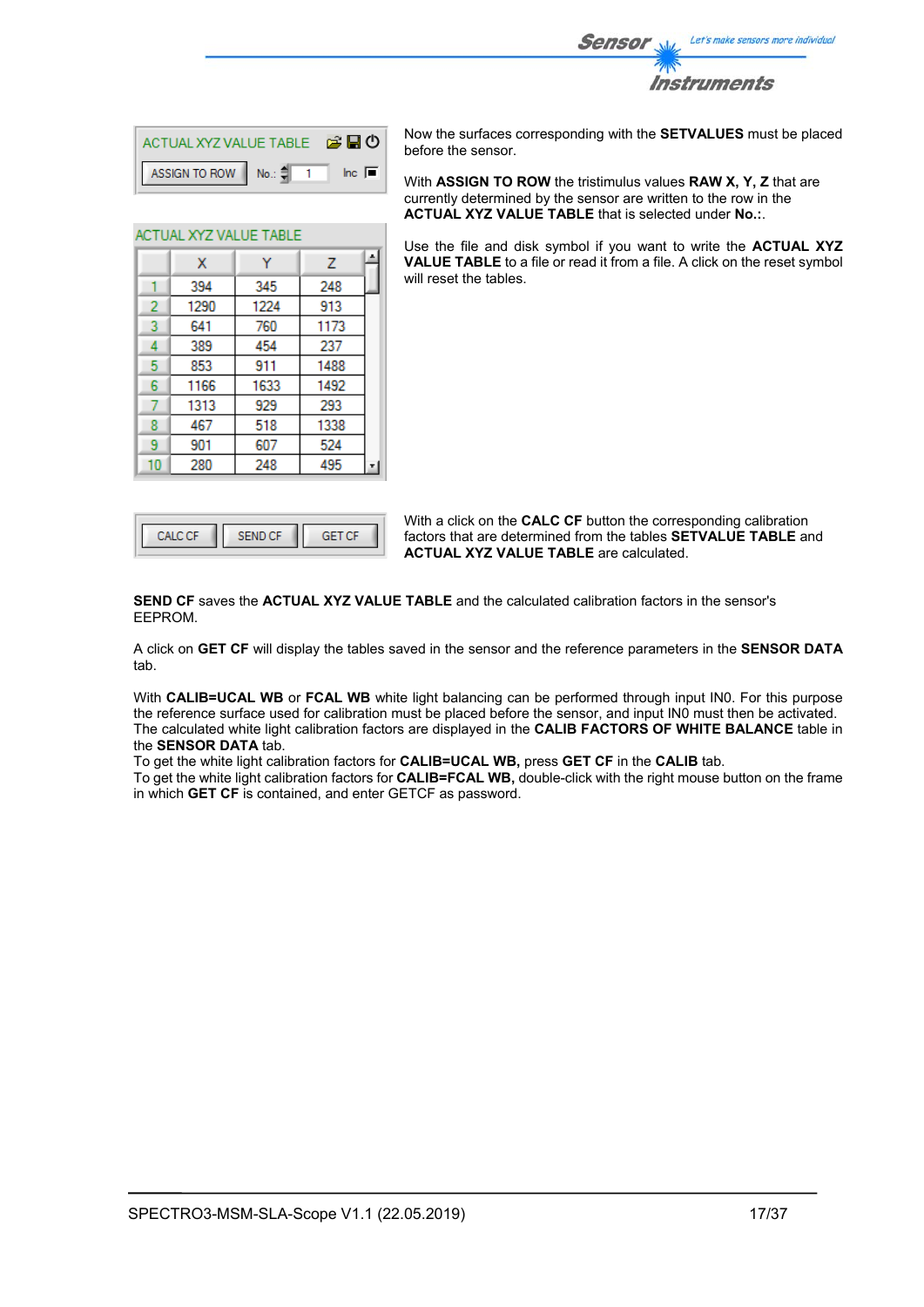

| ACTUAL XYZ VALUE TABLE <b>2 D</b> O |                |
|-------------------------------------|----------------|
| ASSIGN TO ROW No.: $\frac{4}{3}$ 1  | $\ln c$ $\Box$ |

Ÿ

345

1224

760

454

911

1633

929

518

607

248

A

 $\overline{z}$ 

248

913

1173

237

1488

1492

293

1338

524

495

ACTUAL XYZ VALUE TABLE

 $\mathbf{x}$ 

394

1290

641

389

853

1166

1313

467

901

280

 $\mathbf{1}$  $\overline{2}$ 

3  $\overline{4}$ 

5

 $\overline{6}$ 

 $\overline{7}$ 

8

 $\overline{9}$ 

 $10$ 

Now the surfaces corresponding with the **SETVALUES** must be placed before the sensor.

With **ASSIGN TO ROW** the tristimulus values **RAW X, Y, Z** that are currently determined by the sensor are written to the row in the **ACTUAL XYZ VALUE TABLE** that is selected under **No.:**.

Use the file and disk symbol if you want to write the **ACTUAL XYZ VALUE TABLE** to a file or read it from a file. A click on the reset symbol will reset the tables.

With a click on the **CALC CF** button the corresponding calibration factors that are determined from the tables **SETVALUE TABLE** and **ACTUAL XYZ VALUE TABLE** are calculated.

**SEND CF** saves the **ACTUAL XYZ VALUE TABLE** and the calculated calibration factors in the sensor's EEPROM.

A click on **GET CF** will display the tables saved in the sensor and the reference parameters in the **SENSOR DATA** tab.

With **CALIB=UCAL WB** or **FCAL WB** white light balancing can be performed through input IN0. For this purpose the reference surface used for calibration must be placed before the sensor, and input IN0 must then be activated. The calculated white light calibration factors are displayed in the **CALIB FACTORS OF WHITE BALANCE** table in the **SENSOR DATA** tab.

To get the white light calibration factors for **CALIB=UCAL WB,** press **GET CF** in the **CALIB** tab.

To get the white light calibration factors for **CALIB=FCAL WB,** double-click with the right mouse button on the frame in which **GET CF** is contained, and enter GETCF as password.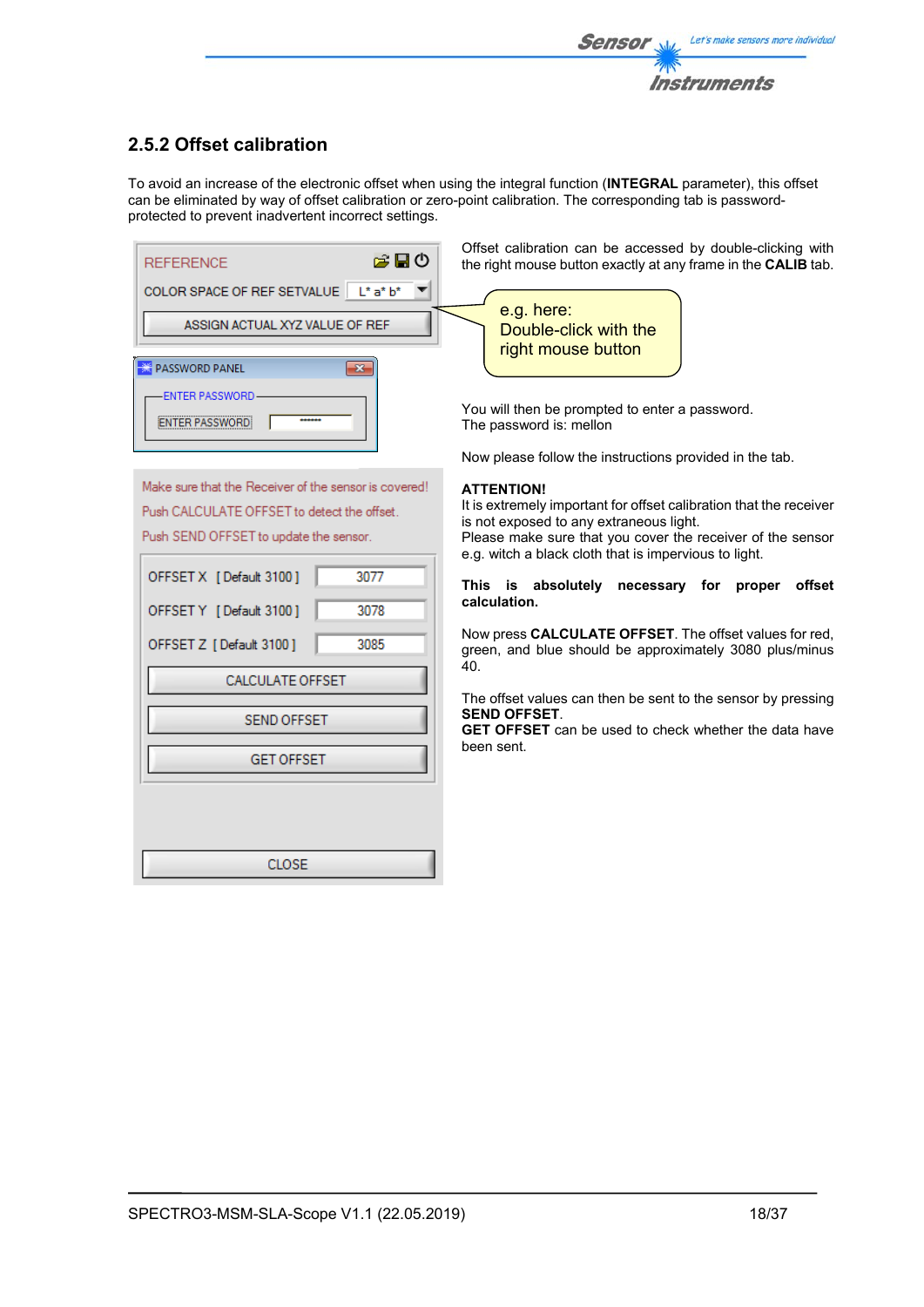

## **2.5.2 Offset calibration**

To avoid an increase of the electronic offset when using the integral function (**INTEGRAL** parameter), this offset can be eliminated by way of offset calibration or zero-point calibration. The corresponding tab is passwordprotected to prevent inadvertent incorrect settings.

| 合日の<br><b>REFERENCE</b>                | Offset calibration can be accessed by doub<br>the right mouse button exactly at any frame in |
|----------------------------------------|----------------------------------------------------------------------------------------------|
| COLOR SPACE OF REF SETVALUE   L* a* b* |                                                                                              |
|                                        | e.g. here:                                                                                   |
| ASSIGN ACTUAL XYZ VALUE OF REF         | Double-click with the<br>right mouse button                                                  |
| <b>PASSWORD PANEL</b>                  |                                                                                              |
| <b>ENTER PASSWORD</b>                  | You will then be prompted to enter a passwor                                                 |
|                                        | The password is: mellon                                                                      |

Make sure that the Receiver of the sensor is covered! Push CALCULATE OFFSET to detect the offset. Push SEND OFFSET to update the sensor.

| OFFSET X [Default 3100] | 3077 |  |  |  |  |  |  |  |  |
|-------------------------|------|--|--|--|--|--|--|--|--|
| OFFSET Y [Default 3100] | 3078 |  |  |  |  |  |  |  |  |
| OFFSET Z [Default 3100] | 3085 |  |  |  |  |  |  |  |  |
| <b>CALCULATE OFFSET</b> |      |  |  |  |  |  |  |  |  |
| <b>SEND OFFSET</b>      |      |  |  |  |  |  |  |  |  |
| <b>GET OFFSET</b>       |      |  |  |  |  |  |  |  |  |
|                         |      |  |  |  |  |  |  |  |  |
|                         |      |  |  |  |  |  |  |  |  |
| CLOSE                   |      |  |  |  |  |  |  |  |  |

ole-clicking with the **CALIB** tab.

You will then be prompted to enter a password. The password is: mellon

Now please follow the instructions provided in the tab.

## **ATTENTION!**

It is extremely important for offset calibration that the receiver is not exposed to any extraneous light.

Please make sure that you cover the receiver of the sensor e.g. witch a black cloth that is impervious to light.

**This is absolutely necessary for proper offset calculation.** 

Now press **CALCULATE OFFSET**. The offset values for red, green, and blue should be approximately 3080 plus/minus 40.

The offset values can then be sent to the sensor by pressing **SEND OFFSET**.

**GET OFFSET** can be used to check whether the data have been sent.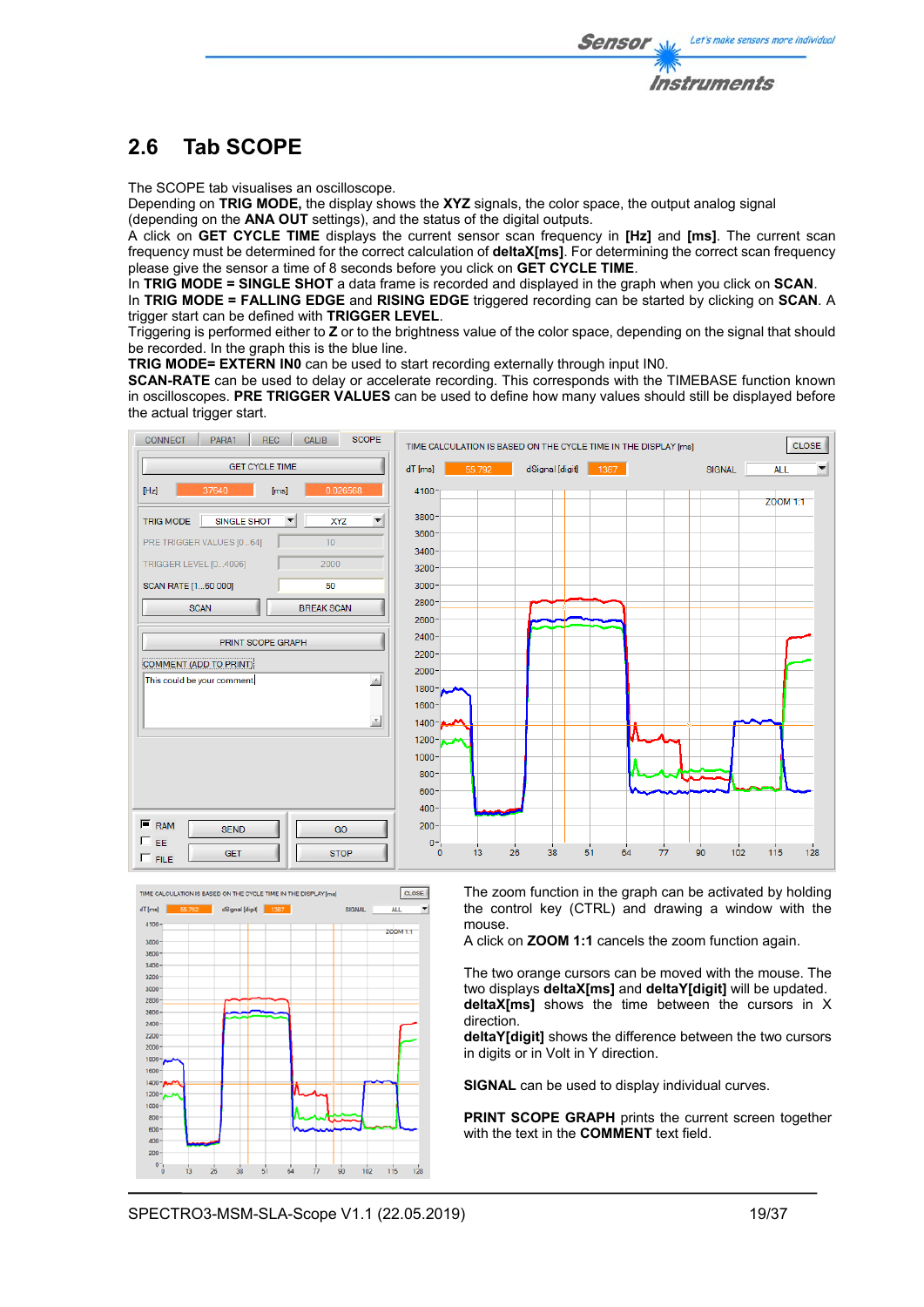# **2.6 Tab SCOPE**

The SCOPE tab visualises an oscilloscope.

Depending on **TRIG MODE,** the display shows the **XYZ** signals, the color space, the output analog signal (depending on the **ANA OUT** settings), and the status of the digital outputs.

A click on **GET CYCLE TIME** displays the current sensor scan frequency in **[Hz]** and **[ms]**. The current scan frequency must be determined for the correct calculation of **deltaX[ms]**. For determining the correct scan frequency please give the sensor a time of 8 seconds before you click on **GET CYCLE TIME**.

In **TRIG MODE = SINGLE SHOT** a data frame is recorded and displayed in the graph when you click on **SCAN**.

In **TRIG MODE = FALLING EDGE** and **RISING EDGE** triggered recording can be started by clicking on **SCAN**. A trigger start can be defined with **TRIGGER LEVEL**.

Triggering is performed either to **Z** or to the brightness value of the color space, depending on the signal that should be recorded. In the graph this is the blue line.

**TRIG MODE= EXTERN IN0** can be used to start recording externally through input IN0.

**SCAN-RATE** can be used to delay or accelerate recording. This corresponds with the TIMEBASE function known in oscilloscopes. **PRE TRIGGER VALUES** can be used to define how many values should still be displayed before the actual trigger start.





The zoom function in the graph can be activated by holding the control key (CTRL) and drawing a window with the mouse.

A click on **ZOOM 1:1** cancels the zoom function again.

The two orange cursors can be moved with the mouse. The two displays **deltaX[ms]** and **deltaY[digit]** will be updated. **deltaX[ms]** shows the time between the cursors in X direction.

**deltaY[digit]** shows the difference between the two cursors in digits or in Volt in Y direction.

**SIGNAL** can be used to display individual curves.

**PRINT SCOPE GRAPH** prints the current screen together with the text in the **COMMENT** text field.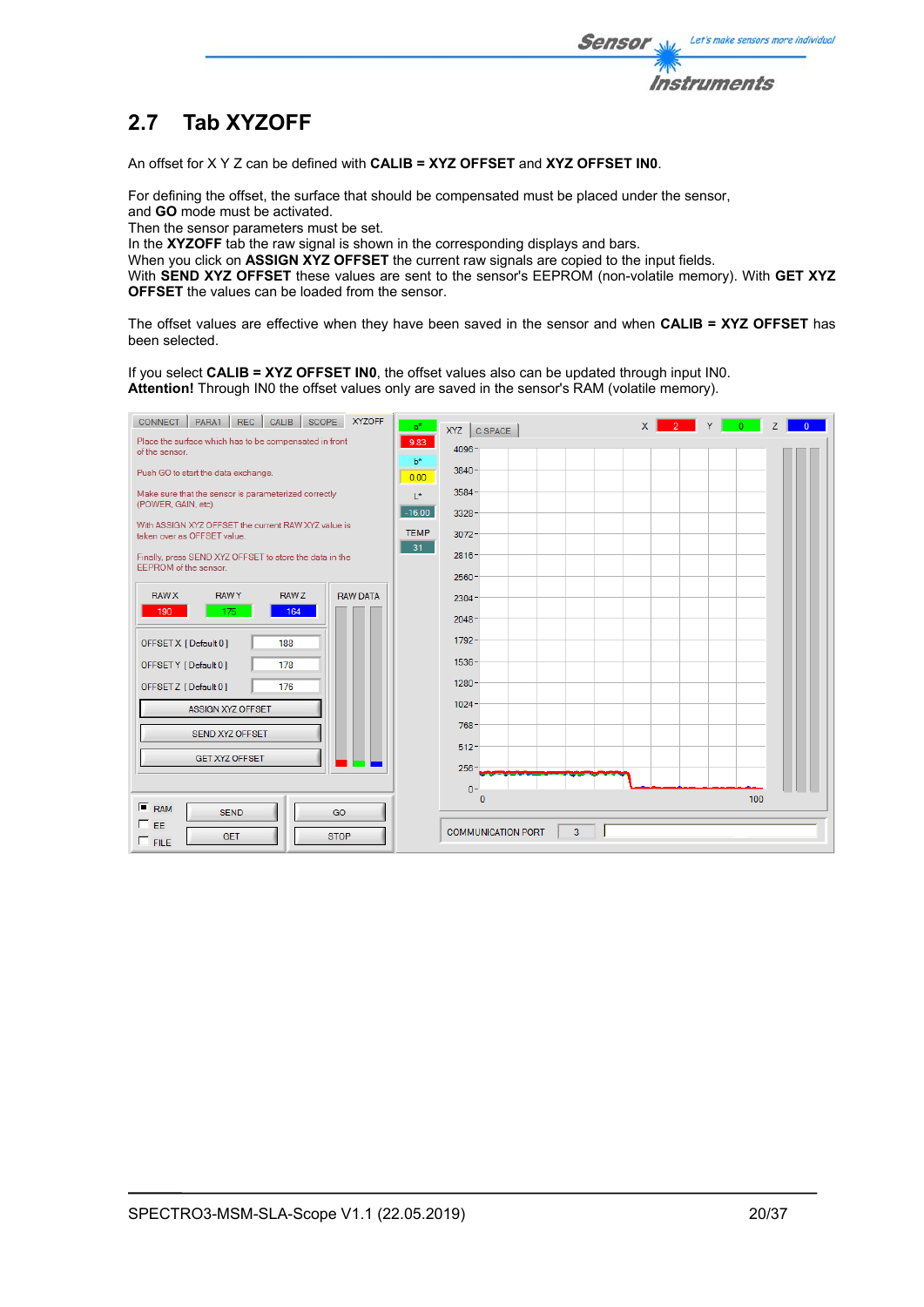

# **2.7 Tab XYZOFF**

An offset for X Y Z can be defined with **CALIB = XYZ OFFSET** and **XYZ OFFSET IN0**.

For defining the offset, the surface that should be compensated must be placed under the sensor, and **GO** mode must be activated.

Then the sensor parameters must be set.

In the XYZOFF tab the raw signal is shown in the corresponding displays and bars.

When you click on **ASSIGN XYZ OFFSET** the current raw signals are copied to the input fields.

With **SEND XYZ OFFSET** these values are sent to the sensor's EEPROM (non-volatile memory). With **GET XYZ OFFSET** the values can be loaded from the sensor.

The offset values are effective when they have been saved in the sensor and when **CALIB = XYZ OFFSET** has been selected.

If you select **CALIB = XYZ OFFSET IN0**, the offset values also can be updated through input IN0. **Attention!** Through IN0 the offset values only are saved in the sensor's RAM (volatile memory).

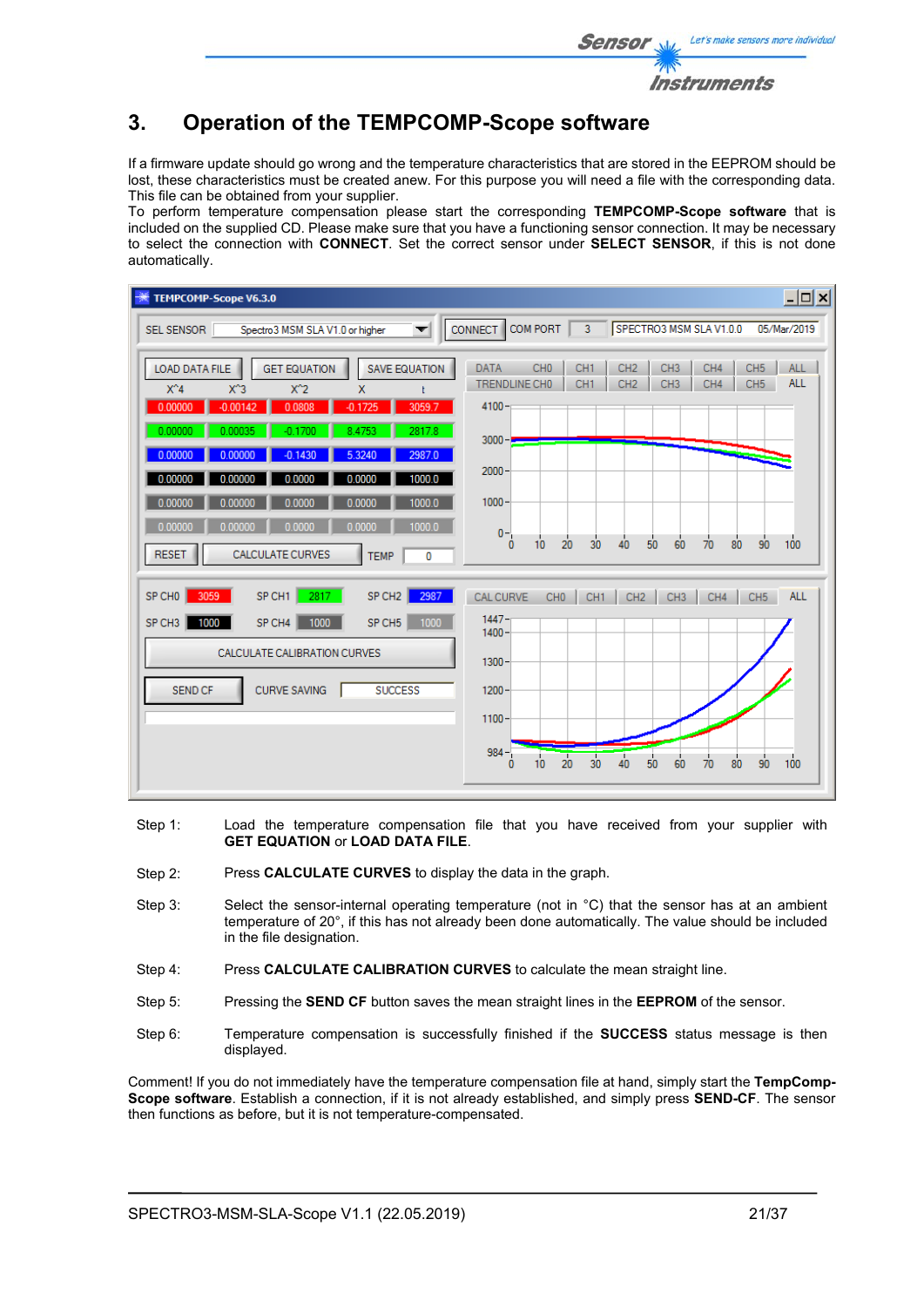

## **3. Operation of the TEMPCOMP-Scope software**

If a firmware update should go wrong and the temperature characteristics that are stored in the EEPROM should be lost, these characteristics must be created anew. For this purpose you will need a file with the corresponding data. This file can be obtained from your supplier.

To perform temperature compensation please start the corresponding **TEMPCOMP-Scope software** that is included on the supplied CD. Please make sure that you have a functioning sensor connection. It may be necessary to select the connection with **CONNECT**. Set the correct sensor under **SELECT SENSOR**, if this is not done automatically.

| <b>TEMPCOMP-Scope V6.3.0</b>                                                                                                                                                                                                                                                                                                                                                                                                                        | $\Box$ o $\Box$                                                                                                                                                                                                                                                                                                                                                                           |
|-----------------------------------------------------------------------------------------------------------------------------------------------------------------------------------------------------------------------------------------------------------------------------------------------------------------------------------------------------------------------------------------------------------------------------------------------------|-------------------------------------------------------------------------------------------------------------------------------------------------------------------------------------------------------------------------------------------------------------------------------------------------------------------------------------------------------------------------------------------|
| Spectro3 MSM SLA V1.0 or higher<br><b>SEL SENSOR</b><br>$\overline{\phantom{a}}$                                                                                                                                                                                                                                                                                                                                                                    | COM PORT<br>$\overline{3}$<br>SPECTRO3 MSM SLA V1.0.0<br><b>CONNECT</b><br>05/Mar/2019                                                                                                                                                                                                                                                                                                    |
| <b>LOAD DATA FILE</b><br><b>GET EQUATION</b><br><b>SAVE EQUATION</b><br>$X^4$<br>$X^2$<br>$X^3$<br>$\mathsf{x}$<br>3059.7<br>0.00000<br>$-0.00142$<br>0.0808<br>$-0.1725$<br>0.00000<br>2817.8<br>0.00035<br>$-0.1700$<br>8.4753<br>2987.0<br>0.00000<br>0.00000<br>5.3240<br>$-0.1430$<br>0.00000<br>1000.0<br>0.00000<br>0.0000<br>0.0000<br>1000.0<br>0.00000<br>0.00000<br>0.0000<br>0.0000<br>0.0000<br>1000.0<br>0.00000<br>0.00000<br>0.0000 | <b>DATA</b><br>CH <sub>0</sub><br>CH <sub>1</sub><br>CH <sub>2</sub><br>CH <sub>3</sub><br>CH4<br>CH <sub>5</sub><br><b>ALL</b><br><b>ALL</b><br>CH <sub>1</sub><br>CH <sub>2</sub><br>CH <sub>3</sub><br>CH4<br>CH <sub>5</sub><br>TRENDLINE CHO<br>$4100 -$<br>$3000 - 7$<br>$2000 -$<br>$1000 -$<br>$0 -$<br>50<br>80<br>30<br>90<br>100<br>20<br>60<br>40<br>70<br>10<br>$\mathbf{0}$ |
| <b>CALCULATE CURVES</b><br><b>RESET</b><br><b>TEMP</b><br>$\mathbf 0$<br>2817<br>SP CH1<br>3059<br>SP CH <sub>2</sub><br>SP CHO<br>2987<br>1000<br>SP CH4<br>1000<br>SP CH <sub>5</sub><br>SP CH <sub>3</sub><br>1000<br>CALCULATE CALIBRATION CURVES<br><b>SUCCESS</b><br><b>SEND CF</b><br><b>CURVE SAVING</b>                                                                                                                                    | <b>ALL</b><br><b>CAL CURVE</b><br>CH <sub>0</sub><br>CH <sub>1</sub><br>CH <sub>2</sub><br>CH <sub>3</sub><br>CH4<br>CH <sub>5</sub><br>$1447 -$<br>$1400 -$<br>$1300 -$<br>$1200 -$<br>$1100 -$<br>$984 -$<br>$\overline{20}$<br>30<br>40<br>80<br>90<br>100<br>50<br>70<br>60<br>10 <sup>10</sup><br>$\Omega$                                                                           |

- Step 1: Load the temperature compensation file that you have received from your supplier with **GET EQUATION** or **LOAD DATA FILE**.
- Step 2: Press **CALCULATE CURVES** to display the data in the graph.
- Step 3: Select the sensor-internal operating temperature (not in °C) that the sensor has at an ambient temperature of 20°, if this has not already been done automatically. The value should be included in the file designation.
- Step 4: Press **CALCULATE CALIBRATION CURVES** to calculate the mean straight line.
- Step 5: Pressing the **SEND CF** button saves the mean straight lines in the **EEPROM** of the sensor.
- Step 6: Temperature compensation is successfully finished if the **SUCCESS** status message is then displayed.

Comment! If you do not immediately have the temperature compensation file at hand, simply start the **TempComp-Scope software**. Establish a connection, if it is not already established, and simply press **SEND-CF**. The sensor then functions as before, but it is not temperature-compensated.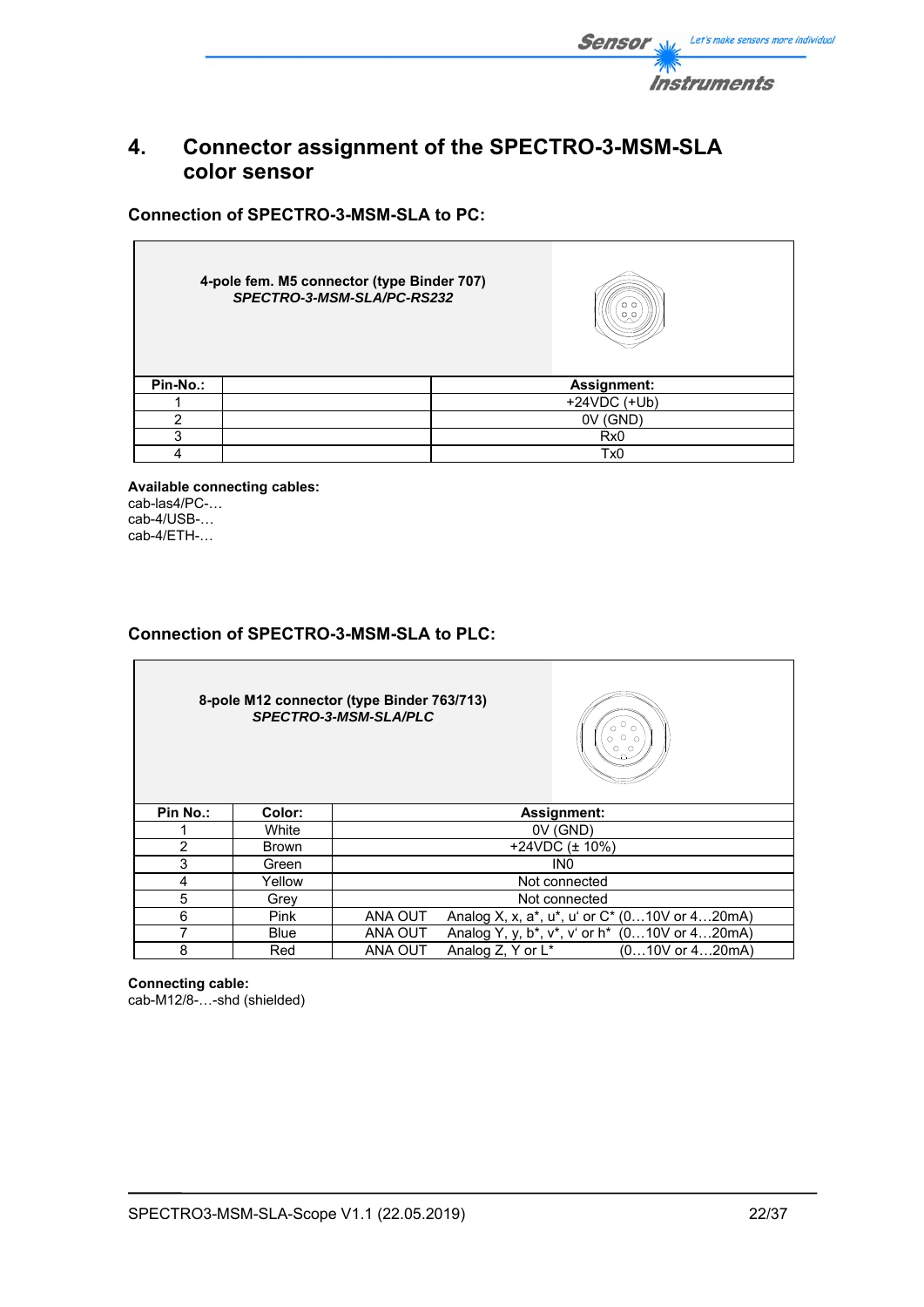

## **4. Connector assignment of the SPECTRO-3-MSM-SLA color sensor**

**Connection of SPECTRO-3-MSM-SLA to PC:** 

|          | 4-pole fem. M5 connector (type Binder 707)<br>SPECTRO-3-MSM-SLA/PC-RS232 |     | o o             |  |  |  |  |
|----------|--------------------------------------------------------------------------|-----|-----------------|--|--|--|--|
| Pin-No.: |                                                                          |     | Assignment:     |  |  |  |  |
|          |                                                                          |     | $+24VDC (+Ub)$  |  |  |  |  |
| 2        |                                                                          |     | (GND)<br>0V     |  |  |  |  |
| 3        |                                                                          | Rx0 |                 |  |  |  |  |
|          |                                                                          |     | Tx <sub>0</sub> |  |  |  |  |

**Available connecting cables:**  cab-las4/PC-… cab-4/USB-… cab-4/ETH-…

## **Connection of SPECTRO-3-MSM-SLA to PLC:**

**8-pole M12 connector (type Binder 763/713)**  *SPECTRO-3-MSM-SLA/PLC* 



| Pin No.: | Color:       | <b>Assignment:</b>                                             |  |  |  |  |  |  |
|----------|--------------|----------------------------------------------------------------|--|--|--|--|--|--|
|          | White        | 0V (GND)                                                       |  |  |  |  |  |  |
|          | <b>Brown</b> | +24VDC $(\pm 10\%)$                                            |  |  |  |  |  |  |
|          | Green        | IN <sub>0</sub>                                                |  |  |  |  |  |  |
|          | Yellow       | Not connected                                                  |  |  |  |  |  |  |
|          | Grev         | Not connected                                                  |  |  |  |  |  |  |
| 6        | Pink         | ANA OUT<br>Analog X, x, a*, u*, u' or C* (010V or 420mA)       |  |  |  |  |  |  |
|          | <b>Blue</b>  | ANA OUT<br>Analog Y, y, b*, v*, v' or h* (010V or 420mA)       |  |  |  |  |  |  |
|          | Red          | ANA OUT<br>Analog Z, Y or L <sup>*</sup><br>$(010V$ or $420mA$ |  |  |  |  |  |  |

**Connecting cable:**  cab-M12/8-…-shd (shielded)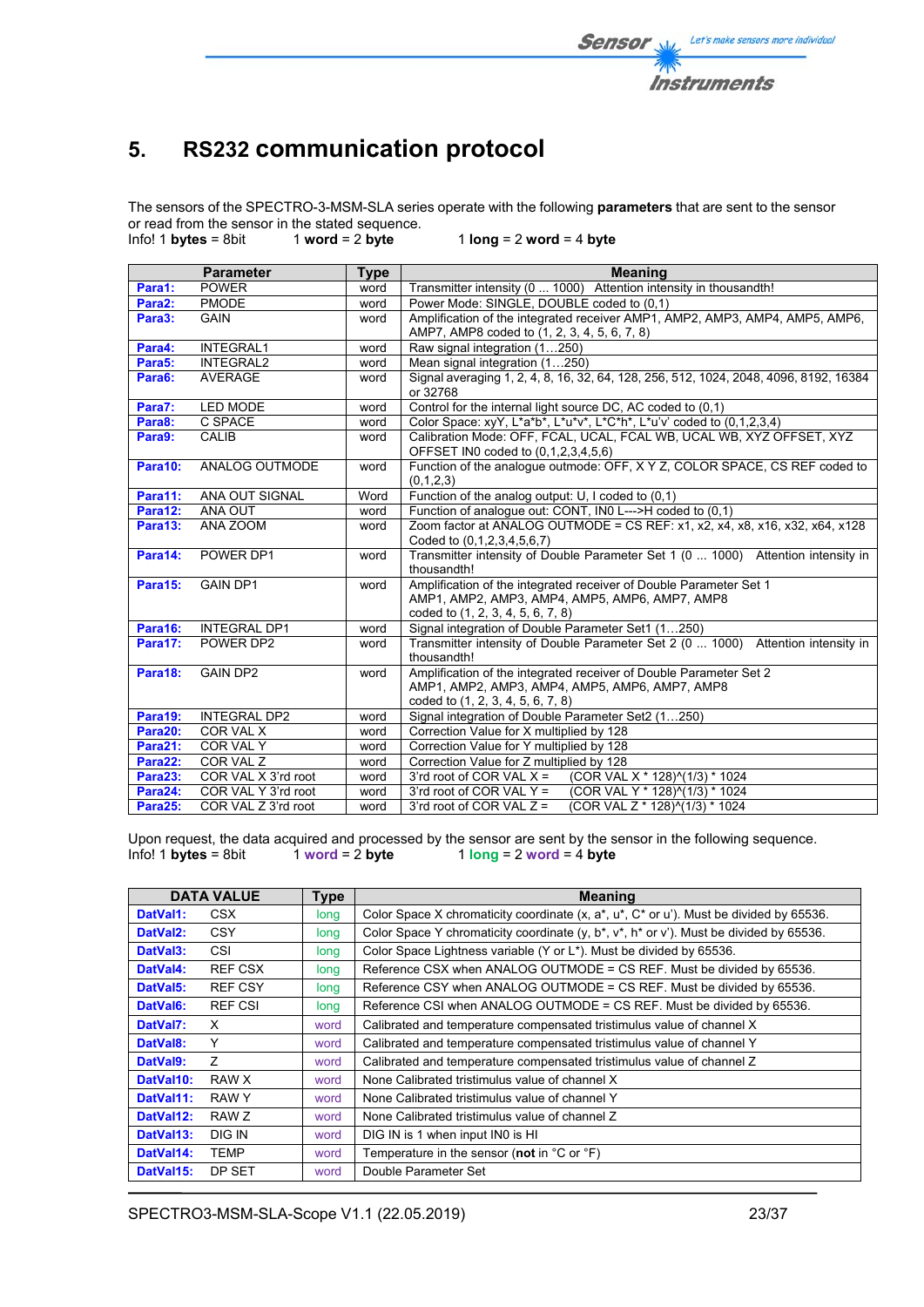

# **5. RS232 communication protocol**

The sensors of the SPECTRO-3-MSM-SLA series operate with the following **parameters** that are sent to the sensor or read from the sensor in the stated sequence.<br>Info! 1 bytes = 8bit  $1$  word = 2 byte

 $1$  **word** = 2 **byte**  $1$  **long** = 2 **word** = 4 **byte** 

|         | <b>Parameter</b>    | <b>Type</b> | <b>Meaning</b>                                                                                            |  |  |  |  |  |
|---------|---------------------|-------------|-----------------------------------------------------------------------------------------------------------|--|--|--|--|--|
| Para1:  | <b>POWER</b>        | word        | Transmitter intensity (0  1000) Attention intensity in thousandth!                                        |  |  |  |  |  |
| Para2:  | <b>PMODE</b>        | word        | Power Mode: SINGLE, DOUBLE coded to (0,1)                                                                 |  |  |  |  |  |
| Para3:  | <b>GAIN</b>         | word        | Amplification of the integrated receiver AMP1, AMP2, AMP3, AMP4, AMP5, AMP6,                              |  |  |  |  |  |
|         |                     |             | AMP7, AMP8 coded to (1, 2, 3, 4, 5, 6, 7, 8)                                                              |  |  |  |  |  |
| Para4:  | <b>INTEGRAL1</b>    | word        | Raw signal integration (1250)                                                                             |  |  |  |  |  |
| Para5:  | <b>INTEGRAL2</b>    | word        | Mean signal integration (1250)                                                                            |  |  |  |  |  |
| Para6:  | <b>AVERAGE</b>      | word        | Signal averaging 1, 2, 4, 8, 16, 32, 64, 128, 256, 512, 1024, 2048, 4096, 8192, 16384<br>or 32768         |  |  |  |  |  |
| Para7:  | LED MODE            | word        | Control for the internal light source DC, AC coded to (0,1)                                               |  |  |  |  |  |
| Para8:  | C SPACE             | word        | Color Space: xyY, L*a*b*, L*u*v*, L*C*h*, L*u'v' coded to (0,1,2,3,4)                                     |  |  |  |  |  |
| Para9:  | <b>CALIB</b>        | word        | Calibration Mode: OFF, FCAL, UCAL, FCAL WB, UCAL WB, XYZ OFFSET, XYZ                                      |  |  |  |  |  |
|         |                     |             | OFFSET IN0 coded to (0,1,2,3,4,5,6)                                                                       |  |  |  |  |  |
| Para10: | ANALOG OUTMODE      | word        | Function of the analogue outmode: OFF, X Y Z, COLOR SPACE, CS REF coded to                                |  |  |  |  |  |
|         |                     |             | (0,1,2,3)                                                                                                 |  |  |  |  |  |
| Para11: | ANA OUT SIGNAL      | Word        | Function of the analog output: U, I coded to (0,1)                                                        |  |  |  |  |  |
| Para12: | ANA OUT             | word        | Function of analogue out: CONT, IN0 L--->H coded to (0,1)                                                 |  |  |  |  |  |
| Para13: | ANA ZOOM            | word        | Zoom factor at ANALOG OUTMODE = CS REF: x1, x2, x4, x8, x16, x32, x64, x128<br>Coded to (0,1,2,3,4,5,6,7) |  |  |  |  |  |
| Para14: | POWER DP1           | word        | Transmitter intensity of Double Parameter Set 1 (0  1000) Attention intensity in                          |  |  |  |  |  |
|         |                     |             | thousandth!                                                                                               |  |  |  |  |  |
| Para15: | <b>GAIN DP1</b>     | word        | Amplification of the integrated receiver of Double Parameter Set 1                                        |  |  |  |  |  |
|         |                     |             | AMP1, AMP2, AMP3, AMP4, AMP5, AMP6, AMP7, AMP8                                                            |  |  |  |  |  |
|         |                     |             | coded to (1, 2, 3, 4, 5, 6, 7, 8)                                                                         |  |  |  |  |  |
| Para16: | <b>INTEGRAL DP1</b> | word        | Signal integration of Double Parameter Set1 (1250)                                                        |  |  |  |  |  |
| Para17: | POWER DP2           | word        | Transmitter intensity of Double Parameter Set 2 (0  1000) Attention intensity in<br>thousandth!           |  |  |  |  |  |
| Para18: | <b>GAIN DP2</b>     | word        | Amplification of the integrated receiver of Double Parameter Set 2                                        |  |  |  |  |  |
|         |                     |             | AMP1, AMP2, AMP3, AMP4, AMP5, AMP6, AMP7, AMP8                                                            |  |  |  |  |  |
|         |                     |             | coded to (1, 2, 3, 4, 5, 6, 7, 8)                                                                         |  |  |  |  |  |
| Para19: | <b>INTEGRAL DP2</b> | word        | Signal integration of Double Parameter Set2 (1250)                                                        |  |  |  |  |  |
| Para20: | COR VAL X           | word        | Correction Value for X multiplied by 128                                                                  |  |  |  |  |  |
| Para21: | COR VAL Y           | word        | Correction Value for Y multiplied by 128                                                                  |  |  |  |  |  |
| Para22: | COR VAL Z           | word        | Correction Value for Z multiplied by 128                                                                  |  |  |  |  |  |
| Para23: | COR VAL X 3'rd root | word        | 3'rd root of COR VAL $X =$<br>(COR VAL X * 128)^(1/3) * 1024                                              |  |  |  |  |  |
| Para24: | COR VAL Y 3'rd root | word        | 3'rd root of COR VAL $Y =$<br>(COR VAL Y * 128)^(1/3) * 1024                                              |  |  |  |  |  |
| Para25: | COR VAL Z 3'rd root | word        | (COR VAL Z * 128)^(1/3) * 1024<br>3'rd root of COR VAL $Z =$                                              |  |  |  |  |  |

Upon request, the data acquired and processed by the sensor are sent by the sensor in the following sequence.<br>Info! 1 bytes = 8bit 1 word = 2 byte 1 long = 2 word = 4 byte  $1$   $\log$  = 2 word = 4 **byte** 

|                       | <b>DATA VALUE</b> | <b>Type</b> | Meaning                                                                                                |  |  |  |  |  |
|-----------------------|-------------------|-------------|--------------------------------------------------------------------------------------------------------|--|--|--|--|--|
| DatVal1:              | CSX.              | long        | Color Space X chromaticity coordinate $(x, a^*, u^*, C^*)$ or u'). Must be divided by 65536.           |  |  |  |  |  |
| DatVal <sub>2</sub> : | <b>CSY</b>        | long        | Color Space Y chromaticity coordinate $(y, b^*, v^*, h^* \text{ or } v^*)$ . Must be divided by 65536. |  |  |  |  |  |
| DatVal3:              | CSI               | long        | Color Space Lightness variable (Y or L*). Must be divided by 65536.                                    |  |  |  |  |  |
| DatVal4:              | REF CSX           | long        | Reference CSX when ANALOG OUTMODE = CS REF. Must be divided by 65536.                                  |  |  |  |  |  |
| DatVal5:              | <b>REF CSY</b>    | long        | Reference CSY when ANALOG OUTMODE = CS REF. Must be divided by 65536.                                  |  |  |  |  |  |
| DatVal <sub>6</sub> : | <b>REF CSI</b>    | long        | Reference CSI when ANALOG OUTMODE = CS REF. Must be divided by 65536.                                  |  |  |  |  |  |
| DatVal7:              | X                 | word        | Calibrated and temperature compensated tristimulus value of channel X                                  |  |  |  |  |  |
| DatVal8:              | Y                 | word        | Calibrated and temperature compensated tristimulus value of channel Y                                  |  |  |  |  |  |
| DatVal9:              | $\overline{z}$    | word        | Calibrated and temperature compensated tristimulus value of channel Z                                  |  |  |  |  |  |
| DatVal10:             | RAW X             | word        | None Calibrated tristimulus value of channel X                                                         |  |  |  |  |  |
| DatVal11:             | RAW Y             | word        | None Calibrated tristimulus value of channel Y                                                         |  |  |  |  |  |
| DatVal12:             | RAW Z             | word        | None Calibrated tristimulus value of channel Z                                                         |  |  |  |  |  |
| DatVal13:             | DIG IN            | word        | DIG IN is 1 when input IN0 is HI                                                                       |  |  |  |  |  |
| DatVal14:             | <b>TEMP</b>       | word        | Temperature in the sensor (not in $^{\circ}$ C or $^{\circ}$ F)                                        |  |  |  |  |  |
| DatVal15:             | DP SET            | word        | Double Parameter Set                                                                                   |  |  |  |  |  |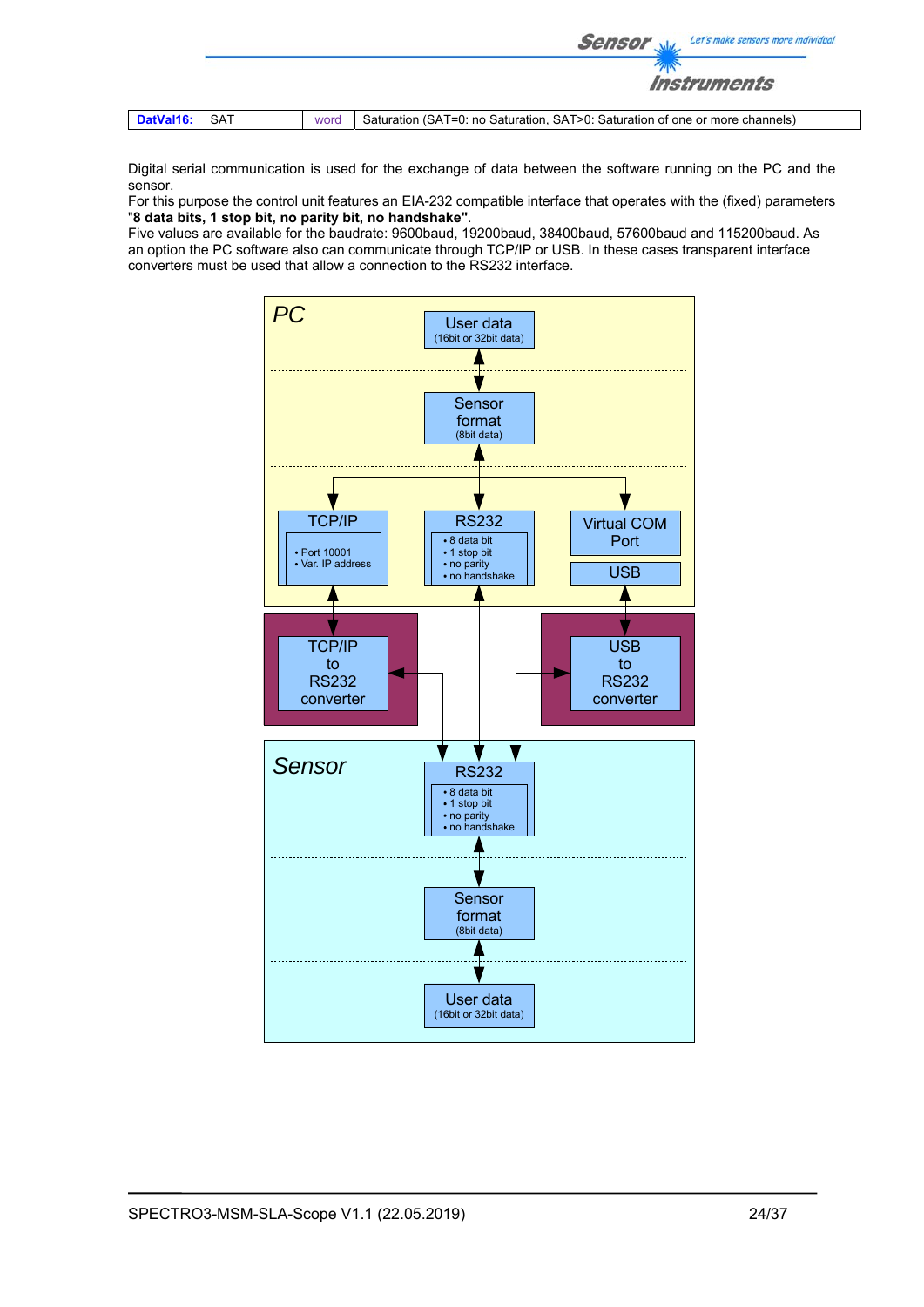|               |      | Let's make sensors more individual<br><b>Sensor</b>                          |
|---------------|------|------------------------------------------------------------------------------|
|               |      | <i><b>Instruments</b></i>                                                    |
| DatVal16: SAT | word | Saturation (SAT=0: no Saturation, SAT>0: Saturation of one or more channels) |

Digital serial communication is used for the exchange of data between the software running on the PC and the sensor.

For this purpose the control unit features an EIA-232 compatible interface that operates with the (fixed) parameters "**8 data bits, 1 stop bit, no parity bit, no handshake"**.

Five values are available for the baudrate: 9600baud, 19200baud, 38400baud, 57600baud and 115200baud. As an option the PC software also can communicate through TCP/IP or USB. In these cases transparent interface converters must be used that allow a connection to the RS232 interface.

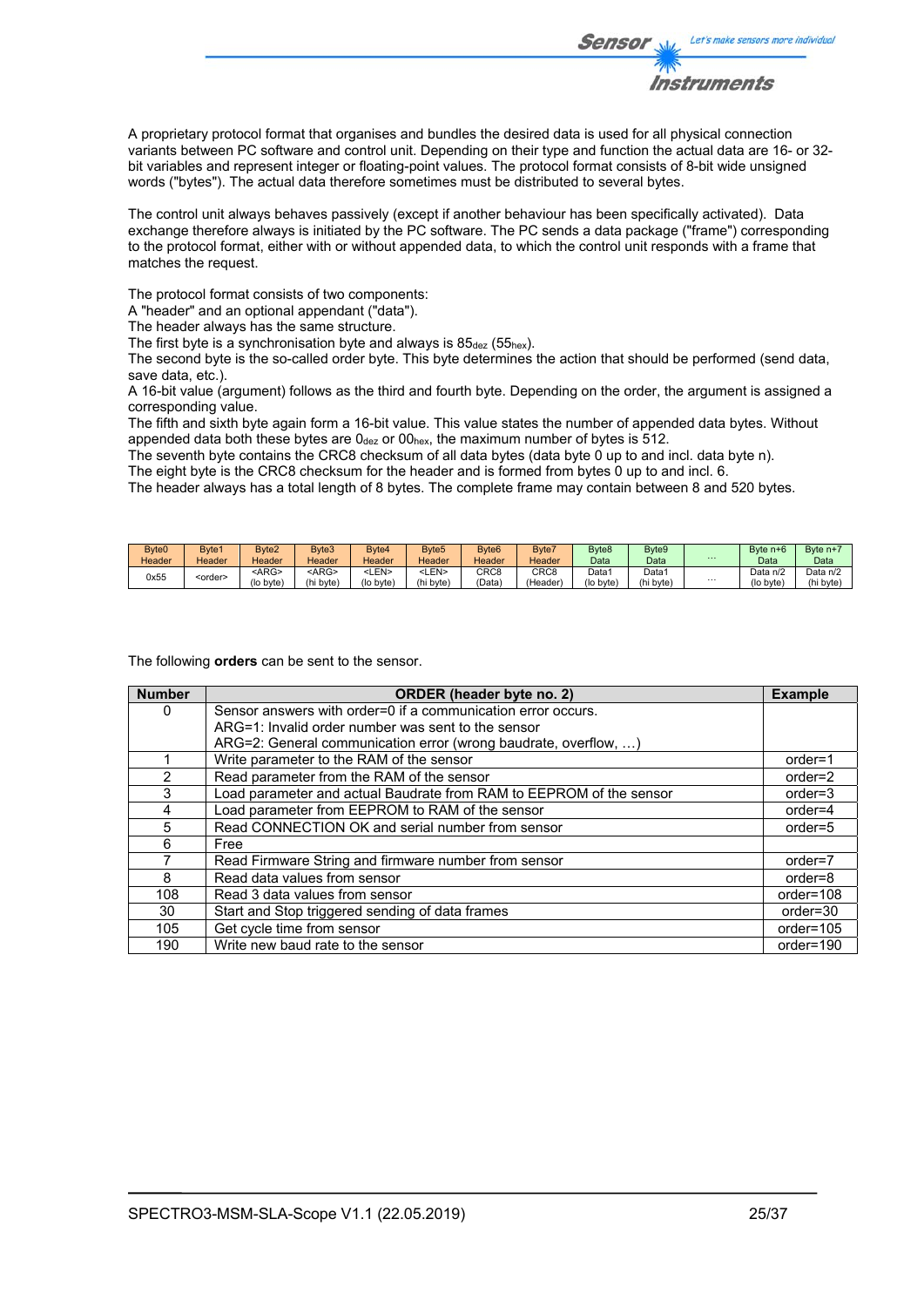

A proprietary protocol format that organises and bundles the desired data is used for all physical connection variants between PC software and control unit. Depending on their type and function the actual data are 16- or 32 bit variables and represent integer or floating-point values. The protocol format consists of 8-bit wide unsigned words ("bytes"). The actual data therefore sometimes must be distributed to several bytes.

The control unit always behaves passively (except if another behaviour has been specifically activated). Data exchange therefore always is initiated by the PC software. The PC sends a data package ("frame") corresponding to the protocol format, either with or without appended data, to which the control unit responds with a frame that matches the request.

The protocol format consists of two components:

A "header" and an optional appendant ("data").

The header always has the same structure.

The first byte is a synchronisation byte and always is  $85_{\text{dez}}$  (55<sub>hex</sub>).

The second byte is the so-called order byte. This byte determines the action that should be performed (send data, save data, etc.).

A 16-bit value (argument) follows as the third and fourth byte. Depending on the order, the argument is assigned a corresponding value.

The fifth and sixth byte again form a 16-bit value. This value states the number of appended data bytes. Without appended data both these bytes are  $0_{\text{dez}}$  or  $00_{\text{hex}}$ , the maximum number of bytes is 512.

The seventh byte contains the CRC8 checksum of all data bytes (data byte 0 up to and incl. data byte n).

The eight byte is the CRC8 checksum for the header and is formed from bytes 0 up to and incl. 6.

The header always has a total length of 8 bytes. The complete frame may contain between 8 and 520 bytes.

| Byte <sub>0</sub> | Byte1           | Byte <sub>2</sub> | Byte3       | Byte4           | Byte <sub>5</sub> | Byte <sub>6</sub> | Byte7   | Byte <sub>8</sub> | Byte9             |          | Byte $n+6$ | Byte $n + i$ |
|-------------------|-----------------|-------------------|-------------|-----------------|-------------------|-------------------|---------|-------------------|-------------------|----------|------------|--------------|
| Header            | Header          | Header            | Header      | Header          | Header            | Header            | Header  | Data              | Data              | $\cdots$ | Data       | Data         |
|                   |                 | $<$ ARG>          | <arg></arg> | <len></len>     | -LEN>             | CRC <sub>8</sub>  | CRC8    | Data1             | Data <sup>.</sup> |          | Data n/2   | Data n/2     |
| 0x55              | <order></order> | (lo byte)         | (hi byte)   | $($ lo byte $)$ | (hi byte)         | (Data             | (Header | (lo byte)         | (hi byte)         | $\cdots$ | (lo byte)  | (hi byte     |

The following **orders** can be sent to the sensor.

| <b>Number</b> | <b>ORDER</b> (header byte no. 2)                                    | <b>Example</b> |
|---------------|---------------------------------------------------------------------|----------------|
| 0             | Sensor answers with order=0 if a communication error occurs.        |                |
|               | ARG=1: Invalid order number was sent to the sensor                  |                |
|               | ARG=2: General communication error (wrong baudrate, overflow, )     |                |
|               | Write parameter to the RAM of the sensor                            | $order=1$      |
|               | Read parameter from the RAM of the sensor                           | order=2        |
| 3             | Load parameter and actual Baudrate from RAM to EEPROM of the sensor | $order = 3$    |
| 4             | Load parameter from EEPROM to RAM of the sensor                     | $order=4$      |
| 5             | Read CONNECTION OK and serial number from sensor                    | $order=5$      |
| 6             | Free                                                                |                |
|               | Read Firmware String and firmware number from sensor                | $order=7$      |
| 8             | Read data values from sensor                                        | order=8        |
| 108           | Read 3 data values from sensor                                      | order=108      |
| 30            | Start and Stop triggered sending of data frames                     | order=30       |
| 105           | Get cycle time from sensor                                          | order=105      |
| 190           | Write new baud rate to the sensor                                   | order=190      |

Let's make sensors more individual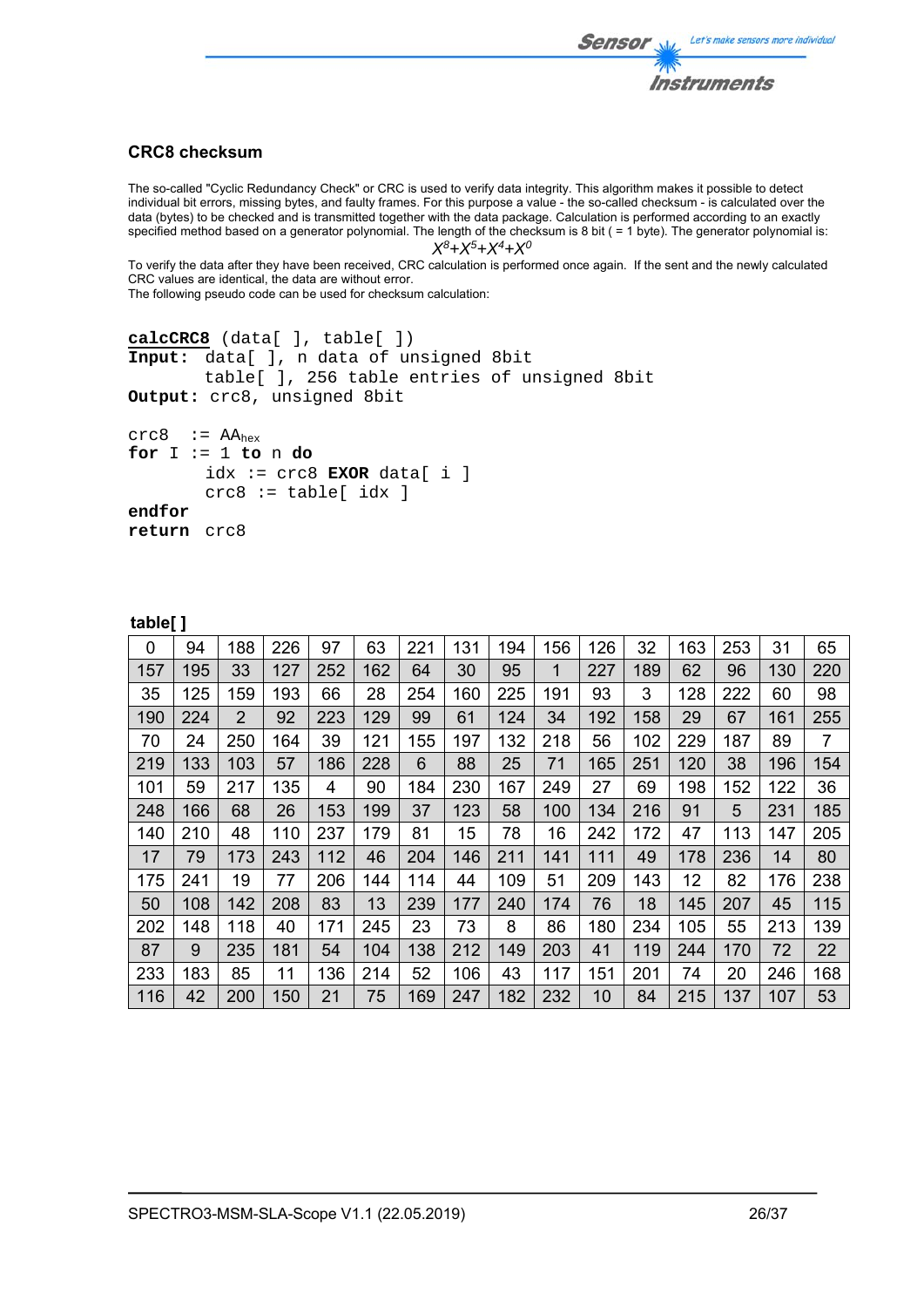

## **CRC8 checksum**

The so-called "Cyclic Redundancy Check" or CRC is used to verify data integrity. This algorithm makes it possible to detect individual bit errors, missing bytes, and faulty frames. For this purpose a value - the so-called checksum - is calculated over the data (bytes) to be checked and is transmitted together with the data package. Calculation is performed according to an exactly specified method based on a generator polynomial. The length of the checksum is 8 bit ( = 1 byte). The generator polynomial is: *X8+X5+X4+X0*

To verify the data after they have been received, CRC calculation is performed once again. If the sent and the newly calculated CRC values are identical, the data are without error.

The following pseudo code can be used for checksum calculation:

```
calcCRC8 (data[ ], table[ ]) 
Input: data[ ], n data of unsigned 8bit 
         table[ ], 256 table entries of unsigned 8bit 
Output: crc8, unsigned 8bit 
crc8 := AA<sub>hex</sub>for I := 1 to n do 
        idx := crc8 EXOR data[ i ] 
        crc8 := table[idx]endfor 
return crc8
```

| a   | וסו | ı<br>o |  |  |
|-----|-----|--------|--|--|
| . . |     |        |  |  |

| 0   | 94  | 188            | 226 | 97  | 63  | 221 | 131 | 194 | 156 | 126 | 32  | 163 | 253 | 31  | 65  |
|-----|-----|----------------|-----|-----|-----|-----|-----|-----|-----|-----|-----|-----|-----|-----|-----|
| 157 | 195 | 33             | 127 | 252 | 162 | 64  | 30  | 95  | 1   | 227 | 189 | 62  | 96  | 130 | 220 |
| 35  | 125 | 159            | 193 | 66  | 28  | 254 | 160 | 225 | 191 | 93  | 3   | 128 | 222 | 60  | 98  |
| 190 | 224 | $\overline{2}$ | 92  | 223 | 129 | 99  | 61  | 124 | 34  | 192 | 158 | 29  | 67  | 161 | 255 |
| 70  | 24  | 250            | 164 | 39  | 121 | 155 | 197 | 132 | 218 | 56  | 102 | 229 | 187 | 89  | 7   |
| 219 | 133 | 103            | 57  | 186 | 228 | 6   | 88  | 25  | 71  | 165 | 251 | 120 | 38  | 196 | 154 |
| 101 | 59  | 217            | 135 | 4   | 90  | 184 | 230 | 167 | 249 | 27  | 69  | 198 | 152 | 122 | 36  |
| 248 | 166 | 68             | 26  | 153 | 199 | 37  | 123 | 58  | 100 | 134 | 216 | 91  | 5   | 231 | 185 |
| 140 | 210 | 48             | 110 | 237 | 179 | 81  | 15  | 78  | 16  | 242 | 172 | 47  | 113 | 147 | 205 |
| 17  | 79  | 173            | 243 | 112 | 46  | 204 | 146 | 211 | 141 | 111 | 49  | 178 | 236 | 14  | 80  |
| 175 | 241 | 19             | 77  | 206 | 144 | 114 | 44  | 109 | 51  | 209 | 143 | 12  | 82  | 176 | 238 |
| 50  | 108 | 142            | 208 | 83  | 13  | 239 | 177 | 240 | 174 | 76  | 18  | 145 | 207 | 45  | 115 |
| 202 | 148 | 118            | 40  | 171 | 245 | 23  | 73  | 8   | 86  | 180 | 234 | 105 | 55  | 213 | 139 |
| 87  | 9   | 235            | 181 | 54  | 104 | 138 | 212 | 149 | 203 | 41  | 119 | 244 | 170 | 72  | 22  |
| 233 | 183 | 85             | 11  | 136 | 214 | 52  | 106 | 43  | 117 | 151 | 201 | 74  | 20  | 246 | 168 |
| 116 | 42  | 200            | 150 | 21  | 75  | 169 | 247 | 182 | 232 | 10  | 84  | 215 | 137 | 107 | 53  |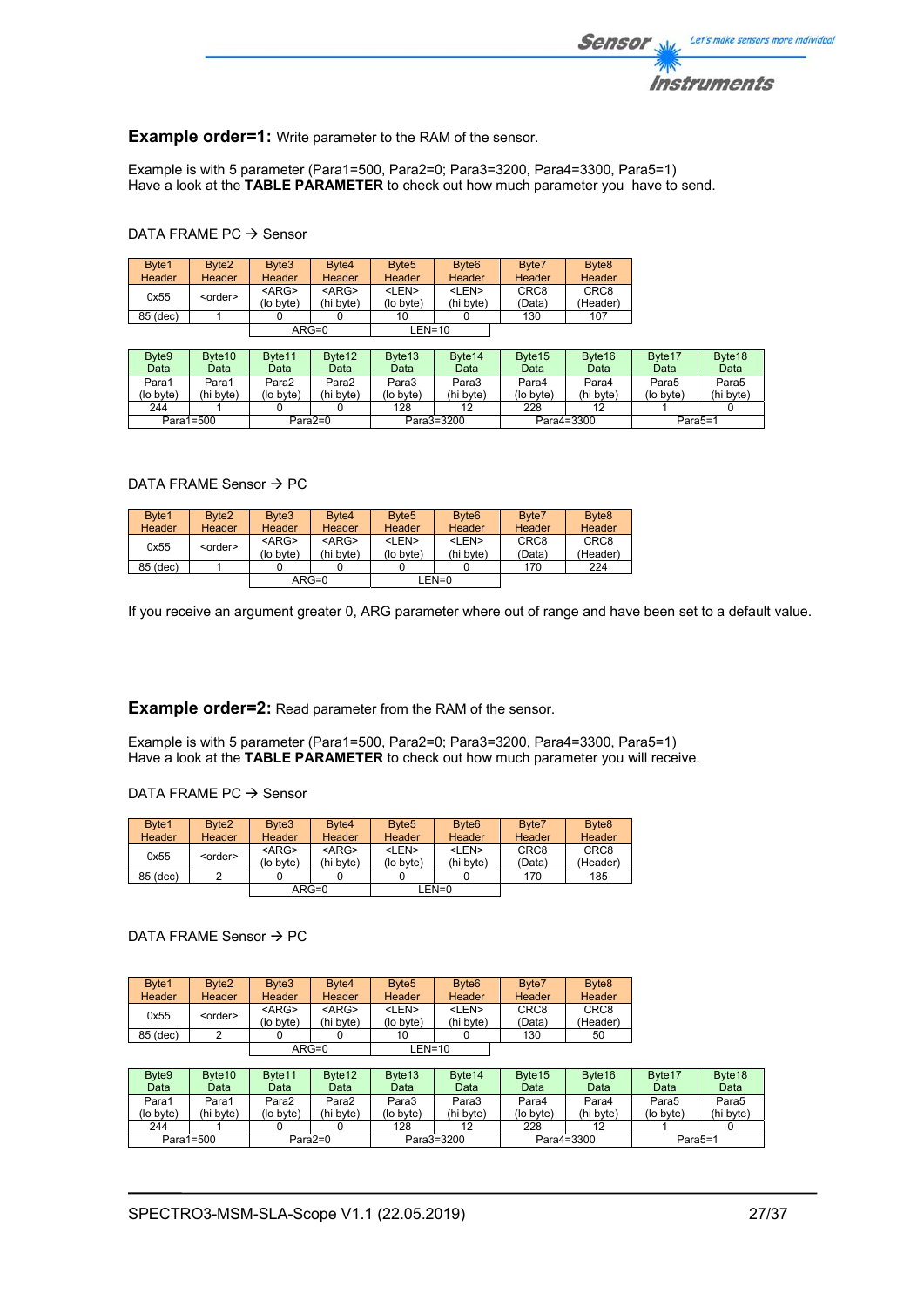

## **Example order=1:** Write parameter to the RAM of the sensor.

Example is with 5 parameter (Para1=500, Para2=0; Para3=3200, Para4=3300, Para5=1) Have a look at the **TABLE PARAMETER** to check out how much parameter you have to send.

## DATA FRAME PC  $\rightarrow$  Sensor

| Byte1         | Byte <sub>2</sub> | Byte3       | Byte4         | Byte <sub>5</sub> | Byte <sub>6</sub> | Byte7            | Byte <sub>8</sub> |
|---------------|-------------------|-------------|---------------|-------------------|-------------------|------------------|-------------------|
| <b>Header</b> | Header            | Header      | <b>Header</b> | Header            | <b>Header</b>     | <b>Header</b>    | <b>Header</b>     |
| 0x55          | <order></order>   | $<$ ARG $>$ | $<$ ARG $>$   | <len></len>       | <len></len>       | CRC <sub>8</sub> | CRC <sub>8</sub>  |
|               |                   | (lo byte)   | (hi byte)     | (lo byte)         | (hi byte)         | (Data)           | (Header)          |
| 85 (dec)      |                   |             |               | 10                |                   | 130              | 107               |
|               |                   |             | $ARG=0$       | $LEN=10$          |                   |                  |                   |

| Byte9     | Byte <sub>10</sub> | Byte <sub>11</sub> | Byte <sub>12</sub> | Byte <sub>13</sub> | Byte <sub>14</sub> | Byte <sub>15</sub> | Byte <sub>16</sub> | Byte <sub>17</sub>   | Byte <sub>18</sub> |
|-----------|--------------------|--------------------|--------------------|--------------------|--------------------|--------------------|--------------------|----------------------|--------------------|
| Data      | Data               | Data               | Data               | Data               | Data               | Data               | Data               | Data                 | Data               |
| Para1     | Para1              | Para2              | Para2              | Para3              | Para3              | Para4              | Para4              | Para5                | Para5              |
| (lo byte) | (hi byte)          | (lo byte)          | (hi byte)          | (lo byte)          | (hi byte)          | (lo byte)          | (hi byte)          | (lo byte)            | (hi bvte)          |
| 244       |                    |                    |                    | 128                | 12                 | 228                | 12                 |                      |                    |
|           | Para1=500          |                    | Para2=0            |                    | Para3=3200         |                    | Para4=3300         | Para <sub>5</sub> =1 |                    |

## DATA FRAME Sensor  $\rightarrow$  PC

| Byte1<br>Header | Byte <sub>2</sub><br>Header | Byte3<br><b>Header</b>   | Byte4<br><b>Header</b>   | Byte <sub>5</sub><br>Header | Byte <sub>6</sub><br><b>Header</b> | Byte7<br><b>Header</b>     | Byte <sub>8</sub><br>Header  |
|-----------------|-----------------------------|--------------------------|--------------------------|-----------------------------|------------------------------------|----------------------------|------------------------------|
| 0x55            | <order></order>             | $<$ ARG $>$<br>(lo byte) | $<$ ARG $>$<br>(hi byte) | <len><br/>(lo byte)</len>   | <len><br/>(hi byte)</len>          | CRC <sub>8</sub><br>(Data) | CRC <sub>8</sub><br>(Header) |
| 85 (dec)        |                             |                          |                          |                             |                                    | 170                        | 224                          |
|                 |                             |                          | $ARG=0$                  |                             | LEN=0                              |                            |                              |

If you receive an argument greater 0, ARG parameter where out of range and have been set to a default value.

## **Example order=2:** Read parameter from the RAM of the sensor.

Example is with 5 parameter (Para1=500, Para2=0; Para3=3200, Para4=3300, Para5=1) Have a look at the **TABLE PARAMETER** to check out how much parameter you will receive.

## DATA FRAME PC  $\rightarrow$  Sensor

| Byte1         | Byte <sub>2</sub>       | Byte3       | Byte4         | Byte <sub>5</sub> | Byte <sub>6</sub> | Byte7            | Byte <sub>8</sub> |
|---------------|-------------------------|-------------|---------------|-------------------|-------------------|------------------|-------------------|
| <b>Header</b> | Header                  | Header      | <b>Header</b> | <b>Header</b>     | <b>Header</b>     | <b>Header</b>    | Header            |
|               |                         | $<$ ARG $>$ | $<$ ARG $>$   | <len></len>       | <len></len>       | CRC <sub>8</sub> | CRC <sub>8</sub>  |
|               | 0x55<br><order></order> | (lo byte)   | (hi byte)     | (lo byte)         | (hi byte)         | (Data)           | (Header)          |
| 85 (dec)      |                         |             |               |                   |                   | 170              | 185               |
|               |                         |             | ARG=0         |                   | LEN=0             |                  |                   |

## DATA FRAME Sensor  $\rightarrow$  PC

| Byte1<br>Header | Byte <sub>2</sub><br>Header | Byte3<br>Header          | Byte <sub>4</sub><br>Header | Byte <sub>5</sub><br>Header | Byte <sub>6</sub><br><b>Header</b> | Byte7<br><b>Header</b>     | Byte <sub>8</sub><br>Header  |
|-----------------|-----------------------------|--------------------------|-----------------------------|-----------------------------|------------------------------------|----------------------------|------------------------------|
| 0x55            | <order></order>             | $<$ ARG $>$<br>(lo byte) | $<$ ARG $>$<br>(hi byte)    | <len><br/>(lo byte)</len>   | <len><br/>(hi byte)</len>          | CRC <sub>8</sub><br>(Data) | CRC <sub>8</sub><br>(Header) |
| 85 (dec)        |                             |                          |                             | 10                          |                                    | 130                        | 50                           |
|                 |                             |                          | $ARG=0$                     | $LEN=10$                    |                                    |                            |                              |

| Byte9     | Byte <sub>10</sub> | Byte <sub>11</sub> | Byte <sub>12</sub> | Byte <sub>13</sub> | Byte <sub>14</sub> | Byte <sub>15</sub> | Byte <sub>16</sub> | Byte <sub>17</sub> | Byte <sub>18</sub> |
|-----------|--------------------|--------------------|--------------------|--------------------|--------------------|--------------------|--------------------|--------------------|--------------------|
| Data      | Data               | Data               | Data               | Data               | Data               | Data               | Data               | Data               | Data               |
| Para1     | Para1              | Para2              | Para2              | Para3              | Para3              | Para4              | Para4              | Para5              | Para5              |
| (lo byte) | (hi bvte)          | (lo byte)          | (hi byte)          | (lo byte)          | (hi byte)          | (lo bvte)          | (hi byte)          | (lo byte)          | (hi byte)          |
| 244       |                    |                    |                    | 128                |                    | 228                | 12                 |                    |                    |
| Para1=500 | Para $2=0$         |                    |                    | Para3=3200         |                    | Para4=3300         |                    | Para5=1            |                    |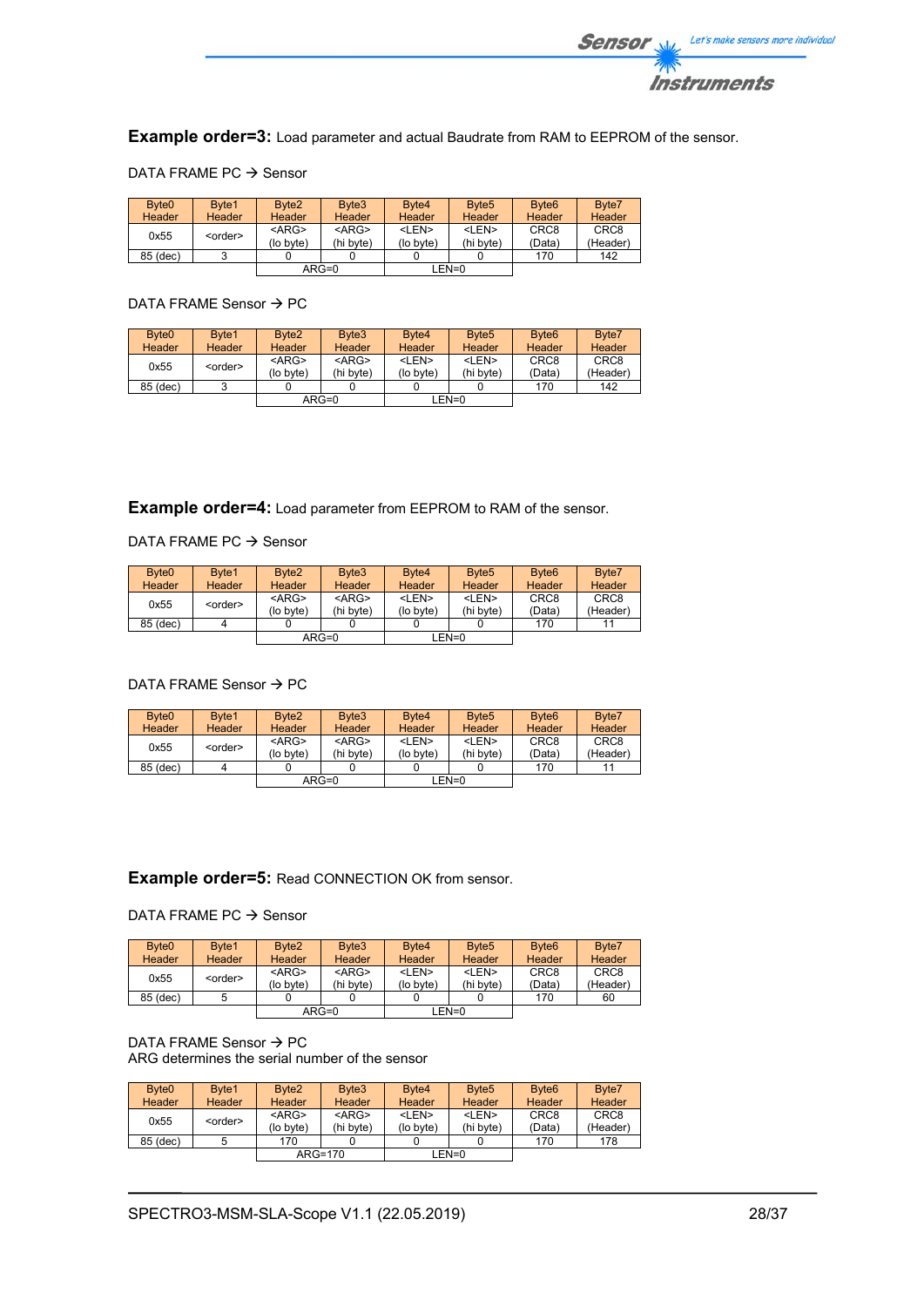

**Example order=3:** Load parameter and actual Baudrate from RAM to EEPROM of the sensor.

|  | DATA FRAME PC $\rightarrow$ Sensor |  |  |
|--|------------------------------------|--|--|
|--|------------------------------------|--|--|

| Byte <sub>0</sub><br><b>Header</b> | Byte1<br><b>Header</b> | Byte <sub>2</sub><br>Header | Byte3<br><b>Header</b>   | Byte4<br><b>Header</b>    | Byte <sub>5</sub><br><b>Header</b> | Byte <sub>6</sub><br>Header | Byte7<br>Header              |
|------------------------------------|------------------------|-----------------------------|--------------------------|---------------------------|------------------------------------|-----------------------------|------------------------------|
| 0x55                               | <order></order>        | $<$ ARG $>$<br>(lo byte)    | $<$ ARG $>$<br>(hi byte) | <len><br/>(lo byte)</len> | <len><br/>(hi byte)</len>          | CRC <sub>8</sub><br>(Data)  | CRC <sub>8</sub><br>(Header) |
| 85 (dec)                           |                        |                             |                          |                           |                                    | 170                         | 142                          |
|                                    |                        |                             | $ARG=0$                  |                           | LEN=0                              |                             |                              |

## DATA FRAME Sensor  $\rightarrow$  PC

| Byte <sub>0</sub> | Byte1           | Byte <sub>2</sub>     | Byte3                    | Byte4                     | Byte <sub>5</sub>         | Byte <sub>6</sub>          | Byte7                        |
|-------------------|-----------------|-----------------------|--------------------------|---------------------------|---------------------------|----------------------------|------------------------------|
| <b>Header</b>     | Header          | Header                | Header                   | Header                    | <b>Header</b>             | Header                     | Header                       |
| 0x55              | <order></order> | $<$ ARG><br>(lo byte) | $<$ ARG $>$<br>(hi byte) | <len><br/>(lo byte)</len> | $<$ I FN $>$<br>(hi byte) | CRC <sub>8</sub><br>(Data) | CRC <sub>8</sub><br>(Header) |
| 85 (dec)          |                 |                       |                          |                           |                           | 170                        | 142                          |
|                   |                 |                       | $ARG=0$                  |                           | LEN=0                     |                            |                              |

**Example order=4:** Load parameter from EEPROM to RAM of the sensor.

## DATA FRAME PC  $\rightarrow$  Sensor

| Byte <sub>0</sub><br><b>Header</b> | Byte1<br><b>Header</b> | Byte <sub>2</sub><br><b>Header</b> | Byte3<br><b>Header</b>   | Byte4<br>Header           | Byte <sub>5</sub><br><b>Header</b> | Byte <sub>6</sub><br><b>Header</b> | Byte7<br>Header              |
|------------------------------------|------------------------|------------------------------------|--------------------------|---------------------------|------------------------------------|------------------------------------|------------------------------|
| 0x55                               | <order></order>        | $<$ ARG><br>(lo bvte)              | $<$ ARG $>$<br>(hi byte) | <len><br/>(lo byte)</len> | <len><br/>(hi byte)</len>          | CRC <sub>8</sub><br>(Data)         | CRC <sub>8</sub><br>(Header) |
| 85 (dec)                           |                        |                                    |                          |                           |                                    | 170                                |                              |
|                                    |                        |                                    | $ARG=0$                  |                           | $LEN=0$                            |                                    |                              |

## DATA FRAME Sensor  $\rightarrow$  PC

| Byte <sub>0</sub> | Byte1           | Byte <sub>2</sub> | Byte3       | Byte4<br>Header | Byte <sub>5</sub> | Byte <sub>6</sub><br>Header | Byte7            |
|-------------------|-----------------|-------------------|-------------|-----------------|-------------------|-----------------------------|------------------|
| <b>Header</b>     | Header          | <b>Header</b>     | Header      |                 | <b>Header</b>     |                             | Header           |
| 0x55              | <order></order> | $<$ ARG>          | $<$ ARG $>$ | <len></len>     | <len></len>       | CRC <sub>8</sub>            | CRC <sub>8</sub> |
|                   |                 | (lo byte)         | (hi byte)   | (lo byte)       | (hi byte)         | (Data)                      | (Header)         |
| 85 (dec)          |                 |                   |             |                 |                   | 170                         | 11               |
|                   |                 |                   | $ARG=0$     |                 | LEN=0             |                             |                  |

## **Example order=5:** Read CONNECTION OK from sensor.

## DATA FRAME PC  $\rightarrow$  Sensor

| Byte <sub>0</sub> | Byte1           | Byte <sub>2</sub> | Byte3         | Byte4       | Byte <sub>5</sub> | Byte <sub>6</sub> | Byte7            |
|-------------------|-----------------|-------------------|---------------|-------------|-------------------|-------------------|------------------|
| <b>Header</b>     | <b>Header</b>   | <b>Header</b>     | <b>Header</b> | Header      | Header            | <b>Header</b>     | Header           |
| 0x55              | <order></order> | $<$ ARG>          | $<$ ARG $>$   | <len></len> | <len></len>       | CRC <sub>8</sub>  | CRC <sub>8</sub> |
|                   |                 | (lo byte)         | (hi byte)     | (lo byte)   | (hi byte)         | (Data)            | (Header)         |
| 85 (dec)          |                 |                   |               |             |                   | 170               | 60               |
|                   |                 |                   | $ARG=0$       |             | EN=0_             |                   |                  |

## DATA FRAME Sensor  $\rightarrow$  PC ARG determines the serial number of the sensor

| Byte <sub>0</sub> | Byte1           | Byte <sub>2</sub> | Byte3         | Byte4         | Byte <sub>5</sub> | Byte <sub>6</sub> | Byte7            |
|-------------------|-----------------|-------------------|---------------|---------------|-------------------|-------------------|------------------|
| <b>Header</b>     | Header          | <b>Header</b>     | <b>Header</b> | <b>Header</b> | <b>Header</b>     | <b>Header</b>     | <b>Header</b>    |
|                   |                 | $<$ ARG>          | $<$ ARG $>$   | <len></len>   | <len></len>       | CRC <sub>8</sub>  | CRC <sub>8</sub> |
| 0x55              | <order></order> | (lo byte)         | (hi byte)     | (lo byte)     | (hi bvte)         | (Data)            | (Header)         |
| 85 (dec)          |                 | 170               |               |               |                   | 170               | 178              |
|                   |                 |                   | $ARG=170$     |               | LEN=0             |                   |                  |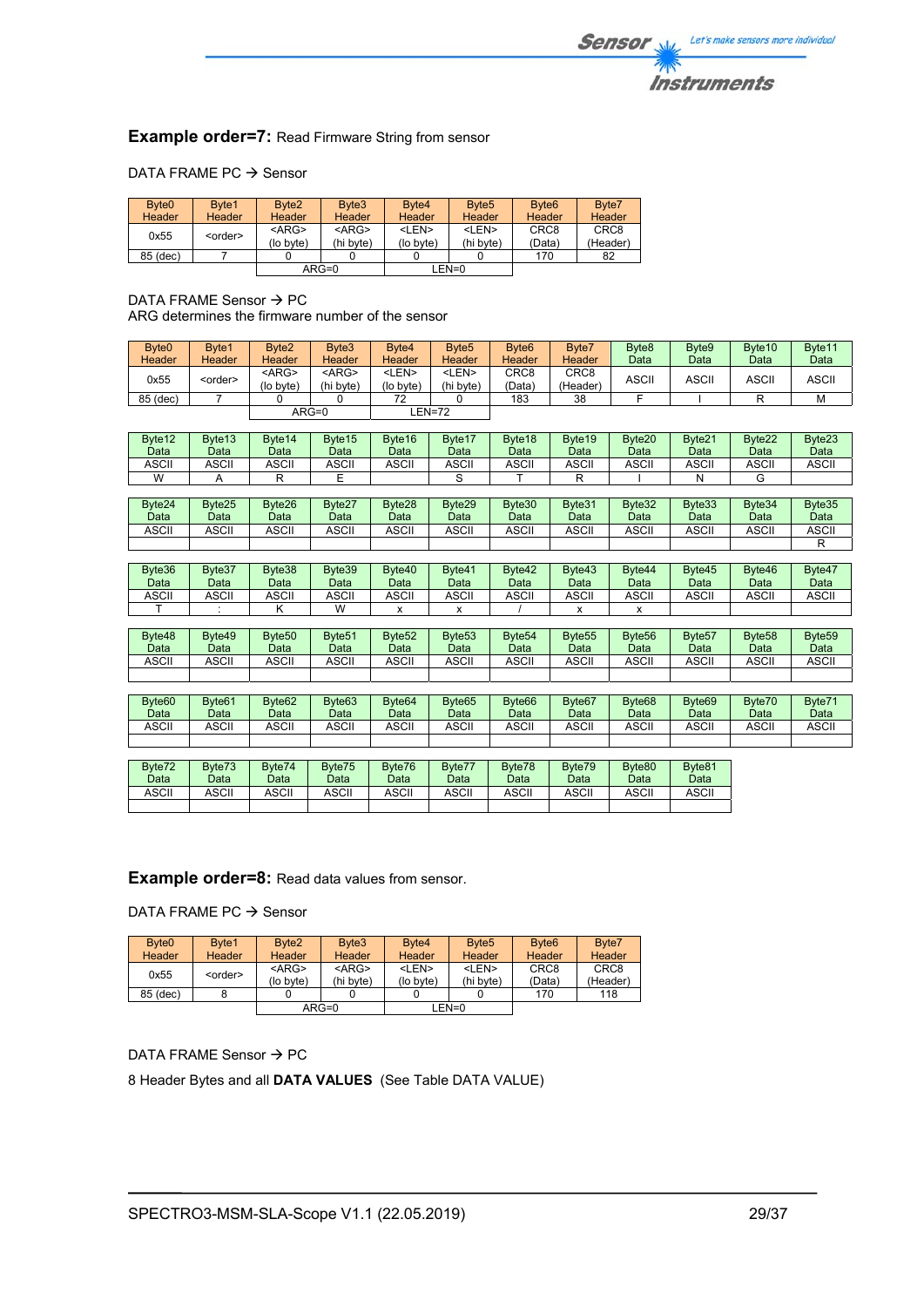## **Example order=7: Read Firmware String from sensor**

## DATA FRAME PC  $\rightarrow$  Sensor

| Byte <sub>0</sub> | Byte1           | Byte <sub>2</sub> | Byte3       | Byte4       | Byte <sub>5</sub> | Byte <sub>6</sub> | Byte7            |
|-------------------|-----------------|-------------------|-------------|-------------|-------------------|-------------------|------------------|
| Header            | Header          | <b>Header</b>     | Header      | Header      | Header            | <b>Header</b>     | Header           |
| 0x55              | <order></order> | $<$ ARG>          | $<$ ARG $>$ | <len></len> | <len></len>       | CRC <sub>8</sub>  | CRC <sub>8</sub> |
|                   |                 | (lo byte)         | (hi byte)   | (lo byte)   | (hi byte)         | (Data)            | (Header)         |
| 85 (dec)          |                 |                   |             |             |                   | 170               | 82               |
|                   |                 |                   | $ARG=0$     |             | LEN=0             |                   |                  |

DATA FRAME Sensor  $\rightarrow$  PC ARG determines the firmware number of the sensor

| Byte <sub>0</sub><br>Header | Byte1<br>Header | Byte <sub>2</sub><br><b>Header</b> | Byte3<br><b>Header</b>    | Byte4<br>Header           | Byte <sub>5</sub><br>Header | Byte <sub>6</sub><br><b>Header</b> | Byte7<br>Header  | Byte <sub>8</sub><br>Data | Byte9<br>Data | Byte <sub>10</sub><br>Data | Byte11<br>Data |
|-----------------------------|-----------------|------------------------------------|---------------------------|---------------------------|-----------------------------|------------------------------------|------------------|---------------------------|---------------|----------------------------|----------------|
| 0x55                        | <order></order> | $<$ ARG $>$<br>(lo byte)           | <arg><br/>(hi byte)</arg> | <len><br/>(lo byte)</len> | <len><br/>(hi bvte)</len>   | CRC <sub>8</sub><br>(Data`         | CRC8<br>(Header) | ASCII                     | <b>ASCII</b>  | ASCII                      | <b>ASCII</b>   |
| 85 (dec)                    |                 |                                    |                           | 72                        |                             | 183                                | 38               |                           |               |                            | м              |
|                             |                 |                                    | $ARG=0$                   |                           | EN=72-                      |                                    |                  |                           |               |                            |                |

| Byte <sub>12</sub><br>Data | Byte <sub>13</sub><br>Data | Byte <sub>14</sub><br>Datal | Byte <sub>15</sub><br>Data | Byte16<br>Data | Byte17<br>Data | Byte18<br>Data | Byte <sub>19</sub><br>Data | Byte20<br>Data | Byte21<br>Data | Byte22<br>Data | Byte23<br>Data |
|----------------------------|----------------------------|-----------------------------|----------------------------|----------------|----------------|----------------|----------------------------|----------------|----------------|----------------|----------------|
| <b>ASCII</b>               | <b>ASCII</b>               | ASCII                       | <b>ASCII</b>               | <b>ASCII</b>   | <b>ASCII</b>   | ASCII          | ASCII                      | <b>ASCII</b>   | ASCII          | ASCII          | ASCII          |
| W                          |                            |                             |                            |                |                |                |                            |                |                |                |                |

| Byte24<br>Data | Byte25<br>Data | Byte26<br>Data | Byte27<br>Data | Byte28<br>Data | Byte29<br>Data | Byte30<br>Data | Byte31<br>Data | Byte32<br>Data | Byte33<br>Data | Byte34<br>Data | Byte35<br>Data |
|----------------|----------------|----------------|----------------|----------------|----------------|----------------|----------------|----------------|----------------|----------------|----------------|
| <b>ASCII</b>   | <b>ASCII</b>   | ASCII          | <b>ASCII</b>   | ASCII          | ASCII          | <b>ASCII</b>   | <b>ASCII</b>   | <b>ASCII</b>   | ASCII          | ASCII          | ASCII          |
|                |                |                |                |                |                |                |                |                |                |                |                |

| Byte36<br>Data | Byte37<br>Data | Byte38<br>Data | Byte39<br>Data | Byte40<br>Data | Byte41<br><b>Data</b> | Byte42<br>Data | Byte43<br>Data | Byte44<br>Data | Byte45<br>Data | Byte46<br>Data | Byte47<br>Data |
|----------------|----------------|----------------|----------------|----------------|-----------------------|----------------|----------------|----------------|----------------|----------------|----------------|
| ASCII          | ASCII          | ASCII          | ASCII          | <b>ASCII</b>   | ASCII                 | ASCII          | <b>ASCII</b>   | ASCII          | ASCII          | ASCII          | <b>ASCII</b>   |
|                |                |                | $\overline{M}$ |                |                       |                |                |                |                |                |                |

| Byte48<br>Data | Byte49<br>Data | Byte <sub>50</sub><br>Data | Byte <sub>51</sub><br>Data | Byte <sub>52</sub><br>Data | Byte <sub>53</sub><br>Data | Byte <sub>54</sub><br>Data | Byte <sub>55</sub><br>Data | Byte <sub>56</sub><br>Data | Byte <sub>57</sub><br>Data | Byte <sub>58</sub><br>Data | Byte <sub>59</sub><br>Data |
|----------------|----------------|----------------------------|----------------------------|----------------------------|----------------------------|----------------------------|----------------------------|----------------------------|----------------------------|----------------------------|----------------------------|
| ASCII          | ASCII          | <b>\SCII</b>               | ASCII                      | ASCII                      | ASCII                      | ASCII                      | <b>ASCII</b>               | ASCII                      | اات<br>וושפו               | ASCII                      | ASCII                      |
|                |                |                            |                            |                            |                            |                            |                            |                            |                            |                            |                            |

| Byte <sub>60</sub> | Byte <sub>61</sub> | Byte <sub>62</sub> | Byte <sub>63</sub> | Byte <sub>64</sub> | Byte <sub>65</sub> | Byte <sub>66</sub> | Byte <sub>67</sub> | Byte <sub>68</sub> | Byte <sub>69</sub> | Byte70 | Byte71 |
|--------------------|--------------------|--------------------|--------------------|--------------------|--------------------|--------------------|--------------------|--------------------|--------------------|--------|--------|
| Data               | Data               | Data               | Data               | Data               | Data               | Data               | Data               | Data               | Data               | Data   | Data   |
|                    |                    |                    |                    |                    |                    |                    |                    |                    |                    |        |        |
| ASCII              | ASCII              | ASCII              | <b>ASCII</b>       | ASCII              | <b>ASCII</b>       | <b>ASCII</b>       | <b>ASCI!</b>       | <b>ASCII</b>       | ASCII              | ASCII  | ASCII  |
|                    |                    |                    |                    |                    |                    |                    |                    |                    |                    |        |        |
|                    |                    |                    |                    |                    |                    |                    |                    |                    |                    |        |        |

| Byte72 | Byte73 | Byte74 | Byte75 | Byte76 | Byte77 | Byte78 | Byte79 | Byte80 | Byte81 |
|--------|--------|--------|--------|--------|--------|--------|--------|--------|--------|
| Datal  | Data   | Data   | Data   | Data   | Data   | Data   | Data   | Data   | Data   |
| ASCII  | ASCII  | ASCII  | ASCII  | ASCII  | ASCII  | ASCII  | ASCII  | ASCII  | ASCII  |
|        |        |        |        |        |        |        |        |        |        |

## **Example order=8:** Read data values from sensor.

DATA FRAME PC  $\rightarrow$  Sensor

| Byte <sub>0</sub> | Byte1           | Byte <sub>2</sub>     | Byte3                    | Byte4                     | Byte <sub>5</sub>         | Byte <sub>6</sub>          | Byte7                        |
|-------------------|-----------------|-----------------------|--------------------------|---------------------------|---------------------------|----------------------------|------------------------------|
| Header            | Header          | <b>Header</b>         | Header                   | Header                    | <b>Header</b>             | <b>Header</b>              | <b>Header</b>                |
| 0x55              | <order></order> | $<$ ARG><br>(lo byte) | $<$ ARG $>$<br>(hi byte) | <len><br/>(lo byte)</len> | $<$ I FN $>$<br>(hi byte) | CRC <sub>8</sub><br>(Data) | CRC <sub>8</sub><br>(Header) |
| 85 (dec)          |                 |                       |                          |                           |                           | 170                        | 118                          |
|                   |                 |                       | $ARG=0$                  |                           | LEN=0                     |                            |                              |

## DATA FRAME Sensor  $\rightarrow$  PC

8 Header Bytes and all **DATA VALUES** (See Table DATA VALUE)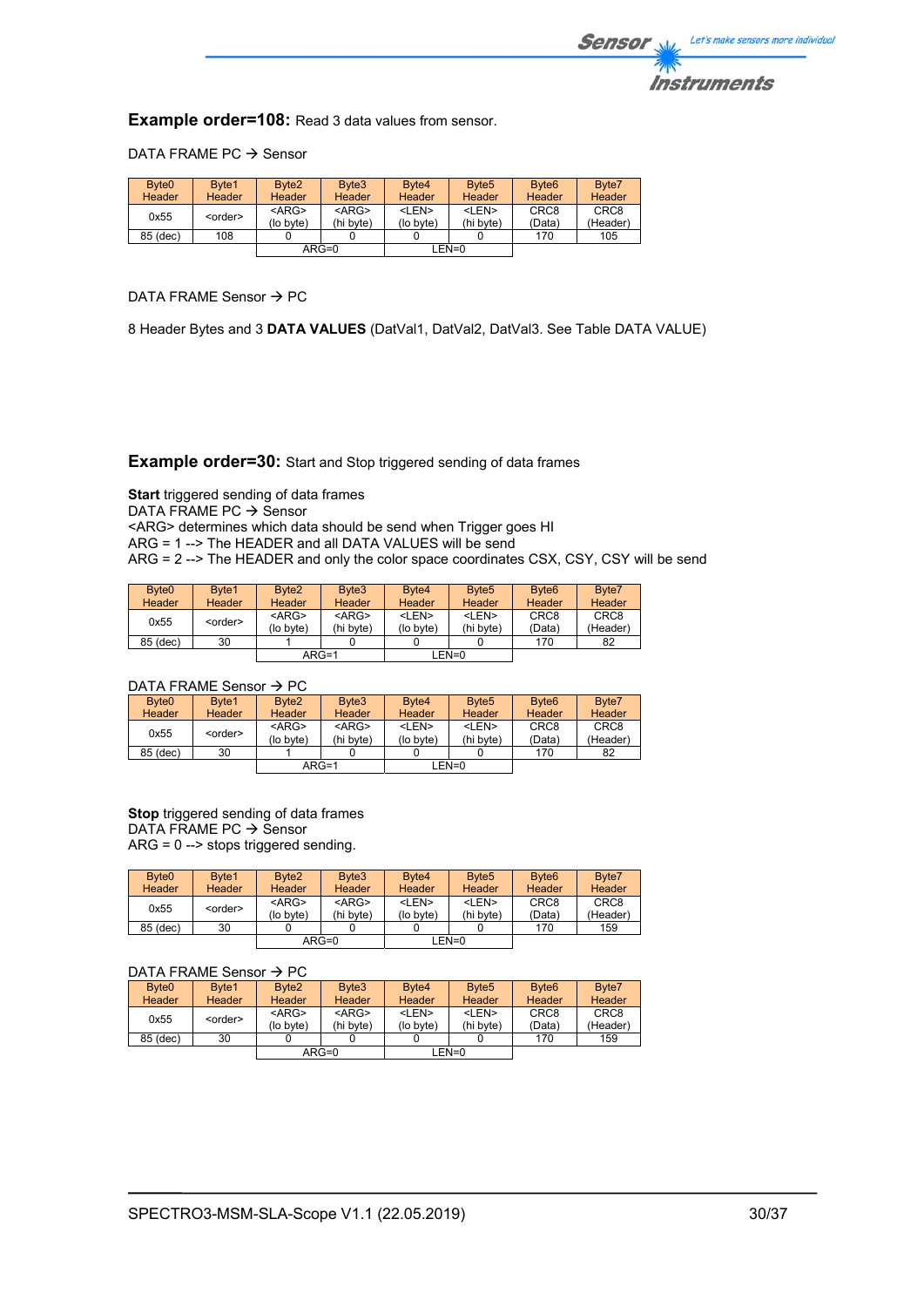

**Example order=108:** Read 3 data values from sensor.

DATA FRAME PC  $\rightarrow$  Sensor

| Byte <sub>0</sub> | Byte1           | Byte <sub>2</sub>     | Byte3                    | Byte4                     | Byte <sub>5</sub>         | Byte <sub>6</sub>          | Byte7                        |
|-------------------|-----------------|-----------------------|--------------------------|---------------------------|---------------------------|----------------------------|------------------------------|
| Header            | Header          | <b>Header</b>         | Header                   | Header                    | <b>Header</b>             | <b>Header</b>              | <b>Header</b>                |
| 0x55              | <order></order> | $<$ ARG><br>(lo byte) | $<$ ARG $>$<br>(hi byte) | <len><br/>(lo byte)</len> | <len><br/>(hi byte)</len> | CRC <sub>8</sub><br>(Data) | CRC <sub>8</sub><br>(Header) |
| 85 (dec)          | 108             |                       |                          |                           |                           | 170                        | 105                          |
|                   |                 |                       | $ARG=0$                  |                           | LEN=0                     |                            |                              |

DATA FRAME Sensor  $\rightarrow$  PC

8 Header Bytes and 3 **DATA VALUES** (DatVal1, DatVal2, DatVal3. See Table DATA VALUE)

**Example order=30:** Start and Stop triggered sending of data frames

**Start** triggered sending of data frames DATA FRAME PC  $\rightarrow$  Sensor <ARG> determines which data should be send when Trigger goes HI ARG = 1 --> The HEADER and all DATA VALUES will be send ARG = 2 --> The HEADER and only the color space coordinates CSX, CSY, CSY will be send

| Byte <sub>0</sub> | Byte1           | Byte <sub>2</sub> | Byte3       | Byte4         | Byte <sub>5</sub> | Byte <sub>6</sub> | Byte7            |
|-------------------|-----------------|-------------------|-------------|---------------|-------------------|-------------------|------------------|
| Header            | Header          | Header            | Header      | <b>Header</b> | <b>Header</b>     | <b>Header</b>     | <b>Header</b>    |
| 0x55              | <order></order> | $<$ ARG $>$       | $<$ ARG $>$ | <len></len>   | <len></len>       | CRC <sub>8</sub>  | CRC <sub>8</sub> |
|                   |                 | (lo byte)         | (hi byte)   | (lo byte)     | (hi byte)         | (Data)            | (Header)         |
| 85 (dec)          | 30              |                   |             |               |                   | 170               | 82               |
|                   |                 | $ARG=1$           |             |               | EN=0_             |                   |                  |

## DATA FRAME Sensor  $\rightarrow$  PC

| Byte <sub>0</sub> | Byte1           | Byte <sub>2</sub>     | Byte3                    | Byte4                     | Byte <sub>5</sub>         | Byte <sub>6</sub>          | Byte7                        |
|-------------------|-----------------|-----------------------|--------------------------|---------------------------|---------------------------|----------------------------|------------------------------|
| <b>Header</b>     | Header          | Header                | Header                   | <b>Header</b>             | Header                    | Header                     | Header                       |
| 0x55              | <order></order> | $<$ ARG><br>(lo byte) | $<$ ARG $>$<br>(hi byte) | <len><br/>(lo byte)</len> | <len><br/>(hi byte)</len> | CRC <sub>8</sub><br>(Data) | CRC <sub>8</sub><br>(Header) |
| 85 (dec)          | 30              |                       |                          |                           |                           | 170                        | 82                           |
|                   |                 |                       | $ARG=1$                  |                           | LEN=0                     |                            |                              |

**Stop** triggered sending of data frames  $DATA$  FRAME PC  $\rightarrow$  Sensor ARG = 0 --> stops triggered sending.

| Byte <sub>0</sub><br><b>Header</b> | Byte1<br><b>Header</b> | Byte <sub>2</sub><br>Header | Byte3<br>Header          | Byte4<br><b>Header</b>    | Byte <sub>5</sub><br>Header | Byte <sub>6</sub><br><b>Header</b> | Byte7<br><b>Header</b>       |
|------------------------------------|------------------------|-----------------------------|--------------------------|---------------------------|-----------------------------|------------------------------------|------------------------------|
| 0x55                               | <order></order>        | $<$ ARG><br>(lo bvte)       | $<$ ARG $>$<br>(hi byte) | <len><br/>(lo byte)</len> | <len><br/>(hi byte)</len>   | CRC <sub>8</sub><br>(Data)         | CRC <sub>8</sub><br>(Header) |
| 85 (dec)                           | 30                     |                             |                          |                           |                             | 170                                | 159                          |
|                                    |                        |                             | $ARG=0$                  |                           | LEN=0                       |                                    |                              |

## DATA FRAME Sensor  $\rightarrow$  PC

| Byte <sub>0</sub> | Byte1           | Byte <sub>2</sub>     | Byte3                    | Byte4                     | Byte <sub>5</sub>         | Byte <sub>6</sub>          | Byte7                        |
|-------------------|-----------------|-----------------------|--------------------------|---------------------------|---------------------------|----------------------------|------------------------------|
| Header            | <b>Header</b>   | <b>Header</b>         | Header                   | Header                    | Header                    | <b>Header</b>              | Header                       |
| 0x55              | <order></order> | $<$ ARG><br>(lo byte) | $<$ ARG $>$<br>(hi byte) | <len><br/>(lo byte)</len> | <len><br/>(hi byte)</len> | CRC <sub>8</sub><br>(Data) | CRC <sub>8</sub><br>(Header) |
| 85 (dec)          | 30              |                       |                          |                           |                           | 170                        | 159                          |
|                   |                 |                       | $ARG=0$                  |                           | LEN=0                     |                            |                              |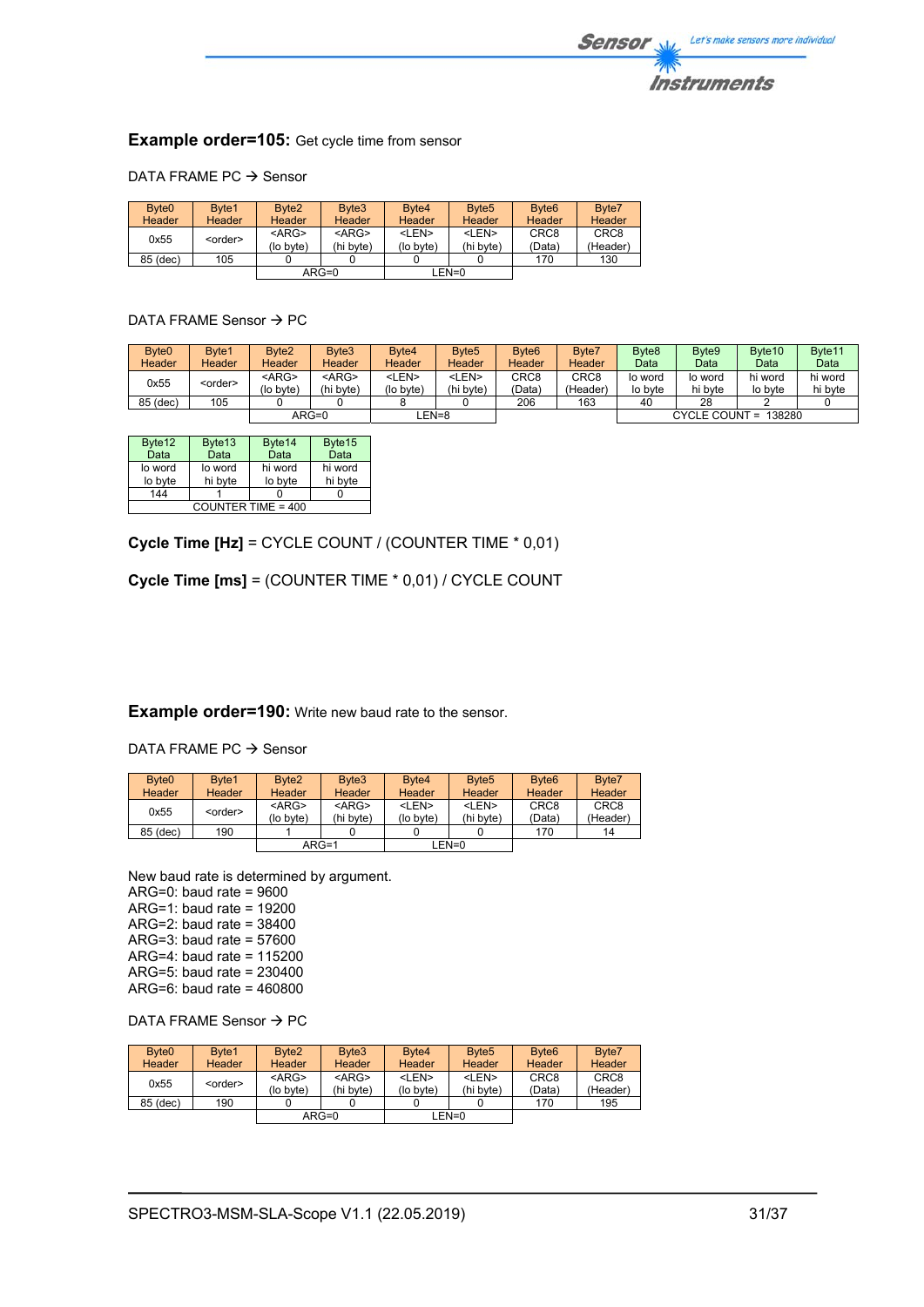

## **Example order=105:** Get cycle time from sensor

## DATA FRAME PC  $\rightarrow$  Sensor

| Byte <sub>0</sub> | Byte1           | Byte <sub>2</sub> | Byte3       | Byte4       | Byte <sub>5</sub> | Byte <sub>6</sub> | Byte7            |
|-------------------|-----------------|-------------------|-------------|-------------|-------------------|-------------------|------------------|
| Header            | Header          | <b>Header</b>     | Header      | Header      | <b>Header</b>     | Header            | Header           |
| 0x55              | <order></order> | $<$ ARG>          | $<$ ARG $>$ | <len></len> | <len></len>       | CRC <sub>8</sub>  | CRC <sub>8</sub> |
|                   |                 | (lo byte)         | (hi byte)   | (lo byte)   | (hi bvte)         | (Data)            | (Header)         |
| 85 (dec)          | 105             |                   |             |             |                   | 170               | 130              |
|                   |                 |                   | $ARG=0$     | $LEN=0$     |                   |                   |                  |

## DATA FRAME Sensor  $\rightarrow$  PC

| Byte <sub>0</sub> | Byte1           | Byte2         | Byte3         | Byte4       | Byte <sub>5</sub> | Byte <sub>6</sub>  | Byte7         | Byte <sub>8</sub> | Byte9   | Byte <sub>10</sub>   | Byte <sub>11</sub> |
|-------------------|-----------------|---------------|---------------|-------------|-------------------|--------------------|---------------|-------------------|---------|----------------------|--------------------|
| Header            | <b>Header</b>   | <b>Header</b> | <b>Header</b> | Header      | Header            | Header             | <b>Header</b> | Data              | Data    | Data                 | Data               |
| 0x55              |                 | <arg></arg>   | $<$ ARG $>$   | <len></len> | <len></len>       | CRC8               | CRC8          | lo word           | lo word | hi word              | hi word            |
|                   | <order></order> | (lo bvte)     | (hi byte)     | (lo byte)   | (hi byte)         | (Data <sup>:</sup> | (Header)      | lo byte           | hi byte | lo bvte              | hi byte            |
| 85 (dec)          | 105             |               |               |             |                   | 206                | 163           | 40                | 28      |                      |                    |
|                   |                 | $ARG=0$       |               |             | EN=8              |                    |               |                   |         | CYCLE COUNT = 138280 |                    |

| Byte12  | Byte <sub>13</sub> | Byte14               | Byte15  |
|---------|--------------------|----------------------|---------|
| Data    | Data               | Data                 | Data    |
| lo word | lo word            | hi word              | hi word |
| lo byte | hi byte            | lo byte              | hi byte |
| 144     |                    |                      |         |
|         |                    | COUNTER TIME = $400$ |         |

**Cycle Time [Hz]** = CYCLE COUNT / (COUNTER TIME \* 0,01)

**Cycle Time [ms]** = (COUNTER TIME \* 0,01) / CYCLE COUNT

## **Example order=190:** Write new baud rate to the sensor.

DATA FRAME PC  $\rightarrow$  Sensor

| Byte <sub>0</sub> | Byte1           | Byte <sub>2</sub>     | Byte3                    | Byte4                     | Byte <sub>5</sub>         | Byte <sub>6</sub>          | Byte7                        |
|-------------------|-----------------|-----------------------|--------------------------|---------------------------|---------------------------|----------------------------|------------------------------|
| <b>Header</b>     | <b>Header</b>   | <b>Header</b>         | Header                   | Header                    | Header                    | <b>Header</b>              | Header                       |
| 0x55              | <order></order> | $<$ ARG><br>(lo byte) | $<$ ARG $>$<br>(hi byte) | <len><br/>(lo byte)</len> | <len><br/>(hi byte)</len> | CRC <sub>8</sub><br>(Data) | CRC <sub>8</sub><br>(Header) |
| 85 (dec)          | 190             |                       |                          |                           |                           | 170                        | 14                           |
|                   |                 | $ARG=1$               |                          |                           | LEN=0                     |                            |                              |

New baud rate is determined by argument. ARG=0: baud rate = 9600 ARG=1: baud rate = 19200 ARG=2: baud rate = 38400 ARG=3: baud rate = 57600 ARG=4: baud rate = 115200 ARG=5: baud rate = 230400 ARG=6: baud rate = 460800

DATA FRAME Sensor  $\rightarrow$  PC

| Byte <sub>0</sub> | Byte1           | Byte <sub>2</sub> | Byte3       | Byte4       | Byte <sub>5</sub> | Byte <sub>6</sub> | Byte7            |
|-------------------|-----------------|-------------------|-------------|-------------|-------------------|-------------------|------------------|
| <b>Header</b>     | <b>Header</b>   | <b>Header</b>     | Header      | Header      | <b>Header</b>     | <b>Header</b>     | Header           |
| 0x55              | <order></order> | $<$ ARG>          | $<$ ARG $>$ | <len></len> | <len></len>       | CRC <sub>8</sub>  | CRC <sub>8</sub> |
|                   |                 | (lo byte)         | (hi byte)   | (lo byte)   | (hi byte)         | (Data)            | (Header)         |
| 85 (dec)          | 190             |                   |             |             |                   | 170               | 195              |
|                   |                 |                   | $ARG=0$     |             | $LEN=0$           |                   |                  |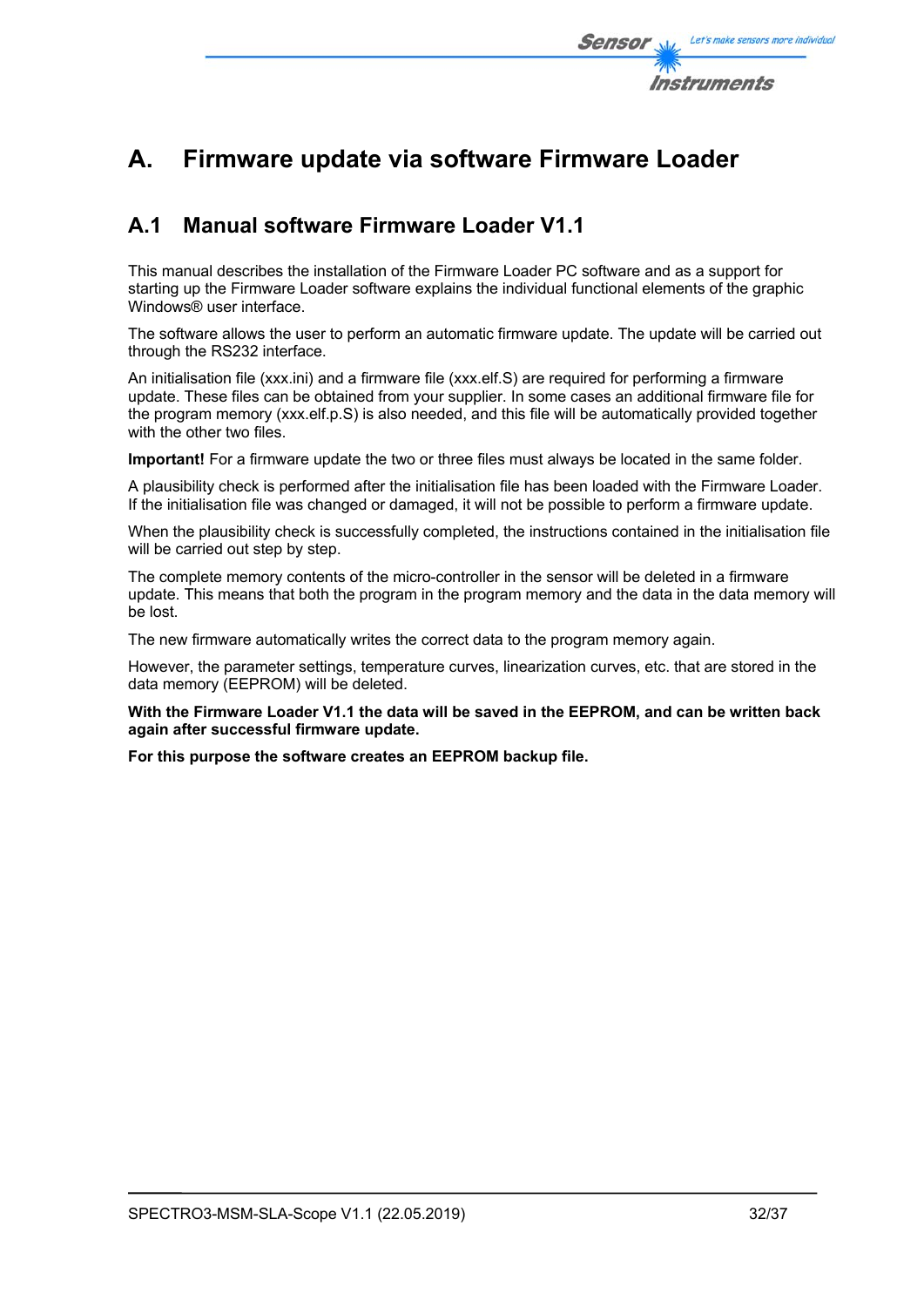

# **A. Firmware update via software Firmware Loader**

## **A.1 Manual software Firmware Loader V1.1**

This manual describes the installation of the Firmware Loader PC software and as a support for starting up the Firmware Loader software explains the individual functional elements of the graphic Windows® user interface.

The software allows the user to perform an automatic firmware update. The update will be carried out through the RS232 interface.

An initialisation file (xxx.ini) and a firmware file (xxx.elf.S) are required for performing a firmware update. These files can be obtained from your supplier. In some cases an additional firmware file for the program memory (xxx.elf.p.S) is also needed, and this file will be automatically provided together with the other two files.

**Important!** For a firmware update the two or three files must always be located in the same folder.

A plausibility check is performed after the initialisation file has been loaded with the Firmware Loader. If the initialisation file was changed or damaged, it will not be possible to perform a firmware update.

When the plausibility check is successfully completed, the instructions contained in the initialisation file will be carried out step by step.

The complete memory contents of the micro-controller in the sensor will be deleted in a firmware update. This means that both the program in the program memory and the data in the data memory will be lost.

The new firmware automatically writes the correct data to the program memory again.

However, the parameter settings, temperature curves, linearization curves, etc. that are stored in the data memory (EEPROM) will be deleted.

**With the Firmware Loader V1.1 the data will be saved in the EEPROM, and can be written back again after successful firmware update.** 

**For this purpose the software creates an EEPROM backup file.**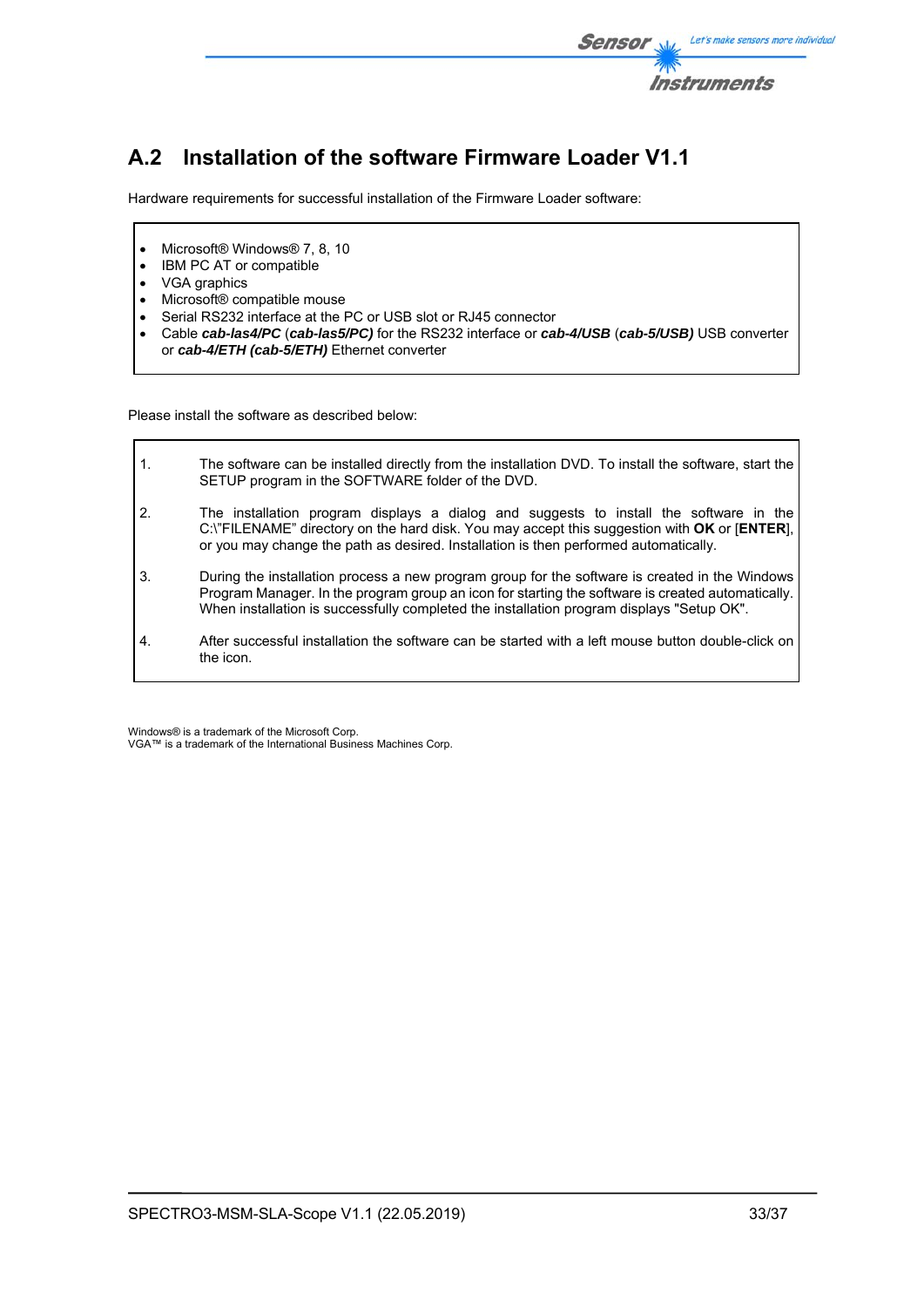

# **A.2 Installation of the software Firmware Loader V1.1**

Hardware requirements for successful installation of the Firmware Loader software:

- Microsoft® Windows® 7, 8, 10
- IBM PC AT or compatible
- VGA graphics
- Microsoft® compatible mouse
- Serial RS232 interface at the PC or USB slot or RJ45 connector
- Cable *cab-las4/PC* (*cab-las5/PC)* for the RS232 interface or *cab-4/USB* (*cab-5/USB)* USB converter or *cab-4/ETH (cab-5/ETH)* Ethernet converter

Please install the software as described below:

| $\mathbf{1}$ .   | The software can be installed directly from the installation DVD. To install the software, start the<br>SETUP program in the SOFTWARE folder of the DVD.                                                                                                                                         |
|------------------|--------------------------------------------------------------------------------------------------------------------------------------------------------------------------------------------------------------------------------------------------------------------------------------------------|
| $\overline{2}$ . | The installation program displays a dialog and suggests to install the software in the<br>C:\"FILENAME" directory on the hard disk. You may accept this suggestion with OK or [ENTER],<br>or you may change the path as desired. Installation is then performed automatically.                   |
| 3.               | During the installation process a new program group for the software is created in the Windows<br>Program Manager. In the program group an icon for starting the software is created automatically.<br>When installation is successfully completed the installation program displays "Setup OK". |
| $\mathbf{4}$     | After successful installation the software can be started with a left mouse button double-click on<br>the icon.                                                                                                                                                                                  |

Windows® is a trademark of the Microsoft Corp. VGA™ is a trademark of the International Business Machines Corp.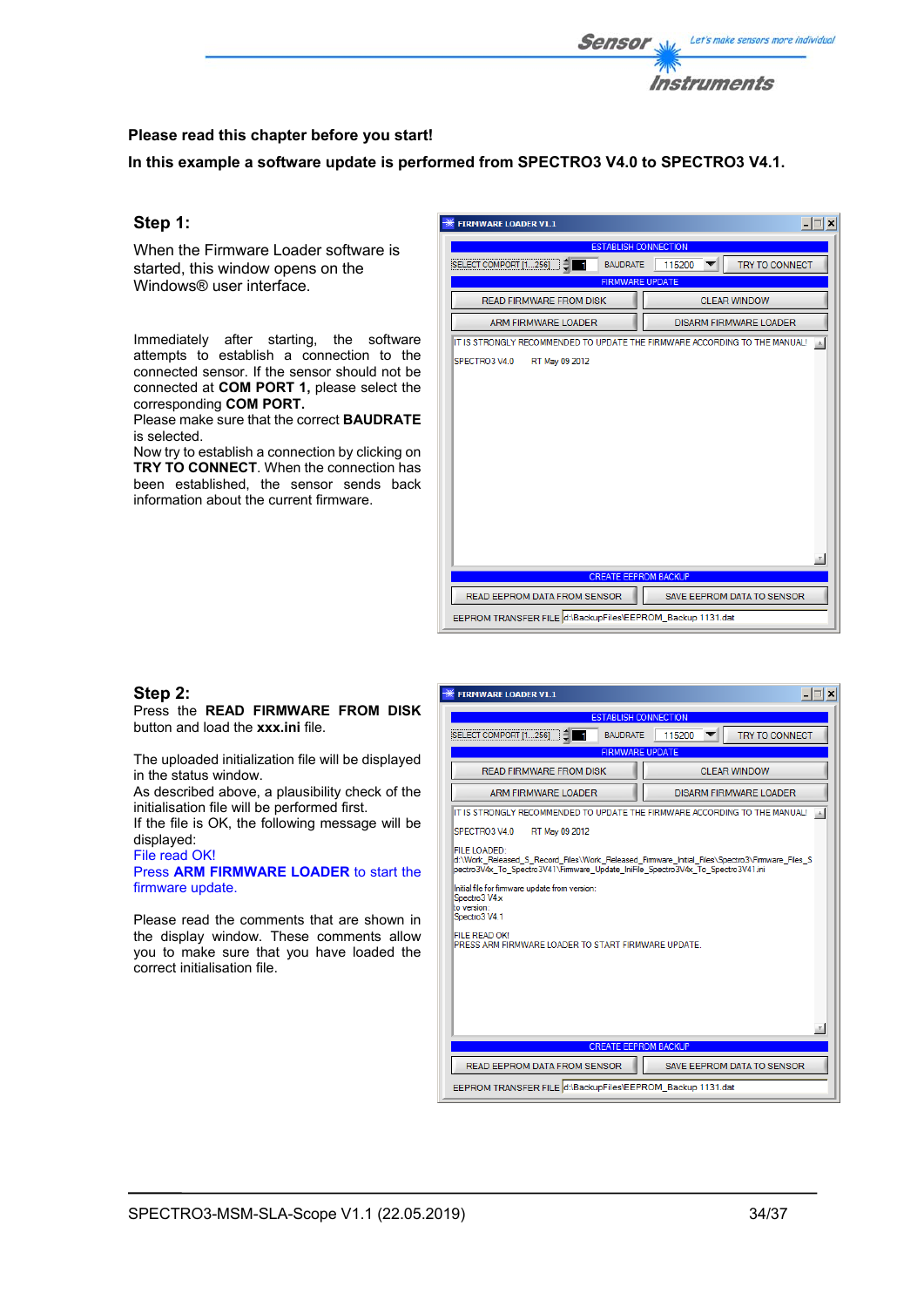

## **Please read this chapter before you start!**

**In this example a software update is performed from SPECTRO3 V4.0 to SPECTRO3 V4.1.** 

## **Step 1:**

When the Firmware Loader software is started, this window opens on the Windows® user interface.

Immediately after starting, the software attempts to establish a connection to the connected sensor. If the sensor should not be connected at **COM PORT 1,** please select the corresponding **COM PORT.** 

Please make sure that the correct **BAUDRATE** is selected.

Now try to establish a connection by clicking on **TRY TO CONNECT**. When the connection has been established, the sensor sends back information about the current firmware.

| <b>FIRMWARE LOADER V1.1</b>                                                |                               |
|----------------------------------------------------------------------------|-------------------------------|
| <b>ESTABLISH CONNECTION</b>                                                |                               |
| <b>SELECT COMPORT [1256]</b><br><b>BAUDRATE</b>                            | TRY TO CONNECT<br>115200      |
| <b>FIRMWARE UPDATE</b>                                                     |                               |
| <b>READ FIRMWARE FROM DISK</b>                                             | <b>CLEAR WINDOW</b>           |
| <b>ARM FIRMWARE LOADER</b>                                                 | <b>DISARM FIRMWARE LOADER</b> |
| IT IS STRONGLY RECOMMENDED TO UPDATE THE FIRMWARE ACCORDING TO THE MANUAL! |                               |
| SPECTRO3 V4.0<br>RT May 09 2012                                            |                               |
|                                                                            |                               |
|                                                                            |                               |
|                                                                            |                               |
|                                                                            |                               |
|                                                                            |                               |
|                                                                            |                               |
|                                                                            |                               |
|                                                                            |                               |
|                                                                            |                               |
|                                                                            |                               |
|                                                                            |                               |
|                                                                            |                               |
| <b>CREATE EEPROM BACKUP</b>                                                |                               |
| READ EEPROM DATA FROM SENSOR                                               | SAVE EEPROM DATA TO SENSOR    |
| EEPROM TRANSFER FILE d:\BackupFiles\EEPROM_Backup 1131.dat                 |                               |

## **Step 2:**

Press the **READ FIRMWARE FROM DISK** button and load the **xxx.ini** file.

The uploaded initialization file will be displayed in the status window.

As described above, a plausibility check of the initialisation file will be performed first.

If the file is OK, the following message will be displayed:

File read OK! Press **ARM FIRMWARE LOADER** to start the firmware update.

Please read the comments that are shown in the display window. These comments allow you to make sure that you have loaded the correct initialisation file.

| . ∣⊟∣ ×i<br><b>FIRMWARE LOADER V1.1</b>                                                                                                                                                            |
|----------------------------------------------------------------------------------------------------------------------------------------------------------------------------------------------------|
| <b>ESTABLISH CONNECTION</b>                                                                                                                                                                        |
| SELECT COMPORT [1256]<br><b>BAUDRATE</b><br>115200<br><b>TRY TO CONNECT</b>                                                                                                                        |
| <b>FIRMWARE UPDATE</b>                                                                                                                                                                             |
| READ FIRMWARE FROM DISK<br>CLEAR WINDOW                                                                                                                                                            |
| ARM FIRMWARE LOADER<br>DISARM FIRMWARE LOADER                                                                                                                                                      |
| IT IS STRONGLY RECOMMENDED TO UPDATE THE FIRMWARE ACCORDING TO THE MANUAL!                                                                                                                         |
| SPECTRO3 V4.0<br>RT May 09 2012                                                                                                                                                                    |
| FILE LOADED:<br>d:\Work Released S Record Files\Work Released Firmware Initial Files\Spectro3\Firmware Files S<br>pectro3V4x To Spectro3V41\Firmware Update IniFile Spectro3V4x To Spectro3V41.ini |
| Initial file for fimware update from version:<br>Spectro3 V4x<br>to version:<br>Spectro3 V4.1                                                                                                      |
| FILE READ OK!<br>PRESS ARM FIRMWARE LOADER TO START FIRMWARE UPDATE.                                                                                                                               |
|                                                                                                                                                                                                    |
|                                                                                                                                                                                                    |
|                                                                                                                                                                                                    |
| <b>CREATE EEPROM BACKUP</b>                                                                                                                                                                        |
|                                                                                                                                                                                                    |
| READ EEPROM DATA FROM SENSOR<br><b>SAVE EEPROM DATA TO SENSOR</b>                                                                                                                                  |
| EEPROM TRANSFER FILE d:\BackupFiles\EEPROM_Backup 1131.dat                                                                                                                                         |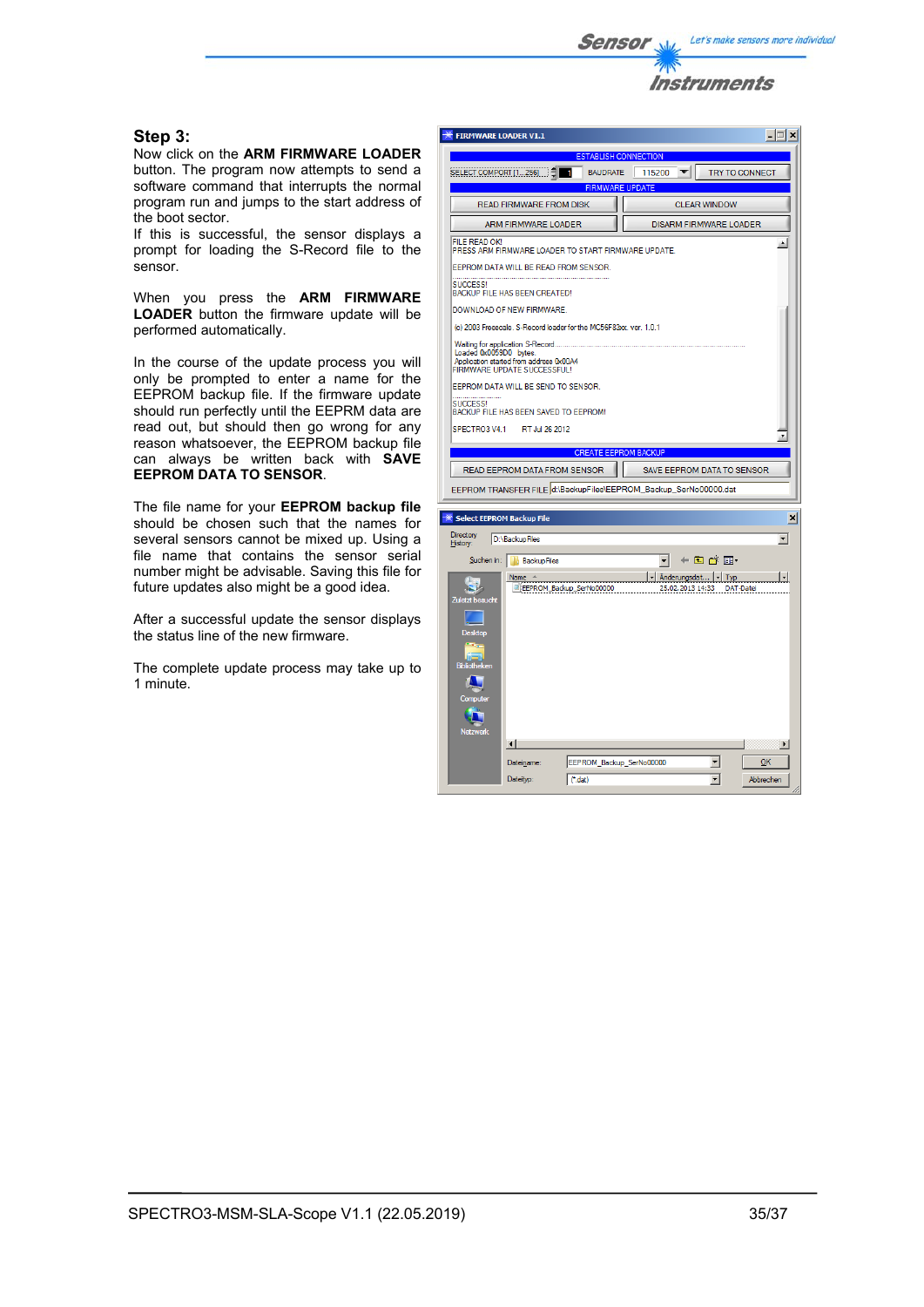

## **Step 3:**

Now click on the **ARM FIRMWARE LOADER**  button. The program now attempts to send a software command that interrupts the normal program run and jumps to the start address of the boot sector.

If this is successful, the sensor displays a prompt for loading the S-Record file to the sensor.

When you press the **ARM FIRMWARE LOADER** button the firmware update will be performed automatically.

In the course of the update process you will only be prompted to enter a name for the EEPROM backup file. If the firmware update should run perfectly until the EEPRM data are read out, but should then go wrong for any reason whatsoever, the EEPROM backup file can always be written back with **SAVE EEPROM DATA TO SENSOR**.

The file name for your **EEPROM backup file** should be chosen such that the names for several sensors cannot be mixed up. Using a file name that contains the sensor serial number might be advisable. Saving this file for future updates also might be a good idea.

After a successful update the sensor displays the status line of the new firmware.

The complete update process may take up to 1 minute.

|                              | <b>FIRMWARE LOADER V1.1</b>                                                                                |                             |                             |                               | $ \Box$ $\times$         |
|------------------------------|------------------------------------------------------------------------------------------------------------|-----------------------------|-----------------------------|-------------------------------|--------------------------|
|                              |                                                                                                            |                             | <b>ESTABLISH CONNECTION</b> |                               |                          |
|                              | SELECT COMPORT $[1256]$ $\begin{bmatrix} 2 \end{bmatrix}$                                                  | п<br><b>BAUDRATE</b>        | 115200                      |                               | <b>TRY TO CONNECT</b>    |
|                              |                                                                                                            |                             | <b>FIRMWARE UPDATE</b>      |                               |                          |
|                              | <b>READ FIRMWARE FROM DISK</b>                                                                             |                             |                             | <b>CLEAR WINDOW</b>           |                          |
|                              | ARM FIRMWARE LOADER                                                                                        |                             |                             | <b>DISARM FIRMWARE LOADER</b> |                          |
| <b>FILE READ OK!</b>         | PRESS ARM FIRMWARE LOADER TO START FIRMWARE UPDATE.                                                        |                             |                             |                               | ۸                        |
|                              | EEPROM DATA WILL BE READ FROM SENSOR.                                                                      |                             |                             |                               |                          |
| SUCCESS!                     | <b>BACKUP FILE HAS BEEN CREATED!</b>                                                                       |                             |                             |                               |                          |
|                              | DOWNLOAD OF NEW FIRMWARE.                                                                                  |                             |                             |                               |                          |
|                              | (c) 2003 Freescale. S-Record loader for the MC56F83xx. ver. 1.0.1                                          |                             |                             |                               |                          |
| Loaded 0x0059D0 bytes.       | Waiting for application S-Record<br>Application started from address 0x00A4<br>FIRMWARE UPDATE SUCCESSFUL! |                             |                             |                               |                          |
|                              | EEPROM DATA WILL BE SEND TO SENSOR.                                                                        |                             |                             |                               |                          |
| SUCCESS!                     | BACKUP FILE HAS BEEN SAVED TO EEPROM!                                                                      |                             |                             |                               |                          |
| SPECTRO3 V4.1                | RT Jul 26 2012                                                                                             |                             |                             |                               |                          |
|                              |                                                                                                            |                             |                             |                               |                          |
|                              |                                                                                                            | <b>CREATE EEPROM BACKUP</b> |                             |                               |                          |
|                              | READ EEPROM DATA FROM SENSOR                                                                               |                             |                             |                               |                          |
|                              |                                                                                                            |                             |                             | SAVE EEPROM DATA TO SENSOR    |                          |
|                              | EEPROM TRANSFER FILE d:\BackupFiles\EEPROM_Backup_SerNo00000.dat                                           |                             |                             |                               |                          |
|                              |                                                                                                            |                             |                             |                               |                          |
|                              | <b>Select EEPROM Backup File</b>                                                                           |                             |                             |                               |                          |
|                              | D:\BackupFiles                                                                                             |                             |                             |                               | $\overline{\phantom{a}}$ |
| <b>Directory</b><br>History: | Suchen in:       BackupFiles                                                                               |                             | ▾                           | ←自び囲・                         |                          |
|                              | Name 4                                                                                                     |                             | ⊣                           | Änderungsdat   - Typ          | $\overline{\phantom{a}}$ |
|                              | EEPROM_Backup_SerNo00000                                                                                   |                             |                             | 25.02.2013 14:33              | <b>DAT-Datei</b>         |
|                              |                                                                                                            |                             |                             |                               |                          |
|                              |                                                                                                            |                             |                             |                               |                          |
| <b>Desktop</b>               |                                                                                                            |                             |                             |                               |                          |
|                              |                                                                                                            |                             |                             |                               |                          |
| <b>Bibliotheken</b>          |                                                                                                            |                             |                             |                               |                          |
| Zuletzt besucht<br>Computer  |                                                                                                            |                             |                             |                               |                          |
|                              |                                                                                                            |                             |                             |                               |                          |
| <b>Netzwerk</b>              |                                                                                                            |                             |                             |                               |                          |
|                              | $\left  \cdot \right $                                                                                     |                             |                             |                               | $\blacksquare$           |
|                              | Dateiname:                                                                                                 | EEPROM Backup SerNo00000    |                             | ▼                             | ок                       |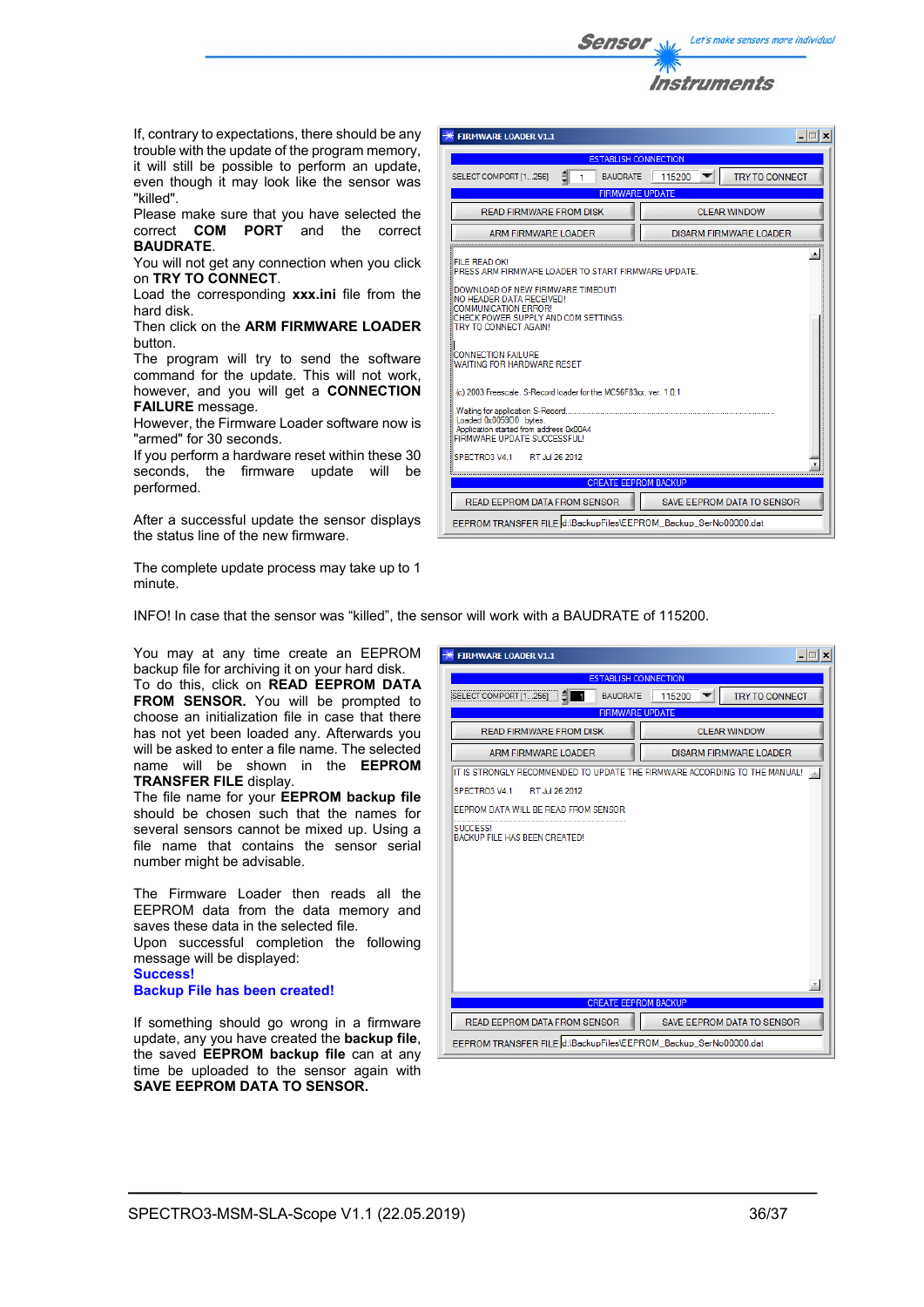

If, contrary to expectations, there should be any trouble with the update of the program memory, it will still be possible to perform an update, even though it may look like the sensor was "killed".

Please make sure that you have selected the correct **COM PORT** and the correct **BAUDRATE**.

You will not get any connection when you click on **TRY TO CONNECT**.

Load the corresponding **xxx.ini** file from the hard disk.

Then click on the **ARM FIRMWARE LOADER** button.

The program will try to send the software command for the update. This will not work, however, and you will get a **CONNECTION FAILURE** message.

However, the Firmware Loader software now is "armed" for 30 seconds.

If you perform a hardware reset within these 30 seconds, the firmware update will be performed.

After a successful update the sensor displays the status line of the new firmware.

The complete update process may take up to 1 minute.

| <b>FIRMWARE LOADER V1.1</b>                                                                                                                                                                                                                                                                                                                                                                                                                                                                                                                       | $ \Box$ $\times$                  |  |
|---------------------------------------------------------------------------------------------------------------------------------------------------------------------------------------------------------------------------------------------------------------------------------------------------------------------------------------------------------------------------------------------------------------------------------------------------------------------------------------------------------------------------------------------------|-----------------------------------|--|
| <b>ESTABLISH CONNECTION</b>                                                                                                                                                                                                                                                                                                                                                                                                                                                                                                                       |                                   |  |
| SELECT COMPORT [1256]<br><b>BAUDRATE</b>                                                                                                                                                                                                                                                                                                                                                                                                                                                                                                          | 115200<br><b>TRY TO CONNECT</b>   |  |
| <b>FIRMWARE UPDATE</b>                                                                                                                                                                                                                                                                                                                                                                                                                                                                                                                            |                                   |  |
| READ FIRMWARE FROM DISK                                                                                                                                                                                                                                                                                                                                                                                                                                                                                                                           | CLEAR WINDOW                      |  |
| ARM FIRMWARE LOADER                                                                                                                                                                                                                                                                                                                                                                                                                                                                                                                               | <b>DISARM FIRMWARE LOADER</b>     |  |
| FII E READ OK!<br>PRESS ARM FIRMWARE LOADER TO START FIRMWARE UPDATE.<br>DOWNLOAD OF NEW FIRMWARE.TIMEOUT!<br>NO HEADER DATA RECEIVED!<br><b>COMMUNICATION ERROR!</b><br>CHECK POWER SUPPLY AND COM SETTINGS.<br>TRY TO CONNECT AGAIN!<br><b>CONNECTION FAILURE</b><br>WAITING FOR HARDWARE RESET<br>(c) 2003 Freescale. S-Record loader for the MC56F83xx. ver. 1.0.1<br>Waiting for application S-Record<br>Loaded 0x0059D0 bytes.<br>Application started from address 0x00A4<br>FIRMWARE UPDATE SUCCESSFUL!<br>SPECTRO3 V4 1<br>RT Jul 26 2012 |                                   |  |
| <b>CREATE EEPROM BACKUP</b>                                                                                                                                                                                                                                                                                                                                                                                                                                                                                                                       |                                   |  |
| <b>READ EEPROM DATA FROM SENSOR</b>                                                                                                                                                                                                                                                                                                                                                                                                                                                                                                               | <b>SAVE EEPROM DATA TO SENSOR</b> |  |
| EEPROM TRANSFER FILE d:\BackupFiles\EEPROM_Backup_SerNo00000.dat                                                                                                                                                                                                                                                                                                                                                                                                                                                                                  |                                   |  |

INFO! In case that the sensor was "killed", the sensor will work with a BAUDRATE of 115200.

You may at any time create an EEPROM backup file for archiving it on your hard disk. To do this, click on **READ EEPROM DATA FROM SENSOR.** You will be prompted to choose an initialization file in case that there has not yet been loaded any. Afterwards you will be asked to enter a file name. The selected

name will be shown in the **EEPROM TRANSFER FILE** display. The file name for your **EEPROM backup file**

should be chosen such that the names for several sensors cannot be mixed up. Using a file name that contains the sensor serial number might be advisable.

The Firmware Loader then reads all the EEPROM data from the data memory and saves these data in the selected file. Upon successful completion the following message will be displayed: **Success! Backup File has been created!** 

If something should go wrong in a firmware update, any you have created the **backup file**, the saved **EEPROM backup file** can at any time be uploaded to the sensor again with **SAVE EEPROM DATA TO SENSOR.** 

| <b>FIRMWARE LOADER V1.1</b>                                                | $ \Box$ $\times$                                                 |  |  |
|----------------------------------------------------------------------------|------------------------------------------------------------------|--|--|
| <b>ESTABLISH CONNECTION</b>                                                |                                                                  |  |  |
| <b>BAUDRATE</b><br>SELECT COMPORT [1256]                                   | 115200<br><b>TRY TO CONNECT</b>                                  |  |  |
| <b>FIRMWARE UPDATE</b>                                                     |                                                                  |  |  |
| READ FIRMWARE FROM DISK                                                    | CLEAR WINDOW                                                     |  |  |
| <b>ARM FIRMWARE LOADER</b>                                                 | DISARM FIRMWARE LOADER                                           |  |  |
| IT IS STRONGLY RECOMMENDED TO UPDATE THE FIRMWARE ACCORDING TO THE MANUAL! |                                                                  |  |  |
| RT Jul 26 2012<br>SPECTRO3 V4 1                                            |                                                                  |  |  |
| EEPROM DATA WILL BE READ FROM SENSOR.                                      |                                                                  |  |  |
| <b>SUCCESS!</b><br>BACKUP FILE HAS BEEN CREATED!                           |                                                                  |  |  |
| <b>CREATE EEPROM BACKUP</b>                                                |                                                                  |  |  |
|                                                                            |                                                                  |  |  |
| READ EEPROM DATA FROM SENSOR                                               | SAVE EEPROM DATA TO SENSOR                                       |  |  |
|                                                                            | EEPROM TRANSFER FILE d:\BackupFiles\EEPROM_Backup_SerNo00000.dat |  |  |